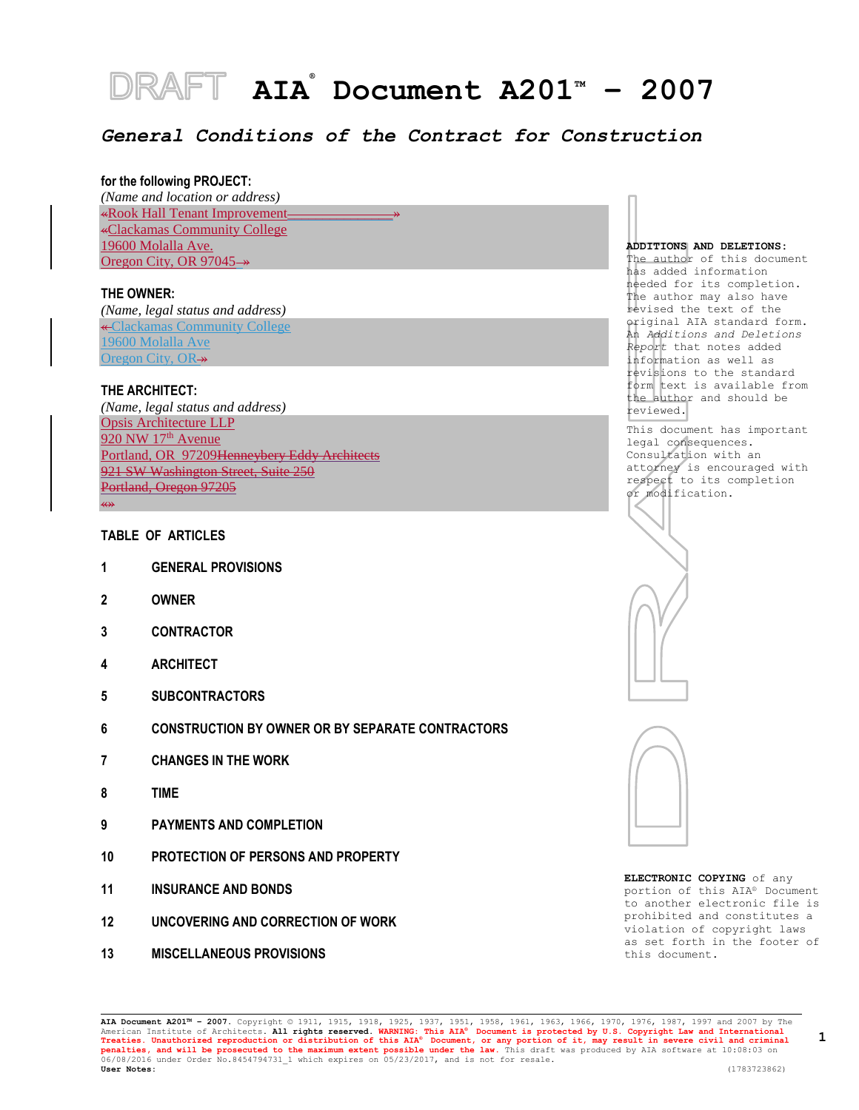# **AIA ® Document A201TM – 2007**

# *General Conditions of the Contract for Construction*

# **for the following PROJECT:**

*(Name and location or address)* «Rook Hall Tenant Improvement\_\_\_\_\_\_\_\_\_\_\_\_\_\_\_» «Clackamas Community College 19600 Molalla Ave. Oregon City, OR  $97045 \rightarrow$ 

### **THE OWNER:**

*(Name, legal status and address)* « Clackamas Community College 19600 Molalla Ave Oregon City,  $OR \rightarrow$ 

### **THE ARCHITECT:**

*(Name, legal status and address)* Opsis Architecture LLP 920 NW 17<sup>th</sup> Avenue Portland, OR 97209Henneybery Eddy Architects 921 SW Washington Street, Suite 250 Portland, Oregon 97205 «»

# **TABLE OF ARTICLES**

- **1 GENERAL PROVISIONS**
- **2 OWNER**
- **3 CONTRACTOR**
- **4 ARCHITECT**
- **5 SUBCONTRACTORS**
- **6 CONSTRUCTION BY OWNER OR BY SEPARATE CONTRACTORS**
- **7 CHANGES IN THE WORK**
- **8 TIME**
- **9 PAYMENTS AND COMPLETION**
- **10 PROTECTION OF PERSONS AND PROPERTY**
- **11 INSURANCE AND BONDS**
- **12 UNCOVERING AND CORRECTION OF WORK**
- **13 MISCELLANEOUS PROVISIONS**

#### **ADDITIONS AND DELETIONS:**

The author of this document has added information needed for its completion. The author may also have revised the text of the original AIA standard form. An *Additions and Deletions Report* that notes added information as well as revisions to the standard form text is available from the author and should be reviewed.

This document has important legal consequences. Consultation with an attorney is encouraged with respect to its completion or modification.





**ELECTRONIC COPYING** of any portion of this AIA® Document to another electronic file is prohibited and constitutes a violation of copyright laws as set forth in the footer of this document.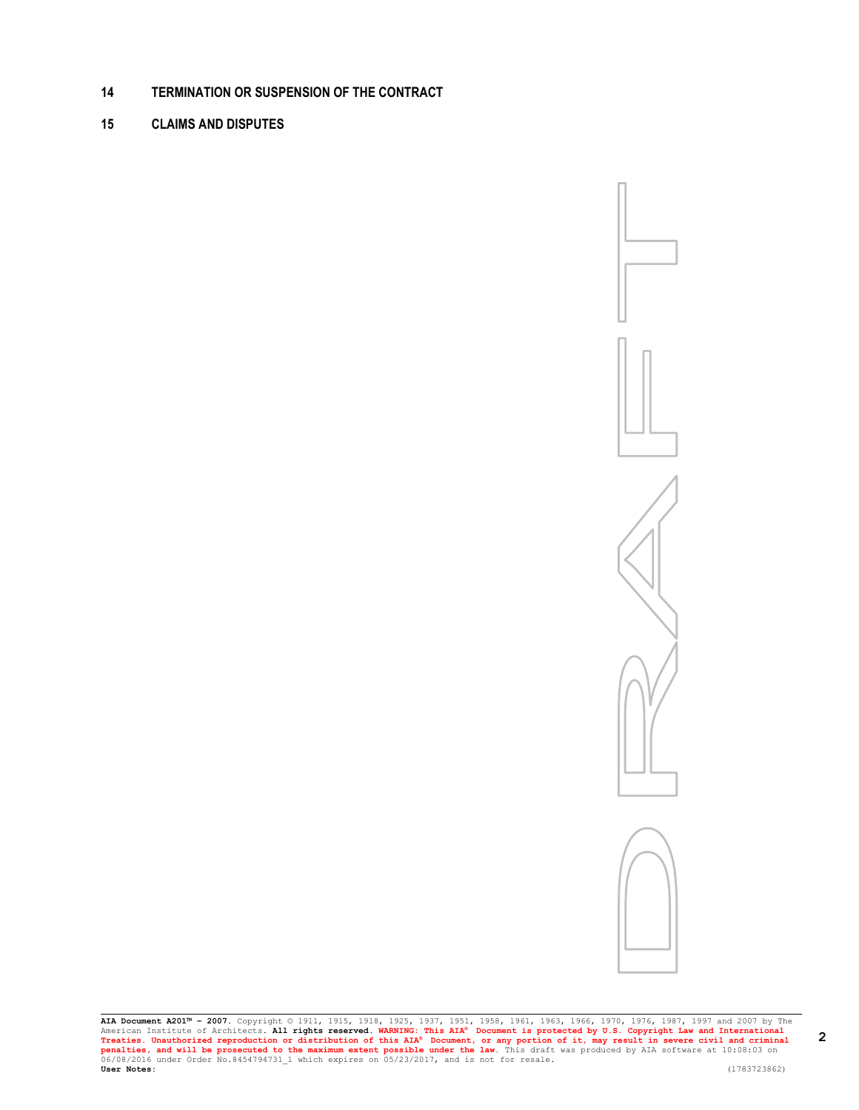- **TERMINATION OR SUSPENSION OF THE CONTRACT**
- **CLAIMS AND DISPUTES**



AIR Document A201<sup>m</sup> - 2007. Copyright © 1911, 1915, 1918, 1925, 1937, 1951, 1958, 1961, 1963, 1966, 1970, 1976, 1987, 1997 and 2007 by The American Institute of Architects. All rights reserved. WARNING: This AIR<sup>®</sup> Docume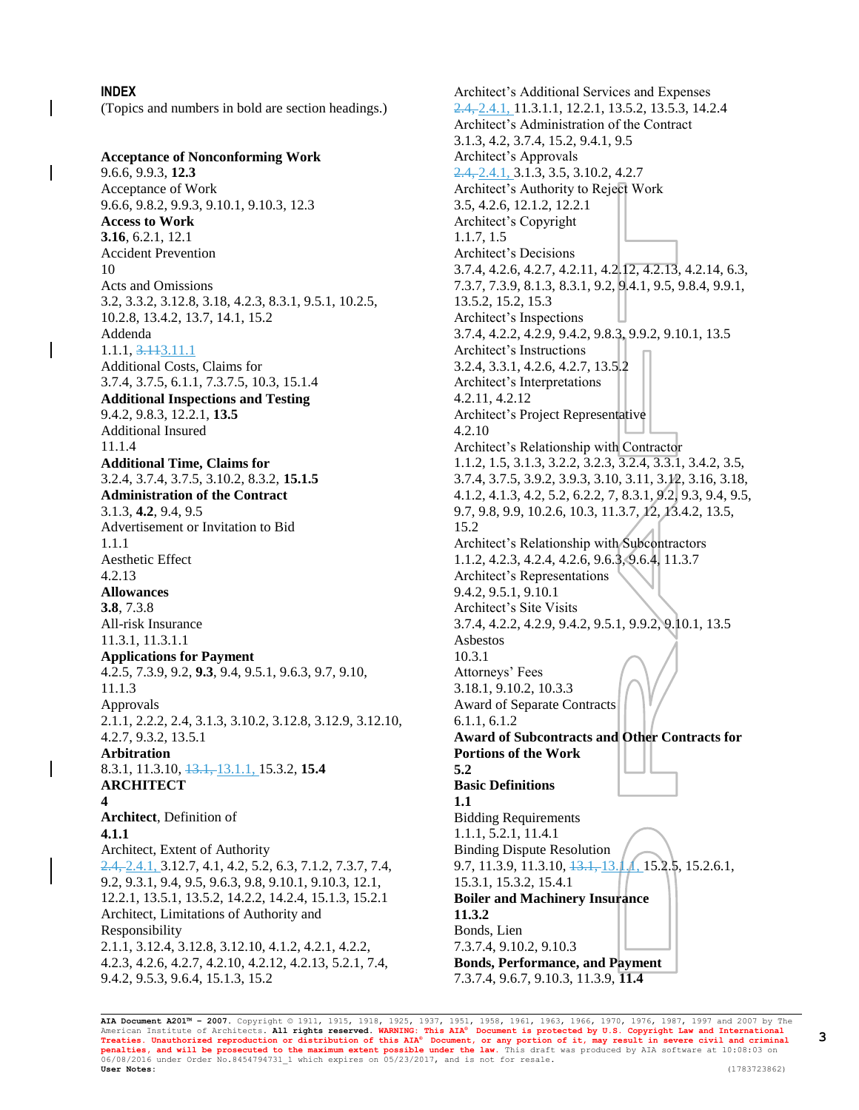### **INDEX**

(Topics and numbers in bold are section headings.)

**Acceptance of Nonconforming Work** 9.6.6, 9.9.3, **12.3** Acceptance of Work 9.6.6, 9.8.2, 9.9.3, 9.10.1, 9.10.3, 12.3 **Access to Work 3.16**, 6.2.1, 12.1 Accident Prevention 10 Acts and Omissions 3.2, 3.3.2, 3.12.8, 3.18, 4.2.3, 8.3.1, 9.5.1, 10.2.5, 10.2.8, 13.4.2, 13.7, 14.1, 15.2 Addenda 1.1.1, 3.113.11.1 Additional Costs, Claims for 3.7.4, 3.7.5, 6.1.1, 7.3.7.5, 10.3, 15.1.4 **Additional Inspections and Testing** 9.4.2, 9.8.3, 12.2.1, **13.5** Additional Insured 11.1.4 **Additional Time, Claims for** 3.2.4, 3.7.4, 3.7.5, 3.10.2, 8.3.2, **15.1.5 Administration of the Contract** 3.1.3, **4.2**, 9.4, 9.5 Advertisement or Invitation to Bid 1.1.1 Aesthetic Effect 4.2.13 **Allowances 3.8**, 7.3.8 All-risk Insurance 11.3.1, 11.3.1.1 **Applications for Payment** 4.2.5, 7.3.9, 9.2, **9.3**, 9.4, 9.5.1, 9.6.3, 9.7, 9.10, 11.1.3 Approvals 2.1.1, 2.2.2, 2.4, 3.1.3, 3.10.2, 3.12.8, 3.12.9, 3.12.10, 4.2.7, 9.3.2, 13.5.1 **Arbitration** 8.3.1, 11.3.10, 13.1, 13.1.1, 15.3.2, **15.4 ARCHITECT 4 Architect**, Definition of **4.1.1** Architect, Extent of Authority 2.4, 2.4.1, 3.12.7, 4.1, 4.2, 5.2, 6.3, 7.1.2, 7.3.7, 7.4, 9.2, 9.3.1, 9.4, 9.5, 9.6.3, 9.8, 9.10.1, 9.10.3, 12.1, 12.2.1, 13.5.1, 13.5.2, 14.2.2, 14.2.4, 15.1.3, 15.2.1 Architect, Limitations of Authority and Responsibility 2.1.1, 3.12.4, 3.12.8, 3.12.10, 4.1.2, 4.2.1, 4.2.2, 4.2.3, 4.2.6, 4.2.7, 4.2.10, 4.2.12, 4.2.13, 5.2.1, 7.4, 9.4.2, 9.5.3, 9.6.4, 15.1.3, 15.2

Architect's Additional Services and Expenses 2.4, 2.4.1, 11.3.1.1, 12.2.1, 13.5.2, 13.5.3, 14.2.4 Architect's Administration of the Contract 3.1.3, 4.2, 3.7.4, 15.2, 9.4.1, 9.5 Architect's Approvals 2.4, 2.4.1, 3.1.3, 3.5, 3.10.2, 4.2.7 Architect's Authority to Reject Work 3.5, 4.2.6, 12.1.2, 12.2.1 Architect's Copyright 1.1.7, 1.5 Architect's Decisions 3.7.4, 4.2.6, 4.2.7, 4.2.11, 4.2.12, 4.2.13, 4.2.14, 6.3, 7.3.7, 7.3.9, 8.1.3, 8.3.1, 9.2, 9.4.1, 9.5, 9.8.4, 9.9.1, 13.5.2, 15.2, 15.3 Architect's Inspections 3.7.4, 4.2.2, 4.2.9, 9.4.2, 9.8.3, 9.9.2, 9.10.1, 13.5 Architect's Instructions 3.2.4, 3.3.1, 4.2.6, 4.2.7, 13.5.2 Architect's Interpretations 4.2.11, 4.2.12 Architect's Project Representative 4.2.10 Architect's Relationship with Contractor 1.1.2, 1.5, 3.1.3, 3.2.2, 3.2.3, 3.2.4, 3.3.1, 3.4.2, 3.5, 3.7.4, 3.7.5, 3.9.2, 3.9.3, 3.10, 3.11, 3.12, 3.16, 3.18, 4.1.2, 4.1.3, 4.2, 5.2, 6.2.2, 7, 8.3.1, 9.2, 9.3, 9.4, 9.5, 9.7, 9.8, 9.9, 10.2.6, 10.3, 11.3.7, 12, 13.4.2, 13.5, 15.2 Architect's Relationship with Subcontractors 1.1.2, 4.2.3, 4.2.4, 4.2.6, 9.6.3, 9.6.4, 11.3.7 Architect's Representations 9.4.2, 9.5.1, 9.10.1 Architect's Site Visits 3.7.4, 4.2.2, 4.2.9, 9.4.2, 9.5.1, 9.9.2, 9.10.1, 13.5 Asbestos 10.3.1 Attorneys' Fees 3.18.1, 9.10.2, 10.3.3 Award of Separate Contracts 6.1.1, 6.1.2 **Award of Subcontracts and Other Contracts for Portions of the Work 5.2 Basic Definitions 1.1** Bidding Requirements 1.1.1, 5.2.1, 11.4.1 Binding Dispute Resolution 9.7, 11.3.9, 11.3.10,  $13.1, 13.1, 13.1, 15.2.5, 15.2.6.1$ 15.3.1, 15.3.2, 15.4.1 **Boiler and Machinery Insurance 11.3.2** Bonds, Lien 7.3.7.4, 9.10.2, 9.10.3 **Bonds, Performance, and Payment**

7.3.7.4, 9.6.7, 9.10.3, 11.3.9, **11.4**

**AIA Document A201™ – 2007.** Copyright © 1911, 1915, 1918, 1925, 1937, 1951, 1958, 1961, 1963, 1966, 1970, 1976, 1987, 1997 and 2007 by The American Institute of Architects. <mark>All rights reserved. WARNING: This AIA® Document is protected by U.S. Copyright Law and International<br>Treaties. Unauthorized reproduction or distribution of this AIA® Document, or any por</mark>  $06/08/2016$  under Order No.8454794731\_1 which expires on  $05/23/2017$ , and is not for resale.<br>User Notes: **User Notes:** (1783723862)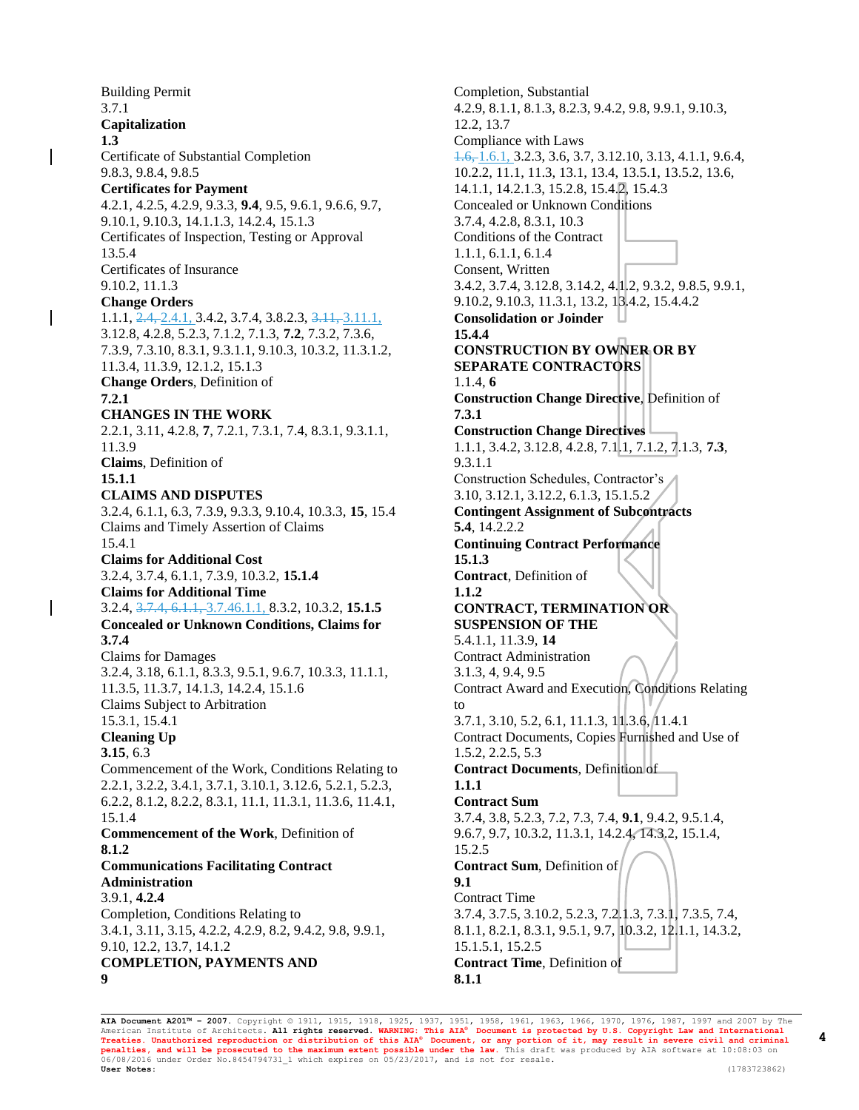Building Permit 3.7.1 **Capitalization 1.3** Certificate of Substantial Completion 9.8.3, 9.8.4, 9.8.5 **Certificates for Payment** 4.2.1, 4.2.5, 4.2.9, 9.3.3, **9.4**, 9.5, 9.6.1, 9.6.6, 9.7, 9.10.1, 9.10.3, 14.1.1.3, 14.2.4, 15.1.3 Certificates of Inspection, Testing or Approval 13.5.4 Certificates of Insurance 9.10.2, 11.1.3 **Change Orders** 1.1.1, 2.4, 2.4.1, 3.4.2, 3.7.4, 3.8.2.3, 3.11, 3.11.1, 3.12.8, 4.2.8, 5.2.3, 7.1.2, 7.1.3, **7.2**, 7.3.2, 7.3.6, 7.3.9, 7.3.10, 8.3.1, 9.3.1.1, 9.10.3, 10.3.2, 11.3.1.2, 11.3.4, 11.3.9, 12.1.2, 15.1.3 **Change Orders**, Definition of **7.2.1 CHANGES IN THE WORK** 2.2.1, 3.11, 4.2.8, **7**, 7.2.1, 7.3.1, 7.4, 8.3.1, 9.3.1.1, 11.3.9 **Claims**, Definition of **15.1.1 CLAIMS AND DISPUTES** 3.2.4, 6.1.1, 6.3, 7.3.9, 9.3.3, 9.10.4, 10.3.3, **15**, 15.4 Claims and Timely Assertion of Claims 15.4.1 **Claims for Additional Cost** 3.2.4, 3.7.4, 6.1.1, 7.3.9, 10.3.2, **15.1.4 Claims for Additional Time** 3.2.4, 3.7.4, 6.1.1, 3.7.46.1.1, 8.3.2, 10.3.2, **15.1.5 Concealed or Unknown Conditions, Claims for 3.7.4** Claims for Damages 3.2.4, 3.18, 6.1.1, 8.3.3, 9.5.1, 9.6.7, 10.3.3, 11.1.1, 11.3.5, 11.3.7, 14.1.3, 14.2.4, 15.1.6 Claims Subject to Arbitration 15.3.1, 15.4.1 **Cleaning Up 3.15**, 6.3 Commencement of the Work, Conditions Relating to 2.2.1, 3.2.2, 3.4.1, 3.7.1, 3.10.1, 3.12.6, 5.2.1, 5.2.3, 6.2.2, 8.1.2, 8.2.2, 8.3.1, 11.1, 11.3.1, 11.3.6, 11.4.1, 15.1.4 **Commencement of the Work**, Definition of **8.1.2 Communications Facilitating Contract Administration** 3.9.1, **4.2.4** Completion, Conditions Relating to 3.4.1, 3.11, 3.15, 4.2.2, 4.2.9, 8.2, 9.4.2, 9.8, 9.9.1, 9.10, 12.2, 13.7, 14.1.2 **COMPLETION, PAYMENTS AND 9**

Completion, Substantial 4.2.9, 8.1.1, 8.1.3, 8.2.3, 9.4.2, 9.8, 9.9.1, 9.10.3, 12.2, 13.7 Compliance with Laws 1.6, 1.6.1, 3.2.3, 3.6, 3.7, 3.12.10, 3.13, 4.1.1, 9.6.4, 10.2.2, 11.1, 11.3, 13.1, 13.4, 13.5.1, 13.5.2, 13.6, 14.1.1, 14.2.1.3, 15.2.8, 15.4.2, 15.4.3 Concealed or Unknown Conditions 3.7.4, 4.2.8, 8.3.1, 10.3 Conditions of the Contract 1.1.1, 6.1.1, 6.1.4 Consent, Written 3.4.2, 3.7.4, 3.12.8, 3.14.2, 4.1.2, 9.3.2, 9.8.5, 9.9.1, 9.10.2, 9.10.3, 11.3.1, 13.2, 13.4.2, 15.4.4.2 **Consolidation or Joinder 15.4.4 CONSTRUCTION BY OWNER OR BY SEPARATE CONTRACTORS** 1.1.4, **6 Construction Change Directive**, Definition of **7.3.1 Construction Change Directives** 1.1.1, 3.4.2, 3.12.8, 4.2.8, 7.1.1, 7.1.2, 7.1.3, **7.3**, 9.3.1.1 Construction Schedules, Contractor's 3.10, 3.12.1, 3.12.2, 6.1.3, 15.1.5.2 **Contingent Assignment of Subcontracts 5.4**, 14.2.2.2 **Continuing Contract Performance 15.1.3 Contract**, Definition of **1.1.2 CONTRACT, TERMINATION OR SUSPENSION OF THE** 5.4.1.1, 11.3.9, **14** Contract Administration 3.1.3, 4, 9.4, 9.5 Contract Award and Execution, Conditions Relating to 3.7.1, 3.10, 5.2, 6.1, 11.1.3, 11.3.6, 11.4.1 Contract Documents, Copies Furnished and Use of 1.5.2, 2.2.5, 5.3 **Contract Documents**, Definition of **1.1.1 Contract Sum** 3.7.4, 3.8, 5.2.3, 7.2, 7.3, 7.4, **9.1**, 9.4.2, 9.5.1.4, 9.6.7, 9.7, 10.3.2, 11.3.1, 14.2.4, 14.3.2, 15.1.4, 15.2.5 **Contract Sum**, Definition of **9.1** Contract Time 3.7.4, 3.7.5, 3.10.2, 5.2.3, 7.2.1.3, 7.3.1, 7.3.5, 7.4, 8.1.1, 8.2.1, 8.3.1, 9.5.1, 9.7, 10.3.2, 12.1.1, 14.3.2, 15.1.5.1, 15.2.5 **Contract Time**, Definition of **8.1.1**

**AIA Document A201™ – 2007.** Copyright © 1911, 1915, 1918, 1925, 1937, 1951, 1958, 1961, 1963, 1966, 1970, 1976, 1987, 1997 and 2007 by The American Institute of Architects. <mark>All rights reserved. WARNING: This AIA® Document is protected by U.S. Copyright Law and International<br>Treaties. Unauthorized reproduction or distribution of this AIA® Document, or any por</mark>  $06/08/2016$  under Order No.8454794731\_1 which expires on  $05/23/2017$ , and is not for resale.<br>User Notes: **User Notes:** (1783723862)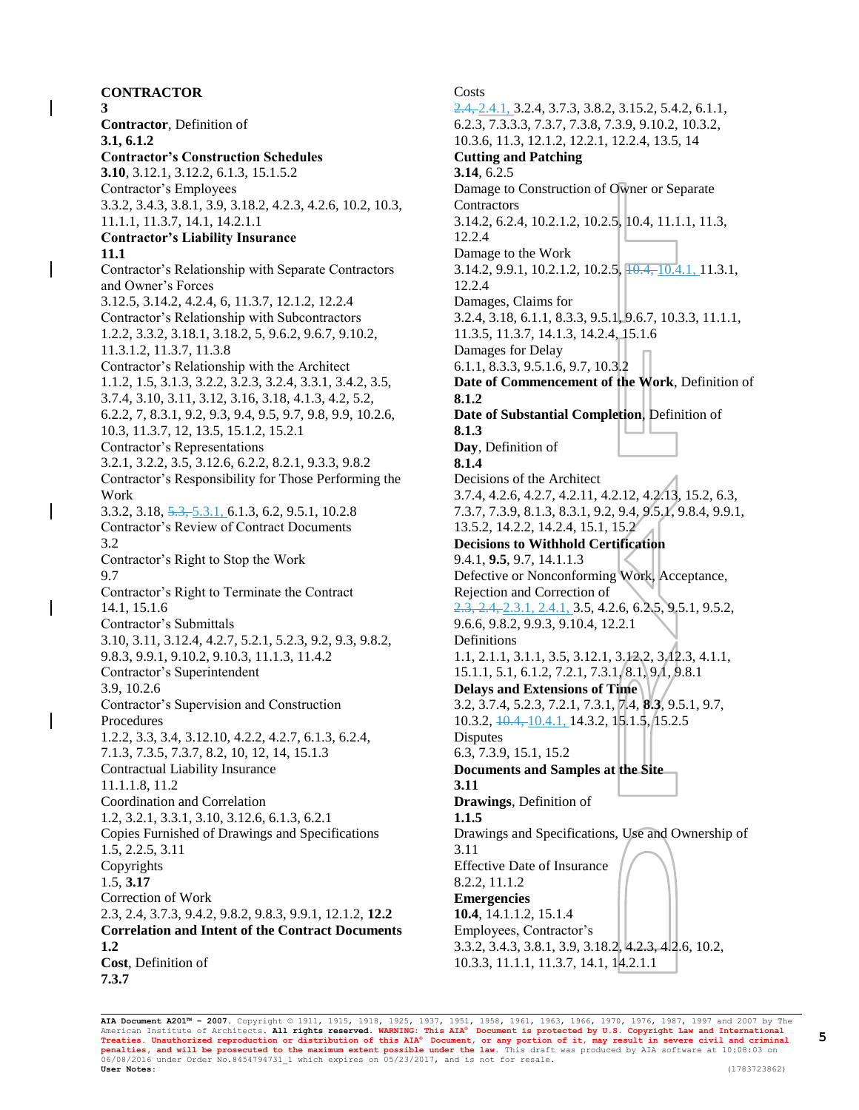### **CONTRACTOR**

**3**

**Contractor**, Definition of **3.1, 6.1.2 Contractor's Construction Schedules 3.10**, 3.12.1, 3.12.2, 6.1.3, 15.1.5.2 Contractor's Employees 3.3.2, 3.4.3, 3.8.1, 3.9, 3.18.2, 4.2.3, 4.2.6, 10.2, 10.3, 11.1.1, 11.3.7, 14.1, 14.2.1.1 **Contractor's Liability Insurance 11.1** Contractor's Relationship with Separate Contractors and Owner's Forces 3.12.5, 3.14.2, 4.2.4, 6, 11.3.7, 12.1.2, 12.2.4 Contractor's Relationship with Subcontractors 1.2.2, 3.3.2, 3.18.1, 3.18.2, 5, 9.6.2, 9.6.7, 9.10.2, 11.3.1.2, 11.3.7, 11.3.8 Contractor's Relationship with the Architect 1.1.2, 1.5, 3.1.3, 3.2.2, 3.2.3, 3.2.4, 3.3.1, 3.4.2, 3.5, 3.7.4, 3.10, 3.11, 3.12, 3.16, 3.18, 4.1.3, 4.2, 5.2, 6.2.2, 7, 8.3.1, 9.2, 9.3, 9.4, 9.5, 9.7, 9.8, 9.9, 10.2.6, 10.3, 11.3.7, 12, 13.5, 15.1.2, 15.2.1 Contractor's Representations 3.2.1, 3.2.2, 3.5, 3.12.6, 6.2.2, 8.2.1, 9.3.3, 9.8.2 Contractor's Responsibility for Those Performing the Work 3.3.2, 3.18, 5.3, 5.3.1, 6.1.3, 6.2, 9.5.1, 10.2.8 Contractor's Review of Contract Documents 3.2 Contractor's Right to Stop the Work 9.7 Contractor's Right to Terminate the Contract 14.1, 15.1.6 Contractor's Submittals 3.10, 3.11, 3.12.4, 4.2.7, 5.2.1, 5.2.3, 9.2, 9.3, 9.8.2, 9.8.3, 9.9.1, 9.10.2, 9.10.3, 11.1.3, 11.4.2 Contractor's Superintendent 3.9, 10.2.6 Contractor's Supervision and Construction Procedures 1.2.2, 3.3, 3.4, 3.12.10, 4.2.2, 4.2.7, 6.1.3, 6.2.4, 7.1.3, 7.3.5, 7.3.7, 8.2, 10, 12, 14, 15.1.3 Contractual Liability Insurance 11.1.1.8, 11.2 Coordination and Correlation 1.2, 3.2.1, 3.3.1, 3.10, 3.12.6, 6.1.3, 6.2.1 Copies Furnished of Drawings and Specifications 1.5, 2.2.5, 3.11 Copyrights 1.5, **3.17** Correction of Work 2.3, 2.4, 3.7.3, 9.4.2, 9.8.2, 9.8.3, 9.9.1, 12.1.2, **12.2 Correlation and Intent of the Contract Documents 1.2 Cost**, Definition of **7.3.7**

### Costs 2.4, 2.4.1, 3.2.4, 3.7.3, 3.8.2, 3.15.2, 5.4.2, 6.1.1, 6.2.3, 7.3.3.3, 7.3.7, 7.3.8, 7.3.9, 9.10.2, 10.3.2, 10.3.6, 11.3, 12.1.2, 12.2.1, 12.2.4, 13.5, 14 **Cutting and Patching 3.14**, 6.2.5 Damage to Construction of Owner or Separate **Contractors** 3.14.2, 6.2.4, 10.2.1.2, 10.2.5, 10.4, 11.1.1, 11.3, 12.2.4 Damage to the Work 3.14.2, 9.9.1, 10.2.1.2, 10.2.5, <del>10.4, 10.4.</del>1, 11.3.1, 12.2.4 Damages, Claims for 3.2.4, 3.18, 6.1.1, 8.3.3, 9.5.1, 9.6.7, 10.3.3, 11.1.1, 11.3.5, 11.3.7, 14.1.3, 14.2.4, 15.1.6 Damages for Delay 6.1.1, 8.3.3, 9.5.1.6, 9.7, 10.3.2 **Date of Commencement of the Work**, Definition of **8.1.2 Date of Substantial Completion**, Definition of **8.1.3 Day**, Definition of **8.1.4** Decisions of the Architect 3.7.4, 4.2.6, 4.2.7, 4.2.11, 4.2.12, 4.2.13, 15.2, 6.3, 7.3.7, 7.3.9, 8.1.3, 8.3.1, 9.2, 9.4, 9.5.1, 9.8.4, 9.9.1, 13.5.2, 14.2.2, 14.2.4, 15.1, 15.2 **Decisions to Withhold Certification** 9.4.1, **9.5**, 9.7, 14.1.1.3 Defective or Nonconforming Work, Acceptance, Rejection and Correction of 2.3, 2.4, 2.3.1, 2.4.1, 3.5, 4.2.6, 6.2.5, 9.5.1, 9.5.2, 9.6.6, 9.8.2, 9.9.3, 9.10.4, 12.2.1 Definitions 1.1, 2.1.1, 3.1.1, 3.5, 3.12.1, 3.12.2, 3.12.3, 4.1.1, 15.1.1, 5.1, 6.1.2, 7.2.1, 7.3.1, 8.1, 9.1, 9.8.1 **Delays and Extensions of Time** 3.2, 3.7.4, 5.2.3, 7.2.1, 7.3.1, 7.4, **8.3**, 9.5.1, 9.7, 10.3.2, 10.4, 10.4.1, 14.3.2, 15.1.5, 15.2.5 Disputes 6.3, 7.3.9, 15.1, 15.2 **Documents and Samples at the Site 3.11 Drawings**, Definition of **1.1.5** Drawings and Specifications, Use and Ownership of 3.11 Effective Date of Insurance 8.2.2, 11.1.2 **Emergencies 10.4**, 14.1.1.2, 15.1.4 Employees, Contractor's

3.3.2, 3.4.3, 3.8.1, 3.9, 3.18.2, 4.2.3, 4.2.6, 10.2,

10.3.3, 11.1.1, 11.3.7, 14.1, 14.2.1.1

**AIA Document A201™ – 2007.** Copyright © 1911, 1915, 1918, 1925, 1937, 1951, 1958, 1961, 1963, 1966, 1970, 1976, 1987, 1997 and 2007 by The American Institute of Architects. <mark>All rights reserved. WARNING: This AIA® Document is protected by U.S. Copyright Law and International<br>Treaties. Unauthorized reproduction or distribution of this AIA® Document, or any por</mark>  $06/08/2016$  under Order No.8454794731\_1 which expires on  $05/23/2017$ , and is not for resale.<br>User Notes: **User Notes:** (1783723862)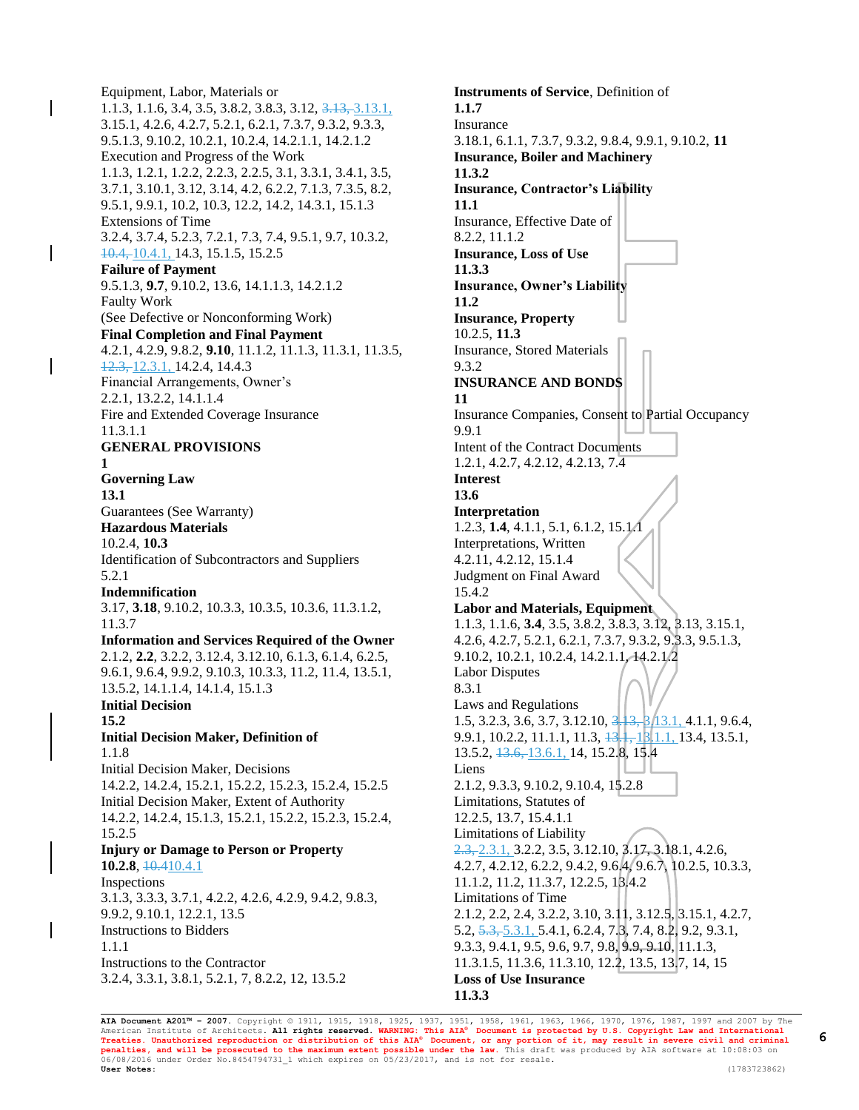Equipment, Labor, Materials or 1.1.3, 1.1.6, 3.4, 3.5, 3.8.2, 3.8.3, 3.12, 3.13, 3.13.1, 3.15.1, 4.2.6, 4.2.7, 5.2.1, 6.2.1, 7.3.7, 9.3.2, 9.3.3, 9.5.1.3, 9.10.2, 10.2.1, 10.2.4, 14.2.1.1, 14.2.1.2 Execution and Progress of the Work 1.1.3, 1.2.1, 1.2.2, 2.2.3, 2.2.5, 3.1, 3.3.1, 3.4.1, 3.5, 3.7.1, 3.10.1, 3.12, 3.14, 4.2, 6.2.2, 7.1.3, 7.3.5, 8.2, 9.5.1, 9.9.1, 10.2, 10.3, 12.2, 14.2, 14.3.1, 15.1.3 Extensions of Time 3.2.4, 3.7.4, 5.2.3, 7.2.1, 7.3, 7.4, 9.5.1, 9.7, 10.3.2, 10.4, 10.4.1, 14.3, 15.1.5, 15.2.5 **Failure of Payment** 9.5.1.3, **9.7**, 9.10.2, 13.6, 14.1.1.3, 14.2.1.2 Faulty Work (See Defective or Nonconforming Work) **Final Completion and Final Payment** 4.2.1, 4.2.9, 9.8.2, **9.10**, 11.1.2, 11.1.3, 11.3.1, 11.3.5,  $12.3, 12.3.1, 14.2.4, 14.4.3$ Financial Arrangements, Owner's 2.2.1, 13.2.2, 14.1.1.4 Fire and Extended Coverage Insurance 11.3.1.1 **GENERAL PROVISIONS 1 Governing Law 13.1** Guarantees (See Warranty) **Hazardous Materials** 10.2.4, **10.3** Identification of Subcontractors and Suppliers 5.2.1 **Indemnification** 3.17, **3.18**, 9.10.2, 10.3.3, 10.3.5, 10.3.6, 11.3.1.2, 11.3.7 **Information and Services Required of the Owner** 2.1.2, **2.2**, 3.2.2, 3.12.4, 3.12.10, 6.1.3, 6.1.4, 6.2.5, 9.6.1, 9.6.4, 9.9.2, 9.10.3, 10.3.3, 11.2, 11.4, 13.5.1, 13.5.2, 14.1.1.4, 14.1.4, 15.1.3 **Initial Decision 15.2 Initial Decision Maker, Definition of** 1.1.8 Initial Decision Maker, Decisions 14.2.2, 14.2.4, 15.2.1, 15.2.2, 15.2.3, 15.2.4, 15.2.5 Initial Decision Maker, Extent of Authority 14.2.2, 14.2.4, 15.1.3, 15.2.1, 15.2.2, 15.2.3, 15.2.4, 15.2.5 **Injury or Damage to Person or Property 10.2.8**, 10.410.4.1 Inspections 3.1.3, 3.3.3, 3.7.1, 4.2.2, 4.2.6, 4.2.9, 9.4.2, 9.8.3, 9.9.2, 9.10.1, 12.2.1, 13.5 Instructions to Bidders 1.1.1 Instructions to the Contractor 3.2.4, 3.3.1, 3.8.1, 5.2.1, 7, 8.2.2, 12, 13.5.2

**Instruments of Service**, Definition of **1.1.7** Insurance 3.18.1, 6.1.1, 7.3.7, 9.3.2, 9.8.4, 9.9.1, 9.10.2, **11 Insurance, Boiler and Machinery 11.3.2 Insurance, Contractor's Liability 11.1** Insurance, Effective Date of 8.2.2, 11.1.2 **Insurance, Loss of Use 11.3.3 Insurance, Owner's Liability 11.2 Insurance, Property** 10.2.5, **11.3** Insurance, Stored Materials 9.3.2 **INSURANCE AND BONDS 11** Insurance Companies, Consent to Partial Occupancy 9.9.1 Intent of the Contract Documents 1.2.1, 4.2.7, 4.2.12, 4.2.13, 7.4 **Interest 13.6 Interpretation** 1.2.3, **1.4**, 4.1.1, 5.1, 6.1.2, 15.1.1 Interpretations, Written 4.2.11, 4.2.12, 15.1.4 Judgment on Final Award 15.4.2 **Labor and Materials, Equipment** 1.1.3, 1.1.6, **3.4**, 3.5, 3.8.2, 3.8.3, 3.12, 3.13, 3.15.1, 4.2.6, 4.2.7, 5.2.1, 6.2.1, 7.3.7, 9.3.2, 9.3.3, 9.5.1.3, 9.10.2, 10.2.1, 10.2.4, 14.2.1.1, 14.2.1.2 Labor Disputes 8.3.1 Laws and Regulations 1.5, 3.2.3, 3.6, 3.7, 3.12.10, 3.13, 3.13.1, 4.1.1, 9.6.4, 9.9.1, 10.2.2, 11.1.1, 11.3,  $\frac{13}{11}$ ,  $\frac{1}{10}$ , 1.1, 13.4, 13.5.1, 13.5.2, 13.6, 13.6.1, 14, 15.2.8, 15.4 **Liens** 2.1.2, 9.3.3, 9.10.2, 9.10.4, 15.2.8 Limitations, Statutes of 12.2.5, 13.7, 15.4.1.1 Limitations of Liability 2.3, 2.3.1, 3.2.2, 3.5, 3.12.10, 3.17, 3.18.1, 4.2.6, 4.2.7, 4.2.12, 6.2.2, 9.4.2, 9.6.4, 9.6.7, 10.2.5, 10.3.3, 11.1.2, 11.2, 11.3.7, 12.2.5, 13.4.2 Limitations of Time 2.1.2, 2.2, 2.4, 3.2.2, 3.10, 3.11, 3.12.5, 3.15.1, 4.2.7, 5.2, 5.3, 5.3.1, 5.4.1, 6.2.4, 7.3, 7.4, 8.2, 9.2, 9.3.1, 9.3.3, 9.4.1, 9.5, 9.6, 9.7, 9.8, 9.9, 9.10, 11.1.3, 11.3.1.5, 11.3.6, 11.3.10, 12.2, 13.5, 13.7, 14, 15 **Loss of Use Insurance 11.3.3**

**AIA Document A201™ – 2007.** Copyright © 1911, 1915, 1918, 1925, 1937, 1951, 1958, 1961, 1963, 1966, 1970, 1976, 1987, 1997 and 2007 by The American Institute of Architects. <mark>All rights reserved. WARNING: This AIA® Document is protected by U.S. Copyright Law and International<br>Treaties. Unauthorized reproduction or distribution of this AIA® Document, or any por</mark>  $06/08/2016$  under Order No.8454794731\_1 which expires on  $05/23/2017$ , and is not for resale.<br>User Notes: **User Notes:** (1783723862)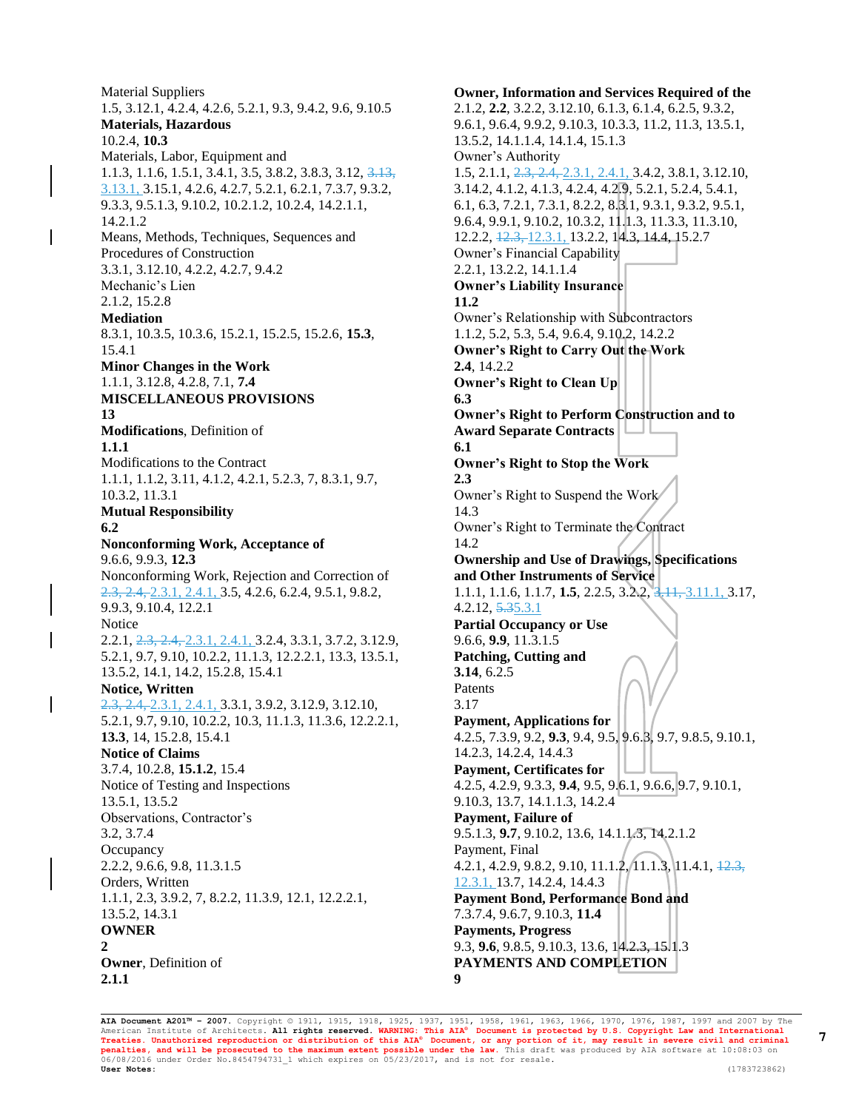Material Suppliers 1.5, 3.12.1, 4.2.4, 4.2.6, 5.2.1, 9.3, 9.4.2, 9.6, 9.10.5 **Materials, Hazardous** 10.2.4, **10.3** Materials, Labor, Equipment and 1.1.3, 1.1.6, 1.5.1, 3.4.1, 3.5, 3.8.2, 3.8.3, 3.12, 3.13, 3.13.1, 3.15.1, 4.2.6, 4.2.7, 5.2.1, 6.2.1, 7.3.7, 9.3.2, 9.3.3, 9.5.1.3, 9.10.2, 10.2.1.2, 10.2.4, 14.2.1.1, 14.2.1.2 Means, Methods, Techniques, Sequences and Procedures of Construction 3.3.1, 3.12.10, 4.2.2, 4.2.7, 9.4.2 Mechanic's Lien 2.1.2, 15.2.8 **Mediation** 8.3.1, 10.3.5, 10.3.6, 15.2.1, 15.2.5, 15.2.6, **15.3**, 15.4.1 **Minor Changes in the Work** 1.1.1, 3.12.8, 4.2.8, 7.1, **7.4 MISCELLANEOUS PROVISIONS 13 Modifications**, Definition of **1.1.1** Modifications to the Contract 1.1.1, 1.1.2, 3.11, 4.1.2, 4.2.1, 5.2.3, 7, 8.3.1, 9.7, 10.3.2, 11.3.1 **Mutual Responsibility 6.2 Nonconforming Work, Acceptance of** 9.6.6, 9.9.3, **12.3** Nonconforming Work, Rejection and Correction of 2.3, 2.4, 2.3.1, 2.4.1, 3.5, 4.2.6, 6.2.4, 9.5.1, 9.8.2, 9.9.3, 9.10.4, 12.2.1 Notice 2.2.1, 2.3, 2.4, 2.3.1, 2.4.1, 3.2.4, 3.3.1, 3.7.2, 3.12.9, 5.2.1, 9.7, 9.10, 10.2.2, 11.1.3, 12.2.2.1, 13.3, 13.5.1, 13.5.2, 14.1, 14.2, 15.2.8, 15.4.1 **Notice, Written** 2.3, 2.4, 2.3.1, 2.4.1, 3.3.1, 3.9.2, 3.12.9, 3.12.10, 5.2.1, 9.7, 9.10, 10.2.2, 10.3, 11.1.3, 11.3.6, 12.2.2.1, **13.3**, 14, 15.2.8, 15.4.1 **Notice of Claims** 3.7.4, 10.2.8, **15.1.2**, 15.4 Notice of Testing and Inspections 13.5.1, 13.5.2 Observations, Contractor's 3.2, 3.7.4 **Occupancy** 2.2.2, 9.6.6, 9.8, 11.3.1.5 Orders, Written 1.1.1, 2.3, 3.9.2, 7, 8.2.2, 11.3.9, 12.1, 12.2.2.1, 13.5.2, 14.3.1 **OWNER 2 Owner**, Definition of **2.1.1**

**Owner, Information and Services Required of the** 2.1.2, **2.2**, 3.2.2, 3.12.10, 6.1.3, 6.1.4, 6.2.5, 9.3.2, 9.6.1, 9.6.4, 9.9.2, 9.10.3, 10.3.3, 11.2, 11.3, 13.5.1, 13.5.2, 14.1.1.4, 14.1.4, 15.1.3 Owner's Authority 1.5, 2.1.1, 2.3, 2.4, 2.3.1, 2.4.1, 3.4.2, 3.8.1, 3.12.10, 3.14.2, 4.1.2, 4.1.3, 4.2.4, 4.2.9, 5.2.1, 5.2.4, 5.4.1, 6.1, 6.3, 7.2.1, 7.3.1, 8.2.2, 8.3.1, 9.3.1, 9.3.2, 9.5.1, 9.6.4, 9.9.1, 9.10.2, 10.3.2, 11.1.3, 11.3.3, 11.3.10, 12.2.2, 12.3, 12.3.1, 13.2.2, 14.3, 14.4, 15.2.7 Owner's Financial Capability 2.2.1, 13.2.2, 14.1.1.4 **Owner's Liability Insurance 11.2** Owner's Relationship with Subcontractors 1.1.2, 5.2, 5.3, 5.4, 9.6.4, 9.10.2, 14.2.2 **Owner's Right to Carry Out the Work 2.4**, 14.2.2 **Owner's Right to Clean Up 6.3 Owner's Right to Perform Construction and to Award Separate Contracts 6.1 Owner's Right to Stop the Work 2.3** Owner's Right to Suspend the Work 14.3 Owner's Right to Terminate the Contract 14.2 **Ownership and Use of Drawings, Specifications and Other Instruments of Service** 1.1.1, 1.1.6, 1.1.7, **1.5**, 2.2.5, 3.2.2, 3.11, 3.11.1, 3.17, 4.2.12, 5.35.3.1 **Partial Occupancy or Use** 9.6.6, **9.9**, 11.3.1.5 **Patching, Cutting and 3.14**, 6.2.5 Patents 3.17 **Payment, Applications for** 4.2.5, 7.3.9, 9.2, **9.3**, 9.4, 9.5, 9.6.3, 9.7, 9.8.5, 9.10.1, 14.2.3, 14.2.4, 14.4.3 **Payment, Certificates for** 4.2.5, 4.2.9, 9.3.3, **9.4**, 9.5, 9.6.1, 9.6.6, 9.7, 9.10.1, 9.10.3, 13.7, 14.1.1.3, 14.2.4 **Payment, Failure of** 9.5.1.3, **9.7**, 9.10.2, 13.6, 14.1.1.3, 14.2.1.2 Payment, Final  $4.2.1, 4.2.9, 9.8.2, 9.10, 11.1.2, 11.1.3, 11.4.1, \frac{12.3}{12.3}$ 12.3.1, 13.7, 14.2.4, 14.4.3 **Payment Bond, Performance Bond and** 7.3.7.4, 9.6.7, 9.10.3, **11.4 Payments, Progress** 9.3, **9.6**, 9.8.5, 9.10.3, 13.6, 14.2.3, 15.1.3 **PAYMENTS AND COMPLETION**

**7**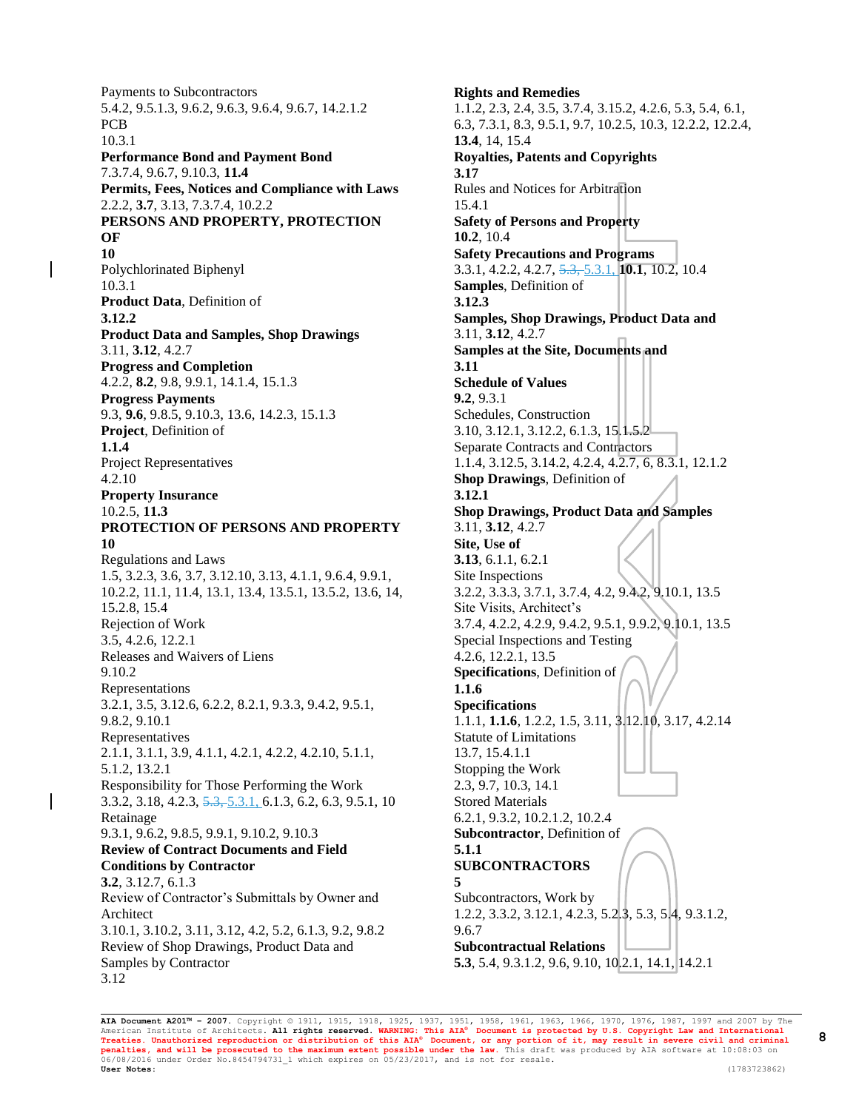Payments to Subcontractors 5.4.2, 9.5.1.3, 9.6.2, 9.6.3, 9.6.4, 9.6.7, 14.2.1.2 PCB 10.3.1 **Performance Bond and Payment Bond** 7.3.7.4, 9.6.7, 9.10.3, **11.4 Permits, Fees, Notices and Compliance with Laws** 2.2.2, **3.7**, 3.13, 7.3.7.4, 10.2.2 **PERSONS AND PROPERTY, PROTECTION OF 10** Polychlorinated Biphenyl 10.3.1 **Product Data**, Definition of **3.12.2 Product Data and Samples, Shop Drawings** 3.11, **3.12**, 4.2.7 **Progress and Completion** 4.2.2, **8.2**, 9.8, 9.9.1, 14.1.4, 15.1.3 **Progress Payments** 9.3, **9.6**, 9.8.5, 9.10.3, 13.6, 14.2.3, 15.1.3 **Project**, Definition of **1.1.4** Project Representatives 4.2.10 **Property Insurance** 10.2.5, **11.3 PROTECTION OF PERSONS AND PROPERTY 10** Regulations and Laws 1.5, 3.2.3, 3.6, 3.7, 3.12.10, 3.13, 4.1.1, 9.6.4, 9.9.1, 10.2.2, 11.1, 11.4, 13.1, 13.4, 13.5.1, 13.5.2, 13.6, 14, 15.2.8, 15.4 Rejection of Work 3.5, 4.2.6, 12.2.1 Releases and Waivers of Liens 9.10.2 Representations 3.2.1, 3.5, 3.12.6, 6.2.2, 8.2.1, 9.3.3, 9.4.2, 9.5.1, 9.8.2, 9.10.1 Representatives 2.1.1, 3.1.1, 3.9, 4.1.1, 4.2.1, 4.2.2, 4.2.10, 5.1.1, 5.1.2, 13.2.1 Responsibility for Those Performing the Work 3.3.2, 3.18, 4.2.3, 5.3, 5.3.1, 6.1.3, 6.2, 6.3, 9.5.1, 10 Retainage 9.3.1, 9.6.2, 9.8.5, 9.9.1, 9.10.2, 9.10.3 **Review of Contract Documents and Field Conditions by Contractor 3.2**, 3.12.7, 6.1.3 Review of Contractor's Submittals by Owner and Architect 3.10.1, 3.10.2, 3.11, 3.12, 4.2, 5.2, 6.1.3, 9.2, 9.8.2 Review of Shop Drawings, Product Data and Samples by Contractor 3.12

**Rights and Remedies** 1.1.2, 2.3, 2.4, 3.5, 3.7.4, 3.15.2, 4.2.6, 5.3, 5.4, 6.1, 6.3, 7.3.1, 8.3, 9.5.1, 9.7, 10.2.5, 10.3, 12.2.2, 12.2.4, **13.4**, 14, 15.4 **Royalties, Patents and Copyrights 3.17** Rules and Notices for Arbitration 15.4.1 **Safety of Persons and Property 10.2**, 10.4 **Safety Precautions and Programs** 3.3.1, 4.2.2, 4.2.7, 5.3, 5.3.1, **10.1**, 10.2, 10.4 **Samples**, Definition of **3.12.3 Samples, Shop Drawings, Product Data and** 3.11, **3.12**, 4.2.7 **Samples at the Site, Documents and 3.11 Schedule of Values 9.2**, 9.3.1 Schedules, Construction 3.10, 3.12.1, 3.12.2, 6.1.3, 15.1.5.2 Separate Contracts and Contractors 1.1.4, 3.12.5, 3.14.2, 4.2.4, 4.2.7, 6, 8.3.1, 12.1.2 **Shop Drawings**, Definition of **3.12.1 Shop Drawings, Product Data and Samples** 3.11, **3.12**, 4.2.7 **Site, Use of 3.13**, 6.1.1, 6.2.1 Site Inspections 3.2.2, 3.3.3, 3.7.1, 3.7.4, 4.2, 9.4.2, 9.10.1, 13.5 Site Visits, Architect's 3.7.4, 4.2.2, 4.2.9, 9.4.2, 9.5.1, 9.9.2, 9.10.1, 13.5 Special Inspections and Testing 4.2.6, 12.2.1, 13.5 **Specifications**, Definition of **1.1.6 Specifications** 1.1.1, **1.1.6**, 1.2.2, 1.5, 3.11, 3.12.10, 3.17, 4.2.14 Statute of Limitations 13.7, 15.4.1.1 Stopping the Work 2.3, 9.7, 10.3, 14.1 Stored Materials 6.2.1, 9.3.2, 10.2.1.2, 10.2.4 **Subcontractor**, Definition of **5.1.1 SUBCONTRACTORS 5** Subcontractors, Work by 1.2.2, 3.3.2, 3.12.1, 4.2.3, 5.2.3, 5.3, 5.4, 9.3.1.2, 9.6.7 **Subcontractual Relations 5.3**, 5.4, 9.3.1.2, 9.6, 9.10, 10.2.1, 14.1, 14.2.1

**AIA Document A201™ – 2007.** Copyright © 1911, 1915, 1918, 1925, 1937, 1951, 1958, 1961, 1963, 1966, 1970, 1976, 1987, 1997 and 2007 by The American Institute of Architects. <mark>All rights reserved. WARNING: This AIA® Document is protected by U.S. Copyright Law and International<br>Treaties. Unauthorized reproduction or distribution of this AIA® Document, or any por</mark>  $06/08/2016$  under Order  $N_0.8454794731_1$  which expires on  $05/23/2017$ , and is not for resale.<br>User Notes: **User Notes:** (1783723862)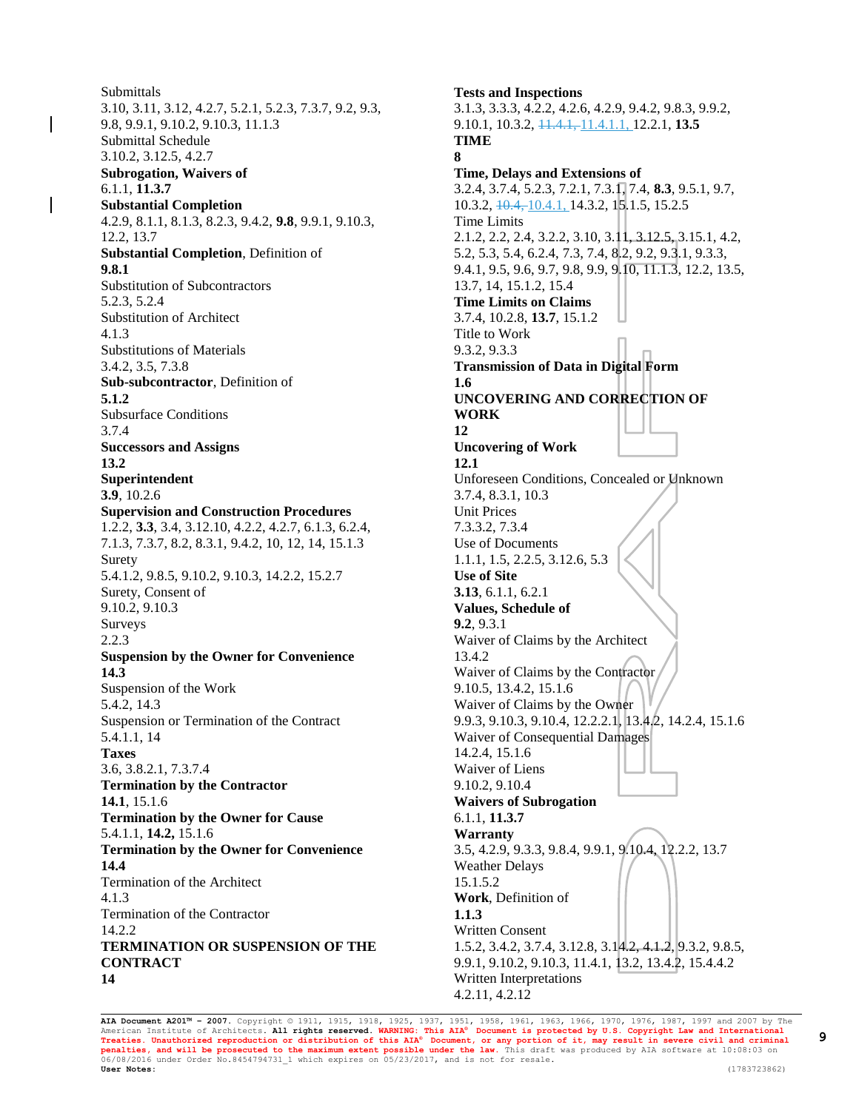Submittals 3.10, 3.11, 3.12, 4.2.7, 5.2.1, 5.2.3, 7.3.7, 9.2, 9.3, 9.8, 9.9.1, 9.10.2, 9.10.3, 11.1.3 Submittal Schedule 3.10.2, 3.12.5, 4.2.7 **Subrogation, Waivers of** 6.1.1, **11.3.7 Substantial Completion** 4.2.9, 8.1.1, 8.1.3, 8.2.3, 9.4.2, **9.8**, 9.9.1, 9.10.3, 12.2, 13.7 **Substantial Completion**, Definition of **9.8.1** Substitution of Subcontractors 5.2.3, 5.2.4 Substitution of Architect 4.1.3 Substitutions of Materials 3.4.2, 3.5, 7.3.8 **Sub-subcontractor**, Definition of **5.1.2** Subsurface Conditions 3.7.4 **Successors and Assigns 13.2 Superintendent 3.9**, 10.2.6 **Supervision and Construction Procedures** 1.2.2, **3.3**, 3.4, 3.12.10, 4.2.2, 4.2.7, 6.1.3, 6.2.4, 7.1.3, 7.3.7, 8.2, 8.3.1, 9.4.2, 10, 12, 14, 15.1.3 Surety 5.4.1.2, 9.8.5, 9.10.2, 9.10.3, 14.2.2, 15.2.7 Surety, Consent of 9.10.2, 9.10.3 Surveys 2.2.3 **Suspension by the Owner for Convenience 14.3** Suspension of the Work 5.4.2, 14.3 Suspension or Termination of the Contract 5.4.1.1, 14 **Taxes** 3.6, 3.8.2.1, 7.3.7.4 **Termination by the Contractor 14.1**, 15.1.6 **Termination by the Owner for Cause** 5.4.1.1, **14.2,** 15.1.6 **Termination by the Owner for Convenience 14.4** Termination of the Architect 4.1.3 Termination of the Contractor 14.2.2 **TERMINATION OR SUSPENSION OF THE CONTRACT 14**

**Tests and Inspections** 3.1.3, 3.3.3, 4.2.2, 4.2.6, 4.2.9, 9.4.2, 9.8.3, 9.9.2, 9.10.1, 10.3.2, 11.4.1, 11.4.1.1, 12.2.1, **13.5 TIME 8 Time, Delays and Extensions of** 3.2.4, 3.7.4, 5.2.3, 7.2.1, 7.3.1, 7.4, **8.3**, 9.5.1, 9.7, 10.3.2, 10.4, 10.4.1, 14.3.2, 15.1.5, 15.2.5 Time Limits 2.1.2, 2.2, 2.4, 3.2.2, 3.10, 3.11, 3.12.5, 3.15.1, 4.2, 5.2, 5.3, 5.4, 6.2.4, 7.3, 7.4, 8.2, 9.2, 9.3.1, 9.3.3, 9.4.1, 9.5, 9.6, 9.7, 9.8, 9.9, 9.10, 11.1.3, 12.2, 13.5, 13.7, 14, 15.1.2, 15.4 **Time Limits on Claims** 3.7.4, 10.2.8, **13.7**, 15.1.2 Title to Work 9.3.2, 9.3.3 **Transmission of Data in Digital Form 1.6 UNCOVERING AND CORRECTION OF WORK 12 Uncovering of Work 12.1** Unforeseen Conditions, Concealed or Unknown 3.7.4, 8.3.1, 10.3 Unit Prices 7.3.3.2, 7.3.4 Use of Documents 1.1.1, 1.5, 2.2.5, 3.12.6, 5.3 **Use of Site 3.13**, 6.1.1, 6.2.1 **Values, Schedule of 9.2**, 9.3.1 Waiver of Claims by the Architect 13.4.2 Waiver of Claims by the Contractor 9.10.5, 13.4.2, 15.1.6 Waiver of Claims by the Owner 9.9.3, 9.10.3, 9.10.4, 12.2.2.1, 13.4.2, 14.2.4, 15.1.6 Waiver of Consequential Damages 14.2.4, 15.1.6 Waiver of Liens 9.10.2, 9.10.4 **Waivers of Subrogation** 6.1.1, **11.3.7 Warranty** 3.5, 4.2.9, 9.3.3, 9.8.4, 9.9.1, 9.10.4, 12.2.2, 13.7 Weather Delays 15.1.5.2 **Work**, Definition of **1.1.3** Written Consent 1.5.2, 3.4.2, 3.7.4, 3.12.8, 3.14.2, 4.1.2, 9.3.2, 9.8.5, 9.9.1, 9.10.2, 9.10.3, 11.4.1, 13.2, 13.4.2, 15.4.4.2 Written Interpretations 4.2.11, 4.2.12

**AIA Document A201™ – 2007.** Copyright © 1911, 1915, 1918, 1925, 1937, 1951, 1958, 1961, 1963, 1966, 1970, 1976, 1987, 1997 and 2007 by The American Institute of Architects. <mark>All rights reserved. WARNING: This AIA® Document is protected by U.S. Copyright Law and International<br>Treaties. Unauthorized reproduction or distribution of this AIA® Document, or any por</mark>  $06/08/2016$  under Order No.8454794731\_1 which expires on  $05/23/2017$ , and is not for resale.<br>User Notes: **User Notes:** (1783723862)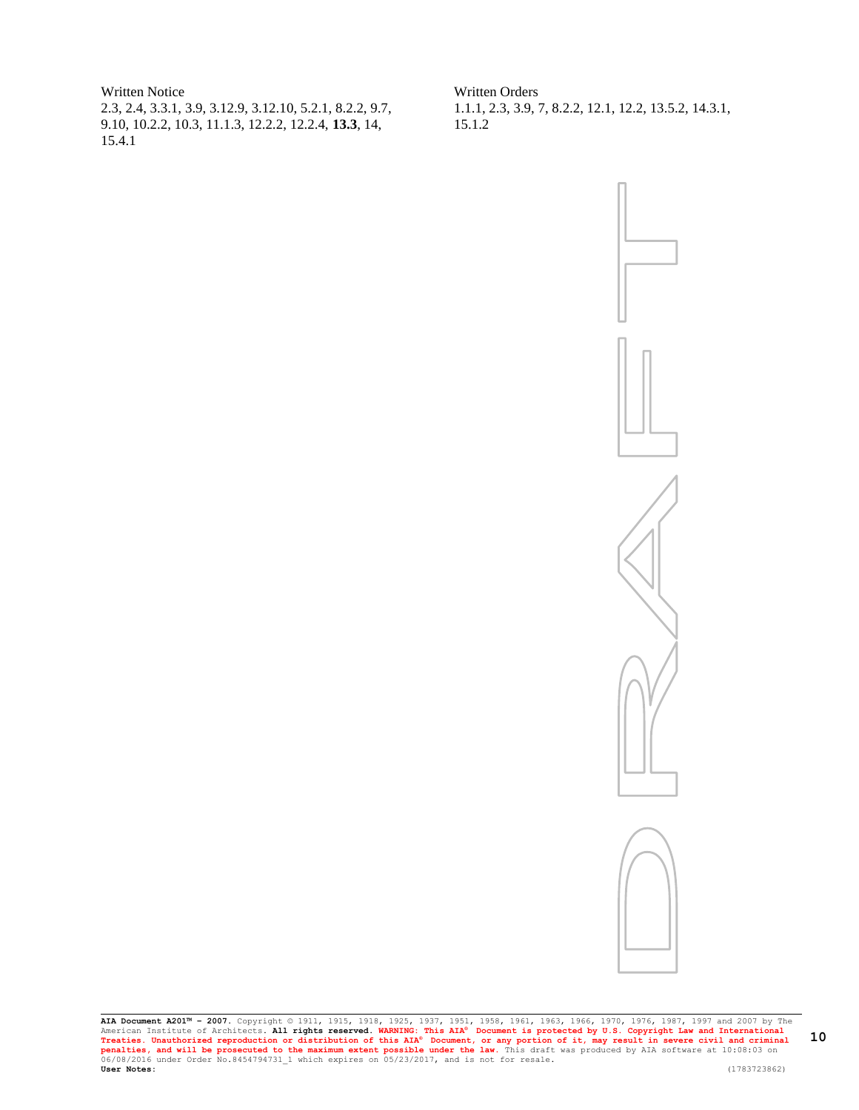Written Notice

2.3, 2.4, 3.3.1, 3.9, 3.12.9, 3.12.10, 5.2.1, 8.2.2, 9.7, 9.10, 10.2.2, 10.3, 11.1.3, 12.2.2, 12.2.4, **13.3**, 14, 15.4.1

Written Orders 1.1.1, 2.3, 3.9, 7, 8.2.2, 12.1, 12.2, 13.5.2, 14.3.1, 15.1.2



AIR Document A201<sup>m</sup> - 2007. Copyright © 1911, 1915, 1918, 1925, 1937, 1951, 1958, 1961, 1963, 1966, 1970, 1976, 1987, 1997 and 2007 by The American Institute of Architects. All rights reserved. WARNING: This AIR<sup>®</sup> Docume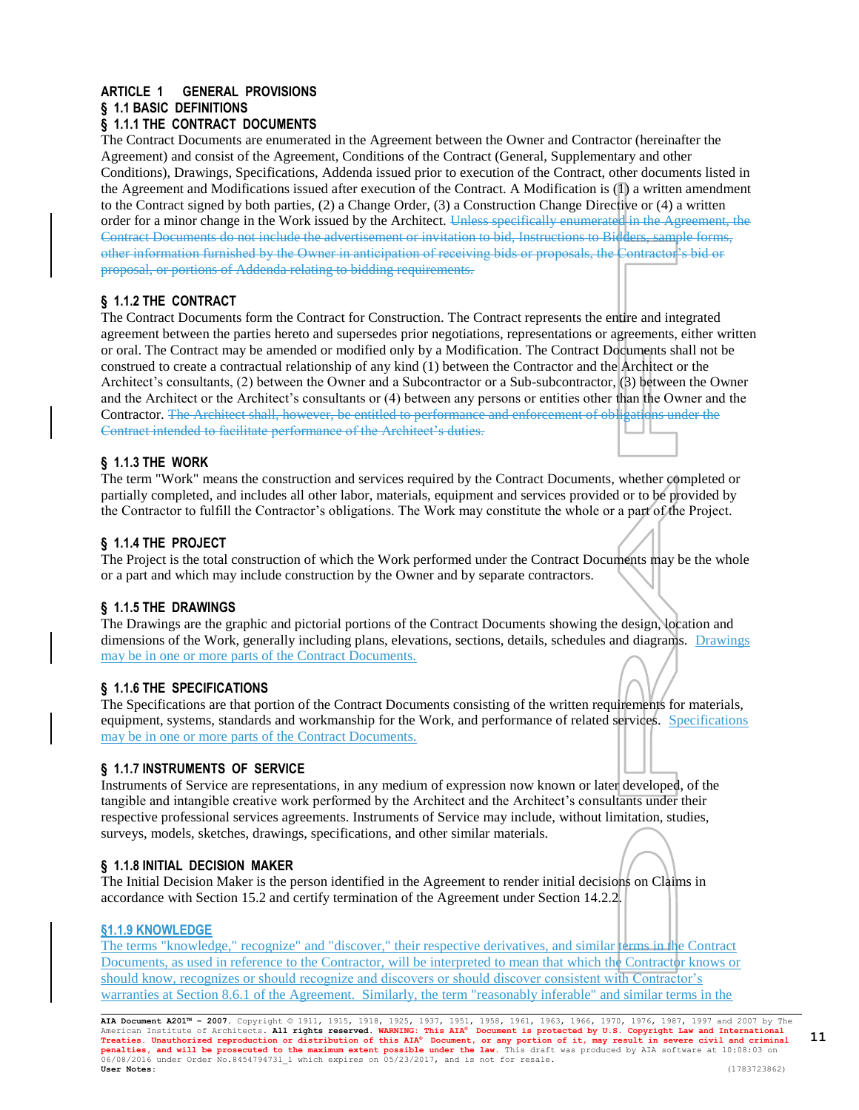# **ARTICLE 1 GENERAL PROVISIONS § 1.1 BASIC DEFINITIONS**

# **§ 1.1.1 THE CONTRACT DOCUMENTS**

The Contract Documents are enumerated in the Agreement between the Owner and Contractor (hereinafter the Agreement) and consist of the Agreement, Conditions of the Contract (General, Supplementary and other Conditions), Drawings, Specifications, Addenda issued prior to execution of the Contract, other documents listed in the Agreement and Modifications issued after execution of the Contract. A Modification is (1) a written amendment to the Contract signed by both parties, (2) a Change Order, (3) a Construction Change Directive or (4) a written order for a minor change in the Work issued by the Architect. Unless specifically enumerated in the Agreement, the Contract Documents do not include the advertisement or invitation to bid, Instructions to Bidders, sample forms, other information furnished by the Owner in anticipation of receiving bids or proposals, the Contractor's bid or proposal, or portions of Addenda relating to bidding requirements.

### **§ 1.1.2 THE CONTRACT**

The Contract Documents form the Contract for Construction. The Contract represents the entire and integrated agreement between the parties hereto and supersedes prior negotiations, representations or agreements, either written or oral. The Contract may be amended or modified only by a Modification. The Contract Documents shall not be construed to create a contractual relationship of any kind (1) between the Contractor and the Architect or the Architect's consultants, (2) between the Owner and a Subcontractor or a Sub-subcontractor, (3) between the Owner and the Architect or the Architect's consultants or (4) between any persons or entities other than the Owner and the Contractor. The Architect shall, however, be entitled to performance and enforcement of obligations under the Contract intended to facilitate performance of the Architect's duties.

### **§ 1.1.3 THE WORK**

The term "Work" means the construction and services required by the Contract Documents, whether completed or partially completed, and includes all other labor, materials, equipment and services provided or to be provided by the Contractor to fulfill the Contractor's obligations. The Work may constitute the whole or a part of the Project.

### **§ 1.1.4 THE PROJECT**

The Project is the total construction of which the Work performed under the Contract Documents may be the whole or a part and which may include construction by the Owner and by separate contractors.

### **§ 1.1.5 THE DRAWINGS**

The Drawings are the graphic and pictorial portions of the Contract Documents showing the design, location and dimensions of the Work, generally including plans, elevations, sections, details, schedules and diagrams. Drawings may be in one or more parts of the Contract Documents.

### **§ 1.1.6 THE SPECIFICATIONS**

The Specifications are that portion of the Contract Documents consisting of the written requirements for materials, equipment, systems, standards and workmanship for the Work, and performance of related services. Specifications may be in one or more parts of the Contract Documents.

### **§ 1.1.7 INSTRUMENTS OF SERVICE**

Instruments of Service are representations, in any medium of expression now known or later developed, of the tangible and intangible creative work performed by the Architect and the Architect's consultants under their respective professional services agreements. Instruments of Service may include, without limitation, studies, surveys, models, sketches, drawings, specifications, and other similar materials.

# **§ 1.1.8 INITIAL DECISION MAKER**

The Initial Decision Maker is the person identified in the Agreement to render initial decisions on Claims in accordance with Section 15.2 and certify termination of the Agreement under Section 14.2.2.

### **§1.1.9 KNOWLEDGE**

The terms "knowledge," recognize" and "discover," their respective derivatives, and similar terms in the Contract Documents, as used in reference to the Contractor, will be interpreted to mean that which the Contractor knows or should know, recognizes or should recognize and discovers or should discover consistent with Contractor's warranties at Section 8.6.1 of the Agreement. Similarly, the term "reasonably inferable" and similar terms in the

**AIA Document A201™ – 2007.** Copyright © 1911, 1915, 1918, 1925, 1937, 1951, 1958, 1961, 1963, 1966, 1970, 1976, 1987, 1997 and 2007 by The American Institute of Architects. <mark>All rights reserved. WARNING: This AIA® Document is protected by U.S. Copyright Law and International<br>Treaties. Unauthorized reproduction or distribution of this AIA® Document, or any por</mark>  $06/08/2016$  under Order No.8454794731\_1 which expires on  $05/23/2017$ , and is not for resale.<br>User Notes: **User Notes:** (1783723862)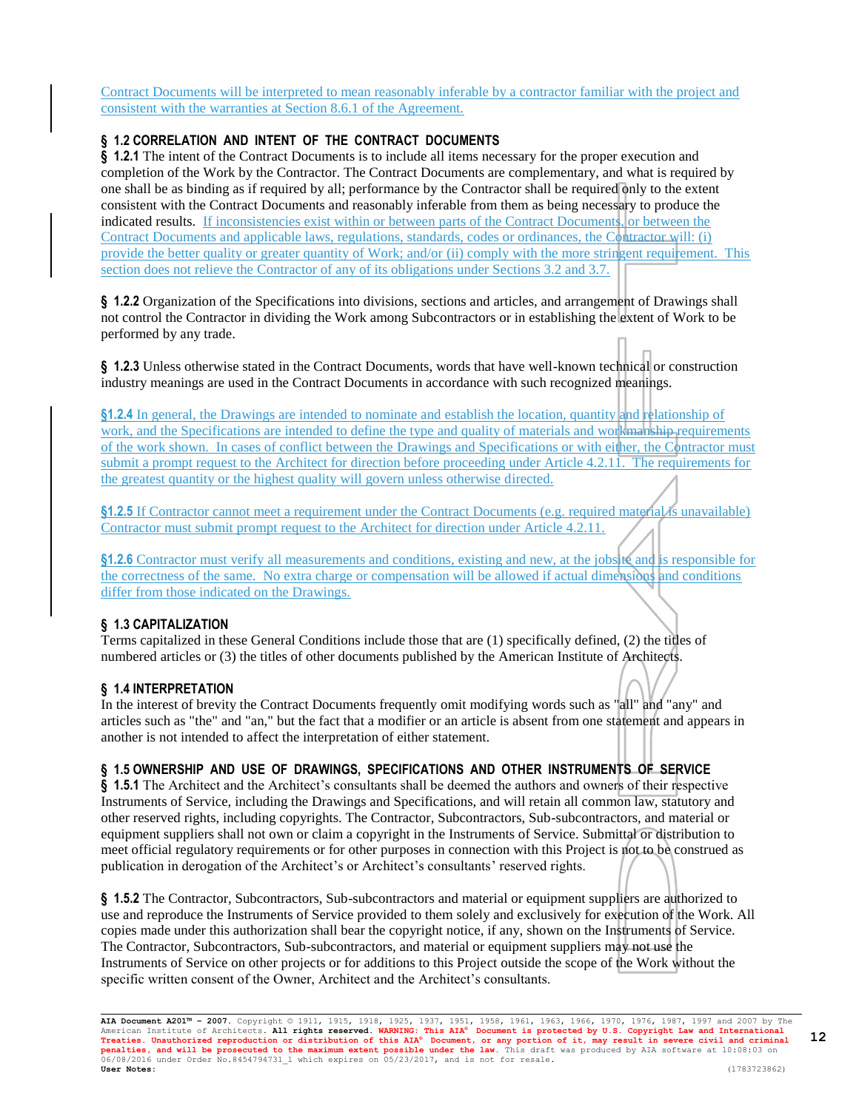Contract Documents will be interpreted to mean reasonably inferable by a contractor familiar with the project and consistent with the warranties at Section 8.6.1 of the Agreement.

# **§ 1.2 CORRELATION AND INTENT OF THE CONTRACT DOCUMENTS**

**§ 1.2.1** The intent of the Contract Documents is to include all items necessary for the proper execution and completion of the Work by the Contractor. The Contract Documents are complementary, and what is required by one shall be as binding as if required by all; performance by the Contractor shall be required only to the extent consistent with the Contract Documents and reasonably inferable from them as being necessary to produce the indicated results. If inconsistencies exist within or between parts of the Contract Documents, or between the Contract Documents and applicable laws, regulations, standards, codes or ordinances, the Contractor will: (i) provide the better quality or greater quantity of Work; and/or (ii) comply with the more stringent requirement. This section does not relieve the Contractor of any of its obligations under Sections 3.2 and 3.7.

**§ 1.2.2** Organization of the Specifications into divisions, sections and articles, and arrangement of Drawings shall not control the Contractor in dividing the Work among Subcontractors or in establishing the extent of Work to be performed by any trade.

**§ 1.2.3** Unless otherwise stated in the Contract Documents, words that have well-known technical or construction industry meanings are used in the Contract Documents in accordance with such recognized meanings.

**§1.2.4** In general, the Drawings are intended to nominate and establish the location, quantity and relationship of work, and the Specifications are intended to define the type and quality of materials and workmanship requirements of the work shown. In cases of conflict between the Drawings and Specifications or with either, the Contractor must submit a prompt request to the Architect for direction before proceeding under Article  $4.2.1\overline{1}$ . The requirements for the greatest quantity or the highest quality will govern unless otherwise directed.

**§1.2.5** If Contractor cannot meet a requirement under the Contract Documents (e.g. required material is unavailable) Contractor must submit prompt request to the Architect for direction under Article 4.2.11.

**§1.2.6** Contractor must verify all measurements and conditions, existing and new, at the jobsite and is responsible for the correctness of the same. No extra charge or compensation will be allowed if actual dimensions and conditions differ from those indicated on the Drawings.

### **§ 1.3 CAPITALIZATION**

Terms capitalized in these General Conditions include those that are (1) specifically defined, (2) the titles of numbered articles or (3) the titles of other documents published by the American Institute of Architects.

### **§ 1.4 INTERPRETATION**

In the interest of brevity the Contract Documents frequently omit modifying words such as "all" and "any" and articles such as "the" and "an," but the fact that a modifier or an article is absent from one statement and appears in another is not intended to affect the interpretation of either statement.

### **§ 1.5 OWNERSHIP AND USE OF DRAWINGS, SPECIFICATIONS AND OTHER INSTRUMENTS OF SERVICE**

**§ 1.5.1** The Architect and the Architect's consultants shall be deemed the authors and owners of their respective Instruments of Service, including the Drawings and Specifications, and will retain all common law, statutory and other reserved rights, including copyrights. The Contractor, Subcontractors, Sub-subcontractors, and material or equipment suppliers shall not own or claim a copyright in the Instruments of Service. Submittal or distribution to meet official regulatory requirements or for other purposes in connection with this Project is not to be construed as publication in derogation of the Architect's or Architect's consultants' reserved rights.

**§ 1.5.2** The Contractor, Subcontractors, Sub-subcontractors and material or equipment suppliers are authorized to use and reproduce the Instruments of Service provided to them solely and exclusively for execution of the Work. All copies made under this authorization shall bear the copyright notice, if any, shown on the Instruments of Service. The Contractor, Subcontractors, Sub-subcontractors, and material or equipment suppliers may not use the Instruments of Service on other projects or for additions to this Project outside the scope of the Work without the specific written consent of the Owner, Architect and the Architect's consultants.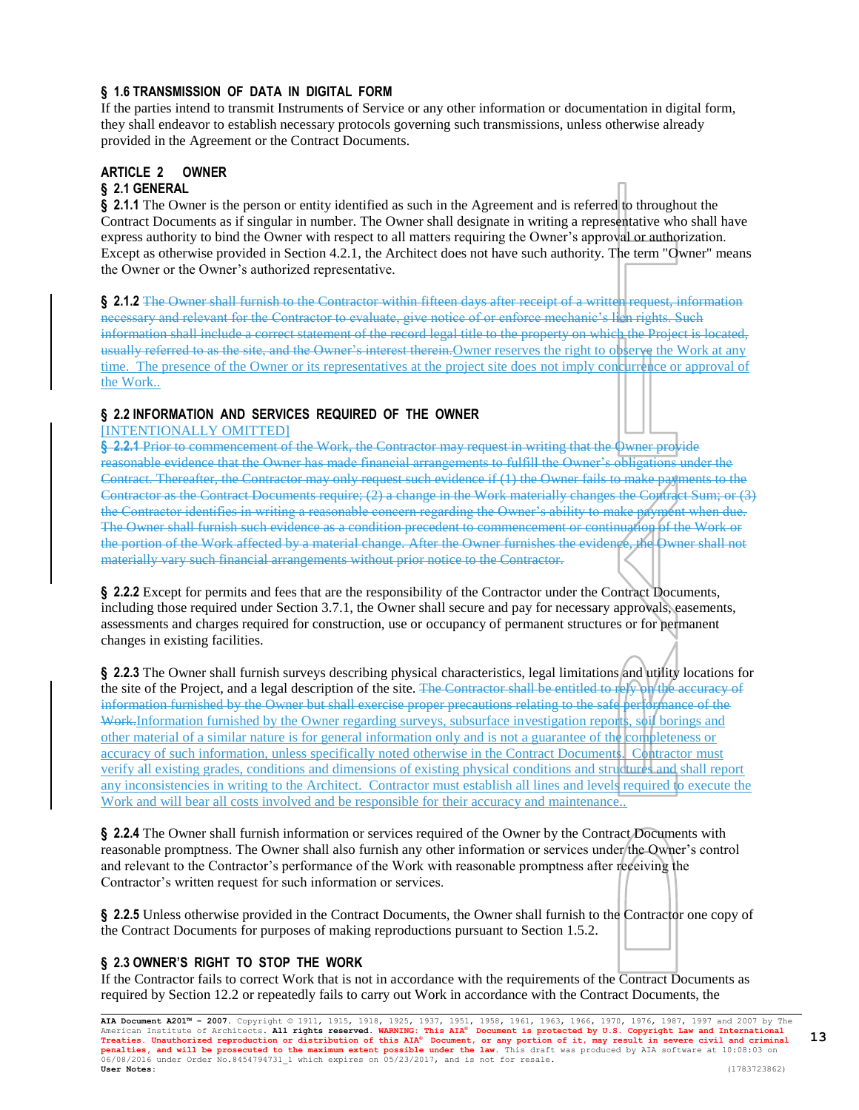# **§ 1.6 TRANSMISSION OF DATA IN DIGITAL FORM**

If the parties intend to transmit Instruments of Service or any other information or documentation in digital form, they shall endeavor to establish necessary protocols governing such transmissions, unless otherwise already provided in the Agreement or the Contract Documents.

# **ARTICLE 2 OWNER**

### **§ 2.1 GENERAL**

**§ 2.1.1** The Owner is the person or entity identified as such in the Agreement and is referred to throughout the Contract Documents as if singular in number. The Owner shall designate in writing a representative who shall have express authority to bind the Owner with respect to all matters requiring the Owner's approval or authorization. Except as otherwise provided in Section 4.2.1, the Architect does not have such authority. The term "Owner" means the Owner or the Owner's authorized representative.

**§ 2.1.2** The Owner shall furnish to the Contractor within fifteen days after receipt of a written request, information necessary and relevant for the Contractor to evaluate, give notice of or enforce mechanic's lien rights. Such information shall include a correct statement of the record legal title to the property on which the Project is located, usually referred to as the site, and the Owner's interest therein.Owner reserves the right to observe the Work at any time. The presence of the Owner or its representatives at the project site does not imply concurrence or approval of the Work..

# **§ 2.2 INFORMATION AND SERVICES REQUIRED OF THE OWNER**

[INTENTIONALLY OMITTED]

**§ 2.2.1** Prior to commencement of the Work, the Contractor may request in writing that the Owner provide reasonable evidence that the Owner has made financial arrangements to fulfill the Owner's obligations under the Contract. Thereafter, the Contractor may only request such evidence if (1) the Owner fails to make payments to the Contractor as the Contract Documents require; (2) a change in the Work materially changes the Contract Sum; or (3) the Contractor identifies in writing a reasonable concern regarding the Owner's ability to make payment when due. The Owner shall furnish such evidence as a condition precedent to commencement or continuation of the Work or the portion of the Work affected by a material change. After the Owner furnishes the evidence, the Owner shall not materially vary such financial arrangements without prior notice to the Contractor.

**§ 2.2.2** Except for permits and fees that are the responsibility of the Contractor under the Contract Documents, including those required under Section 3.7.1, the Owner shall secure and pay for necessary approvals, easements, assessments and charges required for construction, use or occupancy of permanent structures or for permanent changes in existing facilities.

**§ 2.2.3** The Owner shall furnish surveys describing physical characteristics, legal limitations and utility locations for the site of the Project, and a legal description of the site. The Contractor shall be entitled to rely  $\mathbf{b}$  with the accuracy of information furnished by the Owner but shall exercise proper precautions relating to the safe performance of the Work.Information furnished by the Owner regarding surveys, subsurface investigation reports, soil borings and other material of a similar nature is for general information only and is not a guarantee of the completeness or accuracy of such information, unless specifically noted otherwise in the Contract Documents. Contractor must verify all existing grades, conditions and dimensions of existing physical conditions and structures and shall report any inconsistencies in writing to the Architect. Contractor must establish all lines and levels required to execute the Work and will bear all costs involved and be responsible for their accuracy and maintenance...

**§ 2.2.4** The Owner shall furnish information or services required of the Owner by the Contract Documents with reasonable promptness. The Owner shall also furnish any other information or services under the Owner's control and relevant to the Contractor's performance of the Work with reasonable promptness after receiving the Contractor's written request for such information or services.

**§ 2.2.5** Unless otherwise provided in the Contract Documents, the Owner shall furnish to the Contractor one copy of the Contract Documents for purposes of making reproductions pursuant to Section 1.5.2.

# **§ 2.3 OWNER'S RIGHT TO STOP THE WORK**

If the Contractor fails to correct Work that is not in accordance with the requirements of the Contract Documents as required by Section 12.2 or repeatedly fails to carry out Work in accordance with the Contract Documents, the

**AIA Document A201™ – 2007.** Copyright © 1911, 1915, 1918, 1925, 1937, 1951, 1958, 1961, 1963, 1966, 1970, 1976, 1987, 1997 and 2007 by The American Institute of Architects. <mark>All rights reserved. WARNING: This AIA® Document is protected by U.S. Copyright Law and International<br>Treaties. Unauthorized reproduction or distribution of this AIA® Document, or any por</mark>  $06/08/2016$  under Order No.8454794731\_1 which expires on  $05/23/2017$ , and is not for resale.<br>User Notes: **User Notes:** (1783723862)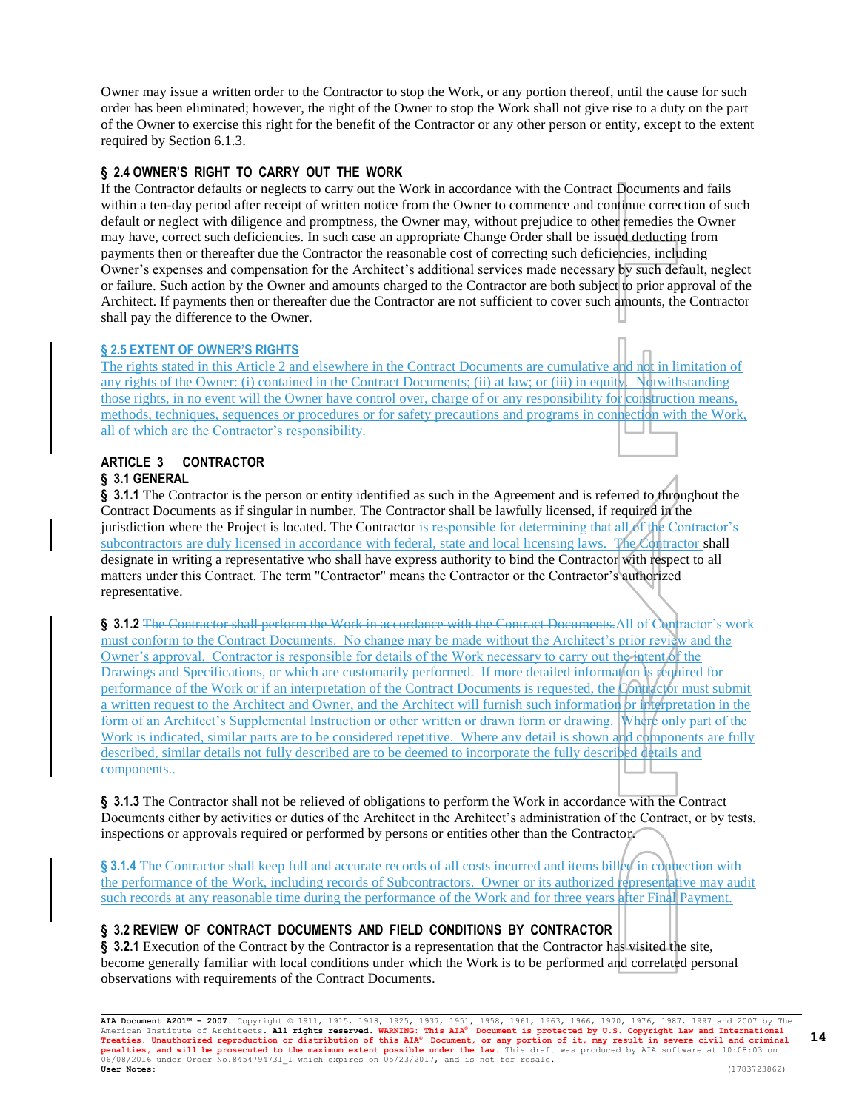Owner may issue a written order to the Contractor to stop the Work, or any portion thereof, until the cause for such order has been eliminated; however, the right of the Owner to stop the Work shall not give rise to a duty on the part of the Owner to exercise this right for the benefit of the Contractor or any other person or entity, except to the extent required by Section 6.1.3.

# **§ 2.4 OWNER'S RIGHT TO CARRY OUT THE WORK**

If the Contractor defaults or neglects to carry out the Work in accordance with the Contract Documents and fails within a ten-day period after receipt of written notice from the Owner to commence and continue correction of such default or neglect with diligence and promptness, the Owner may, without prejudice to other remedies the Owner may have, correct such deficiencies. In such case an appropriate Change Order shall be issued deducting from payments then or thereafter due the Contractor the reasonable cost of correcting such deficiencies, including Owner's expenses and compensation for the Architect's additional services made necessary by such default, neglect or failure. Such action by the Owner and amounts charged to the Contractor are both subject to prior approval of the Architect. If payments then or thereafter due the Contractor are not sufficient to cover such amounts, the Contractor shall pay the difference to the Owner.

### **§ 2.5 EXTENT OF OWNER'S RIGHTS**

The rights stated in this Article 2 and elsewhere in the Contract Documents are cumulative and not in limitation of any rights of the Owner: (i) contained in the Contract Documents; (ii) at law; or (iii) in equity. Notwithstanding those rights, in no event will the Owner have control over, charge of or any responsibility for construction means, methods, techniques, sequences or procedures or for safety precautions and programs in connection with the Work, all of which are the Contractor's responsibility.

# **ARTICLE 3 CONTRACTOR**

# **§ 3.1 GENERAL**

**§ 3.1.1** The Contractor is the person or entity identified as such in the Agreement and is referred to throughout the Contract Documents as if singular in number. The Contractor shall be lawfully licensed, if required in the jurisdiction where the Project is located. The Contractor is responsible for determining that all of the Contractor's subcontractors are duly licensed in accordance with federal, state and local licensing laws. The Contractor shall designate in writing a representative who shall have express authority to bind the Contractor with respect to all matters under this Contract. The term "Contractor" means the Contractor or the Contractor's authorized representative.

**§ 3.1.2** The Contractor shall perform the Work in accordance with the Contract Documents.All of Contractor's work must conform to the Contract Documents. No change may be made without the Architect's prior review and the Owner's approval. Contractor is responsible for details of the Work necessary to carry out the intent of the Drawings and Specifications, or which are customarily performed. If more detailed information is required for performance of the Work or if an interpretation of the Contract Documents is requested, the Contractor must submit a written request to the Architect and Owner, and the Architect will furnish such information or interpretation in the form of an Architect's Supplemental Instruction or other written or drawn form or drawing. Where only part of the Work is indicated, similar parts are to be considered repetitive. Where any detail is shown and components are fully described, similar details not fully described are to be deemed to incorporate the fully described details and components..

**§ 3.1.3** The Contractor shall not be relieved of obligations to perform the Work in accordance with the Contract Documents either by activities or duties of the Architect in the Architect's administration of the Contract, or by tests, inspections or approvals required or performed by persons or entities other than the Contractor.

§ 3.1.4 The Contractor shall keep full and accurate records of all costs incurred and items billed in connection with the performance of the Work, including records of Subcontractors. Owner or its authorized representative may audit such records at any reasonable time during the performance of the Work and for three years after Final Payment.

### **§ 3.2 REVIEW OF CONTRACT DOCUMENTS AND FIELD CONDITIONS BY CONTRACTOR**

**§ 3.2.1** Execution of the Contract by the Contractor is a representation that the Contractor has visited the site, become generally familiar with local conditions under which the Work is to be performed and correlated personal observations with requirements of the Contract Documents.

**AIA Document A201™ – 2007.** Copyright © 1911, 1915, 1918, 1925, 1937, 1951, 1958, 1961, 1963, 1966, 1970, 1976, 1987, 1997 and 2007 by The American Institute of Architects. <mark>All rights reserved. WARNING: This AIA® Document is protected by U.S. Copyright Law and International<br>Treaties. Unauthorized reproduction or distribution of this AIA® Document, or any por</mark>  $06/08/2016$  under Order No.8454794731\_1 which expires on  $05/23/2017$ , and is not for resale.<br>User Notes: **User Notes:** (1783723862)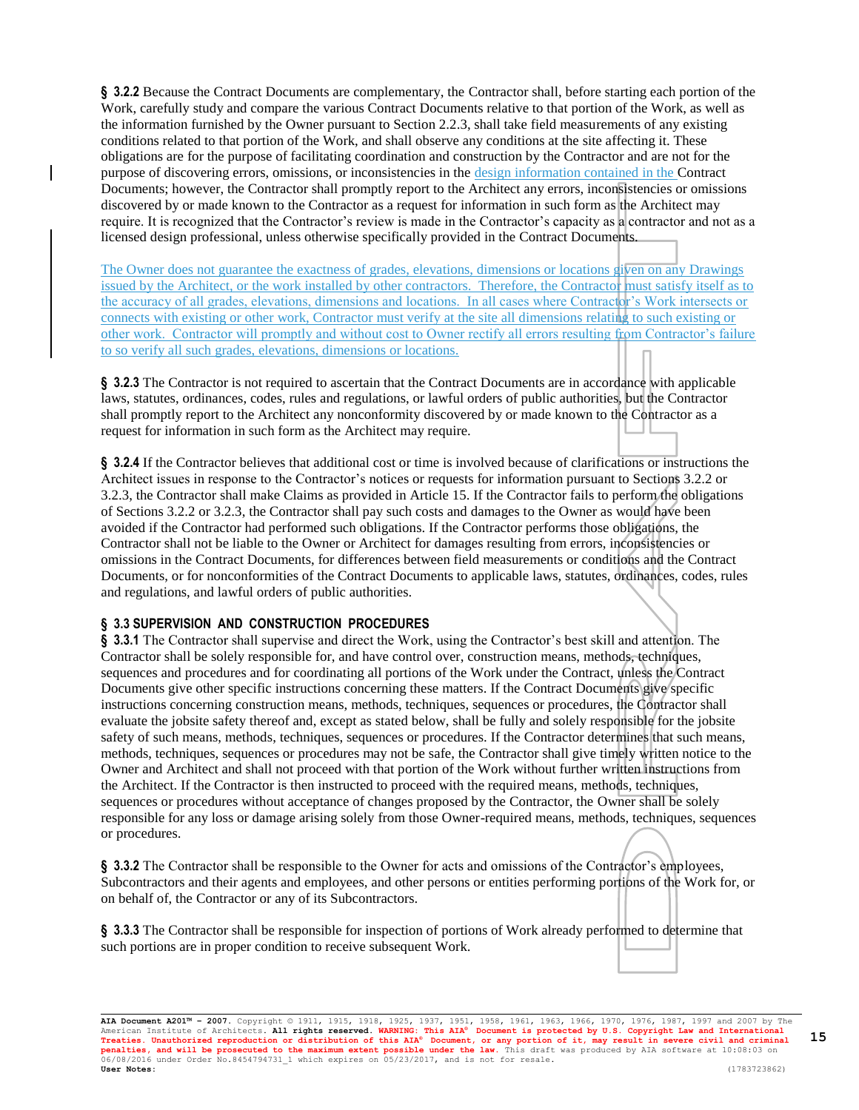**§ 3.2.2** Because the Contract Documents are complementary, the Contractor shall, before starting each portion of the Work, carefully study and compare the various Contract Documents relative to that portion of the Work, as well as the information furnished by the Owner pursuant to Section 2.2.3, shall take field measurements of any existing conditions related to that portion of the Work, and shall observe any conditions at the site affecting it. These obligations are for the purpose of facilitating coordination and construction by the Contractor and are not for the purpose of discovering errors, omissions, or inconsistencies in the design information contained in the Contract Documents; however, the Contractor shall promptly report to the Architect any errors, inconsistencies or omissions discovered by or made known to the Contractor as a request for information in such form as the Architect may require. It is recognized that the Contractor's review is made in the Contractor's capacity as a contractor and not as a licensed design professional, unless otherwise specifically provided in the Contract Documents.

The Owner does not guarantee the exactness of grades, elevations, dimensions or locations given on any Drawings issued by the Architect, or the work installed by other contractors. Therefore, the Contractor must satisfy itself as to the accuracy of all grades, elevations, dimensions and locations. In all cases where Contractor's Work intersects or connects with existing or other work, Contractor must verify at the site all dimensions relating to such existing or other work. Contractor will promptly and without cost to Owner rectify all errors resulting from Contractor's failure to so verify all such grades, elevations, dimensions or locations.

**§ 3.2.3** The Contractor is not required to ascertain that the Contract Documents are in accordance with applicable laws, statutes, ordinances, codes, rules and regulations, or lawful orders of public authorities, but the Contractor shall promptly report to the Architect any nonconformity discovered by or made known to the Contractor as a request for information in such form as the Architect may require.

**§ 3.2.4** If the Contractor believes that additional cost or time is involved because of clarifications or instructions the Architect issues in response to the Contractor's notices or requests for information pursuant to Sections 3.2.2 or 3.2.3, the Contractor shall make Claims as provided in Article 15. If the Contractor fails to perform the obligations of Sections 3.2.2 or 3.2.3, the Contractor shall pay such costs and damages to the Owner as would have been avoided if the Contractor had performed such obligations. If the Contractor performs those obligations, the Contractor shall not be liable to the Owner or Architect for damages resulting from errors, inconsistencies or omissions in the Contract Documents, for differences between field measurements or conditions and the Contract Documents, or for nonconformities of the Contract Documents to applicable laws, statutes, ordinances, codes, rules and regulations, and lawful orders of public authorities.

# **§ 3.3 SUPERVISION AND CONSTRUCTION PROCEDURES**

**§ 3.3.1** The Contractor shall supervise and direct the Work, using the Contractor's best skill and attention. The Contractor shall be solely responsible for, and have control over, construction means, methods, techniques, sequences and procedures and for coordinating all portions of the Work under the Contract, unless the Contract Documents give other specific instructions concerning these matters. If the Contract Documents give specific instructions concerning construction means, methods, techniques, sequences or procedures, the Contractor shall evaluate the jobsite safety thereof and, except as stated below, shall be fully and solely responsible for the jobsite safety of such means, methods, techniques, sequences or procedures. If the Contractor determines that such means, methods, techniques, sequences or procedures may not be safe, the Contractor shall give timely written notice to the Owner and Architect and shall not proceed with that portion of the Work without further written instructions from the Architect. If the Contractor is then instructed to proceed with the required means, methods, techniques, sequences or procedures without acceptance of changes proposed by the Contractor, the Owner shall be solely responsible for any loss or damage arising solely from those Owner-required means, methods, techniques, sequences or procedures.

**§ 3.3.2** The Contractor shall be responsible to the Owner for acts and omissions of the Contractor's employees, Subcontractors and their agents and employees, and other persons or entities performing portions of the Work for, or on behalf of, the Contractor or any of its Subcontractors.

**§ 3.3.3** The Contractor shall be responsible for inspection of portions of Work already performed to determine that such portions are in proper condition to receive subsequent Work.

**AIA Document A201™ – 2007.** Copyright © 1911, 1915, 1918, 1925, 1937, 1951, 1958, 1961, 1963, 1966, 1970, 1976, 1987, 1997 and 2007 by The American Institute of Architects. <mark>All rights reserved. WARNING: This AIA® Document is protected by U.S. Copyright Law and International<br>Treaties. Unauthorized reproduction or distribution of this AIA® Document, or any por</mark>  $06/08/2016$  under Order No.8454794731\_1 which expires on  $05/23/2017$ , and is not for resale.<br>User Notes: **User Notes:** (1783723862)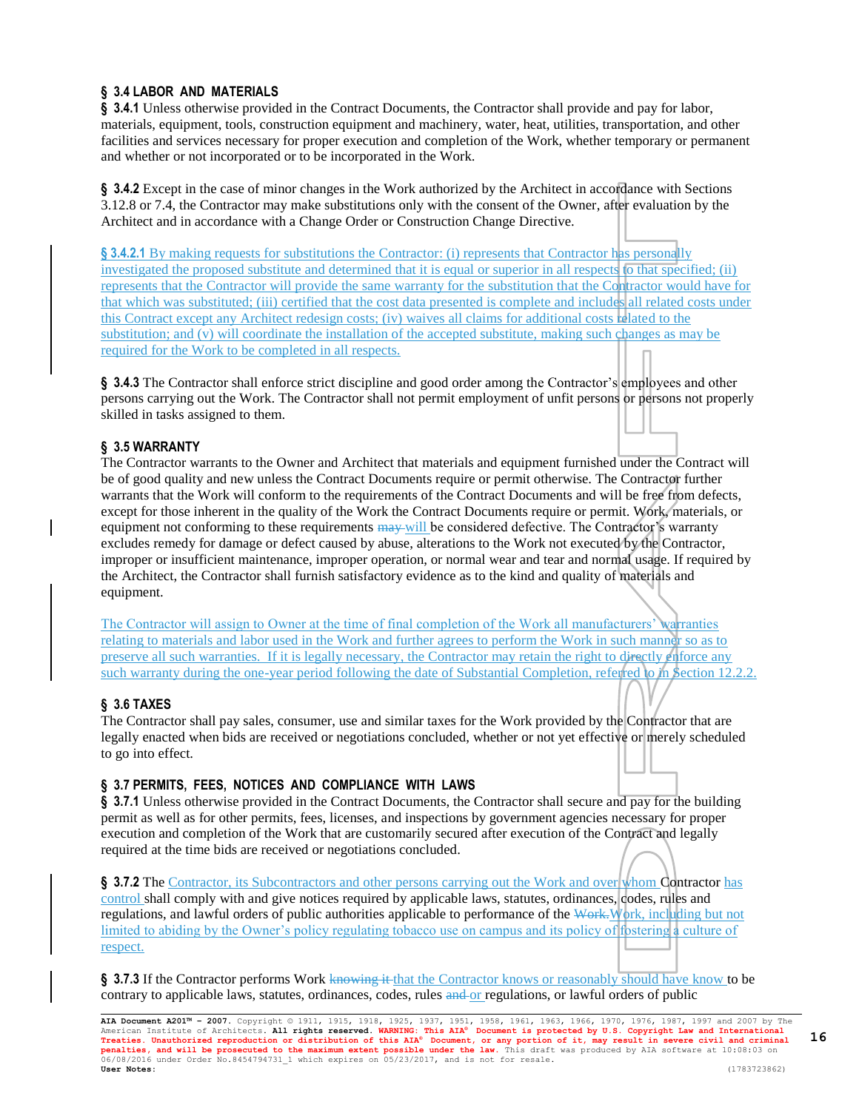# **§ 3.4 LABOR AND MATERIALS**

**§ 3.4.1** Unless otherwise provided in the Contract Documents, the Contractor shall provide and pay for labor, materials, equipment, tools, construction equipment and machinery, water, heat, utilities, transportation, and other facilities and services necessary for proper execution and completion of the Work, whether temporary or permanent and whether or not incorporated or to be incorporated in the Work.

**§ 3.4.2** Except in the case of minor changes in the Work authorized by the Architect in accordance with Sections 3.12.8 or 7.4, the Contractor may make substitutions only with the consent of the Owner, after evaluation by the Architect and in accordance with a Change Order or Construction Change Directive.

**§ 3.4.2.1** By making requests for substitutions the Contractor: (i) represents that Contractor has personally investigated the proposed substitute and determined that it is equal or superior in all respects to that specified; (ii) represents that the Contractor will provide the same warranty for the substitution that the Contractor would have for that which was substituted; (iii) certified that the cost data presented is complete and includes all related costs under this Contract except any Architect redesign costs; (iv) waives all claims for additional costs related to the substitution; and (v) will coordinate the installation of the accepted substitute, making such changes as may be required for the Work to be completed in all respects.

**§ 3.4.3** The Contractor shall enforce strict discipline and good order among the Contractor's employees and other persons carrying out the Work. The Contractor shall not permit employment of unfit persons or persons not properly skilled in tasks assigned to them.

# **§ 3.5 WARRANTY**

The Contractor warrants to the Owner and Architect that materials and equipment furnished under the Contract will be of good quality and new unless the Contract Documents require or permit otherwise. The Contractor further warrants that the Work will conform to the requirements of the Contract Documents and will be free from defects, except for those inherent in the quality of the Work the Contract Documents require or permit. Work, materials, or equipment not conforming to these requirements may will be considered defective. The Contractor's warranty excludes remedy for damage or defect caused by abuse, alterations to the Work not executed by the Contractor, improper or insufficient maintenance, improper operation, or normal wear and tear and normal usage. If required by the Architect, the Contractor shall furnish satisfactory evidence as to the kind and quality of materials and equipment.

The Contractor will assign to Owner at the time of final completion of the Work all manufacturers' warranties relating to materials and labor used in the Work and further agrees to perform the Work in such manner so as to preserve all such warranties. If it is legally necessary, the Contractor may retain the right to directly enforce any such warranty during the one-year period following the date of Substantial Completion, referred to in Section 12.2.2.

# **§ 3.6 TAXES**

The Contractor shall pay sales, consumer, use and similar taxes for the Work provided by the Contractor that are legally enacted when bids are received or negotiations concluded, whether or not yet effective or merely scheduled to go into effect.

### **§ 3.7 PERMITS, FEES, NOTICES AND COMPLIANCE WITH LAWS**

**§ 3.7.1** Unless otherwise provided in the Contract Documents, the Contractor shall secure and pay for the building permit as well as for other permits, fees, licenses, and inspections by government agencies necessary for proper execution and completion of the Work that are customarily secured after execution of the Contract and legally required at the time bids are received or negotiations concluded.

§ **3.7.2** The Contractor, its Subcontractors and other persons carrying out the Work and over whom Contractor has control shall comply with and give notices required by applicable laws, statutes, ordinances, codes, rules and regulations, and lawful orders of public authorities applicable to performance of the Work. Work, including but not limited to abiding by the Owner's policy regulating tobacco use on campus and its policy of fostering a culture of respect.

**§ 3.7.3** If the Contractor performs Work knowing it that the Contractor knows or reasonably should have know to be contrary to applicable laws, statutes, ordinances, codes, rules and or regulations, or lawful orders of public

**AIA Document A201™ – 2007.** Copyright © 1911, 1915, 1918, 1925, 1937, 1951, 1958, 1961, 1963, 1966, 1970, 1976, 1987, 1997 and 2007 by The American Institute of Architects. <mark>All rights reserved. WARNING: This AIA® Document is protected by U.S. Copyright Law and International<br>Treaties. Unauthorized reproduction or distribution of this AIA® Document, or any por</mark>  $06/08/2016$  under Order No.8454794731\_1 which expires on  $05/23/2017$ , and is not for resale.<br>User Notes: **User Notes:** (1783723862)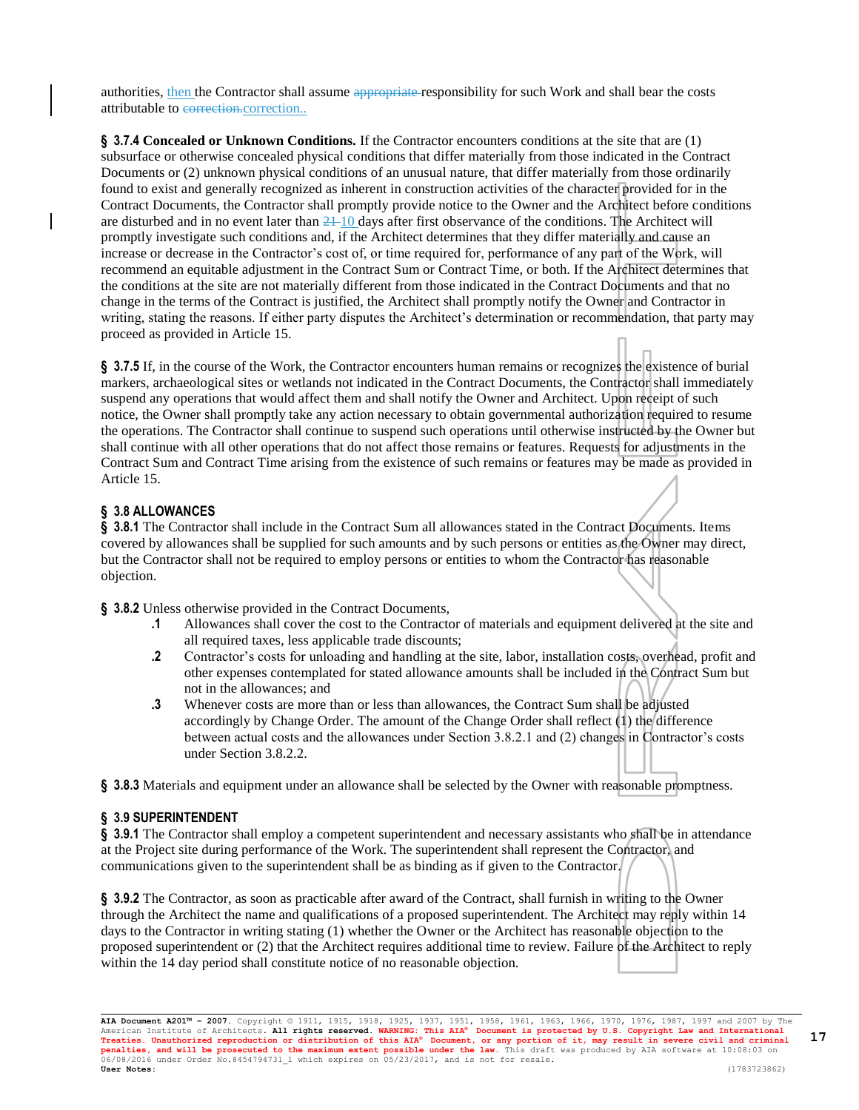authorities, then the Contractor shall assume appropriate responsibility for such Work and shall bear the costs attributable to correction.correction..

**§ 3.7.4 Concealed or Unknown Conditions.** If the Contractor encounters conditions at the site that are (1) subsurface or otherwise concealed physical conditions that differ materially from those indicated in the Contract Documents or (2) unknown physical conditions of an unusual nature, that differ materially from those ordinarily found to exist and generally recognized as inherent in construction activities of the character provided for in the Contract Documents, the Contractor shall promptly provide notice to the Owner and the Architect before conditions are disturbed and in no event later than  $2\frac{1}{10}$  days after first observance of the conditions. The Architect will promptly investigate such conditions and, if the Architect determines that they differ materially and cause an increase or decrease in the Contractor's cost of, or time required for, performance of any part of the Work, will recommend an equitable adjustment in the Contract Sum or Contract Time, or both. If the Architect determines that the conditions at the site are not materially different from those indicated in the Contract Documents and that no change in the terms of the Contract is justified, the Architect shall promptly notify the Owner and Contractor in writing, stating the reasons. If either party disputes the Architect's determination or recommendation, that party may proceed as provided in Article 15.

**§ 3.7.5** If, in the course of the Work, the Contractor encounters human remains or recognizes the existence of burial markers, archaeological sites or wetlands not indicated in the Contract Documents, the Contractor shall immediately suspend any operations that would affect them and shall notify the Owner and Architect. Upon receipt of such notice, the Owner shall promptly take any action necessary to obtain governmental authorization required to resume the operations. The Contractor shall continue to suspend such operations until otherwise instructed by the Owner but shall continue with all other operations that do not affect those remains or features. Requests for adjustments in the Contract Sum and Contract Time arising from the existence of such remains or features may be made as provided in Article 15.

### **§ 3.8 ALLOWANCES**

**§ 3.8.1** The Contractor shall include in the Contract Sum all allowances stated in the Contract Documents. Items covered by allowances shall be supplied for such amounts and by such persons or entities as the Owner may direct, but the Contractor shall not be required to employ persons or entities to whom the Contractor has reasonable objection.

**§ 3.8.2** Unless otherwise provided in the Contract Documents,

- **.1** Allowances shall cover the cost to the Contractor of materials and equipment delivered at the site and all required taxes, less applicable trade discounts;
- **.2** Contractor's costs for unloading and handling at the site, labor, installation costs, overhead, profit and other expenses contemplated for stated allowance amounts shall be included in the Contract Sum but not in the allowances; and
- **.3** Whenever costs are more than or less than allowances, the Contract Sum shall be adjusted accordingly by Change Order. The amount of the Change Order shall reflect (1) the difference between actual costs and the allowances under Section 3.8.2.1 and (2) changes in Contractor's costs under Section 3.8.2.2.

**§ 3.8.3** Materials and equipment under an allowance shall be selected by the Owner with reasonable promptness.

### **§ 3.9 SUPERINTENDENT**

**§ 3.9.1** The Contractor shall employ a competent superintendent and necessary assistants who shall be in attendance at the Project site during performance of the Work. The superintendent shall represent the Contractor, and communications given to the superintendent shall be as binding as if given to the Contractor.

**§ 3.9.2** The Contractor, as soon as practicable after award of the Contract, shall furnish in writing to the Owner through the Architect the name and qualifications of a proposed superintendent. The Architect may reply within 14 days to the Contractor in writing stating (1) whether the Owner or the Architect has reasonable objection to the proposed superintendent or (2) that the Architect requires additional time to review. Failure of the Architect to reply within the 14 day period shall constitute notice of no reasonable objection.

**AIA Document A201™ – 2007.** Copyright © 1911, 1915, 1918, 1925, 1937, 1951, 1958, 1961, 1963, 1966, 1970, 1976, 1987, 1997 and 2007 by The American Institute of Architects. <mark>All rights reserved. WARNING: This AIA® Document is protected by U.S. Copyright Law and International<br>Treaties. Unauthorized reproduction or distribution of this AIA® Document, or any por</mark>  $06/08/2016$  under Order No.8454794731\_1 which expires on  $05/23/2017$ , and is not for resale.<br>User Notes: **User Notes:** (1783723862)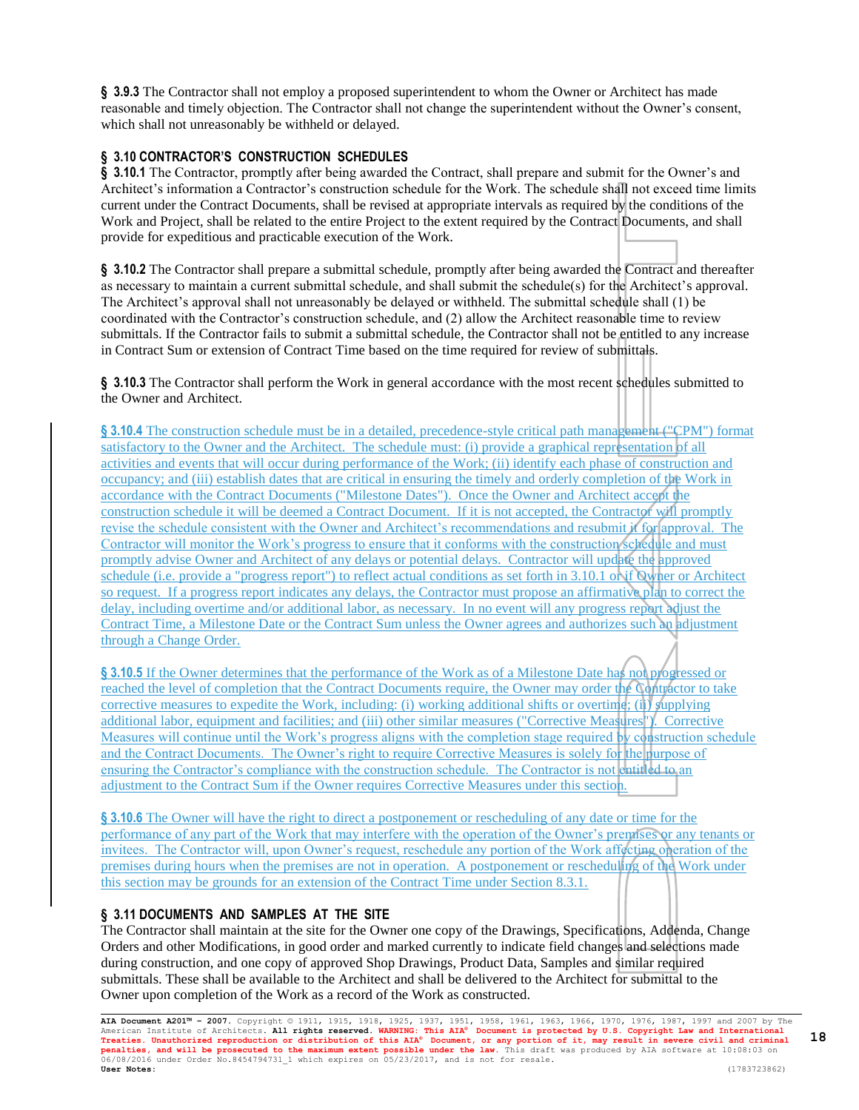**§ 3.9.3** The Contractor shall not employ a proposed superintendent to whom the Owner or Architect has made reasonable and timely objection. The Contractor shall not change the superintendent without the Owner's consent, which shall not unreasonably be withheld or delayed.

### **§ 3.10 CONTRACTOR'S CONSTRUCTION SCHEDULES**

**§ 3.10.1** The Contractor, promptly after being awarded the Contract, shall prepare and submit for the Owner's and Architect's information a Contractor's construction schedule for the Work. The schedule shall not exceed time limits current under the Contract Documents, shall be revised at appropriate intervals as required by the conditions of the Work and Project, shall be related to the entire Project to the extent required by the Contract Documents, and shall provide for expeditious and practicable execution of the Work.

**§ 3.10.2** The Contractor shall prepare a submittal schedule, promptly after being awarded the Contract and thereafter as necessary to maintain a current submittal schedule, and shall submit the schedule(s) for the Architect's approval. The Architect's approval shall not unreasonably be delayed or withheld. The submittal schedule shall (1) be coordinated with the Contractor's construction schedule, and (2) allow the Architect reasonable time to review submittals. If the Contractor fails to submit a submittal schedule, the Contractor shall not be entitled to any increase in Contract Sum or extension of Contract Time based on the time required for review of submittals.

**§ 3.10.3** The Contractor shall perform the Work in general accordance with the most recent schedules submitted to the Owner and Architect.

**§ 3.10.4** The construction schedule must be in a detailed, precedence-style critical path management ("CPM") format satisfactory to the Owner and the Architect. The schedule must: (i) provide a graphical representation of all activities and events that will occur during performance of the Work; (ii) identify each phase of construction and occupancy; and (iii) establish dates that are critical in ensuring the timely and orderly completion of the Work in accordance with the Contract Documents ("Milestone Dates"). Once the Owner and Architect accept the construction schedule it will be deemed a Contract Document. If it is not accepted, the Contractor will promptly revise the schedule consistent with the Owner and Architect's recommendations and resubmit it for approval. The Contractor will monitor the Work's progress to ensure that it conforms with the construction schedule and must promptly advise Owner and Architect of any delays or potential delays. Contractor will update the approved schedule (i.e. provide a "progress report") to reflect actual conditions as set forth in 3.10.1 or if Owner or Architect so request. If a progress report indicates any delays, the Contractor must propose an affirmative plan to correct the delay, including overtime and/or additional labor, as necessary. In no event will any progress report adjust the Contract Time, a Milestone Date or the Contract Sum unless the Owner agrees and authorizes such an adjustment through a Change Order.

**§ 3.10.5** If the Owner determines that the performance of the Work as of a Milestone Date has not progressed or reached the level of completion that the Contract Documents require, the Owner may order the Contractor to take corrective measures to expedite the Work, including: (i) working additional shifts or overtime; (ii) supplying additional labor, equipment and facilities; and (iii) other similar measures ("Corrective Measures"). Corrective Measures will continue until the Work's progress aligns with the completion stage required by construction schedule and the Contract Documents. The Owner's right to require Corrective Measures is solely for the purpose of ensuring the Contractor's compliance with the construction schedule. The Contractor is not entitled to an adjustment to the Contract Sum if the Owner requires Corrective Measures under this section.

**§ 3.10.6** The Owner will have the right to direct a postponement or rescheduling of any date or time for the performance of any part of the Work that may interfere with the operation of the Owner's premises or any tenants or invitees. The Contractor will, upon Owner's request, reschedule any portion of the Work affecting operation of the premises during hours when the premises are not in operation. A postponement or rescheduling of the Work under this section may be grounds for an extension of the Contract Time under Section 8.3.1.

### **§ 3.11 DOCUMENTS AND SAMPLES AT THE SITE**

The Contractor shall maintain at the site for the Owner one copy of the Drawings, Specifications, Addenda, Change Orders and other Modifications, in good order and marked currently to indicate field changes and selections made during construction, and one copy of approved Shop Drawings, Product Data, Samples and similar required submittals. These shall be available to the Architect and shall be delivered to the Architect for submittal to the Owner upon completion of the Work as a record of the Work as constructed.

**AIA Document A201™ – 2007.** Copyright © 1911, 1915, 1918, 1925, 1937, 1951, 1958, 1961, 1963, 1966, 1970, 1976, 1987, 1997 and 2007 by The American Institute of Architects. <mark>All rights reserved. WARNING: This AIA® Document is protected by U.S. Copyright Law and International<br>Treaties. Unauthorized reproduction or distribution of this AIA® Document, or any por</mark>  $06/08/2016$  under Order No.8454794731\_1 which expires on  $05/23/2017$ , and is not for resale.<br>User Notes: **User Notes:** (1783723862)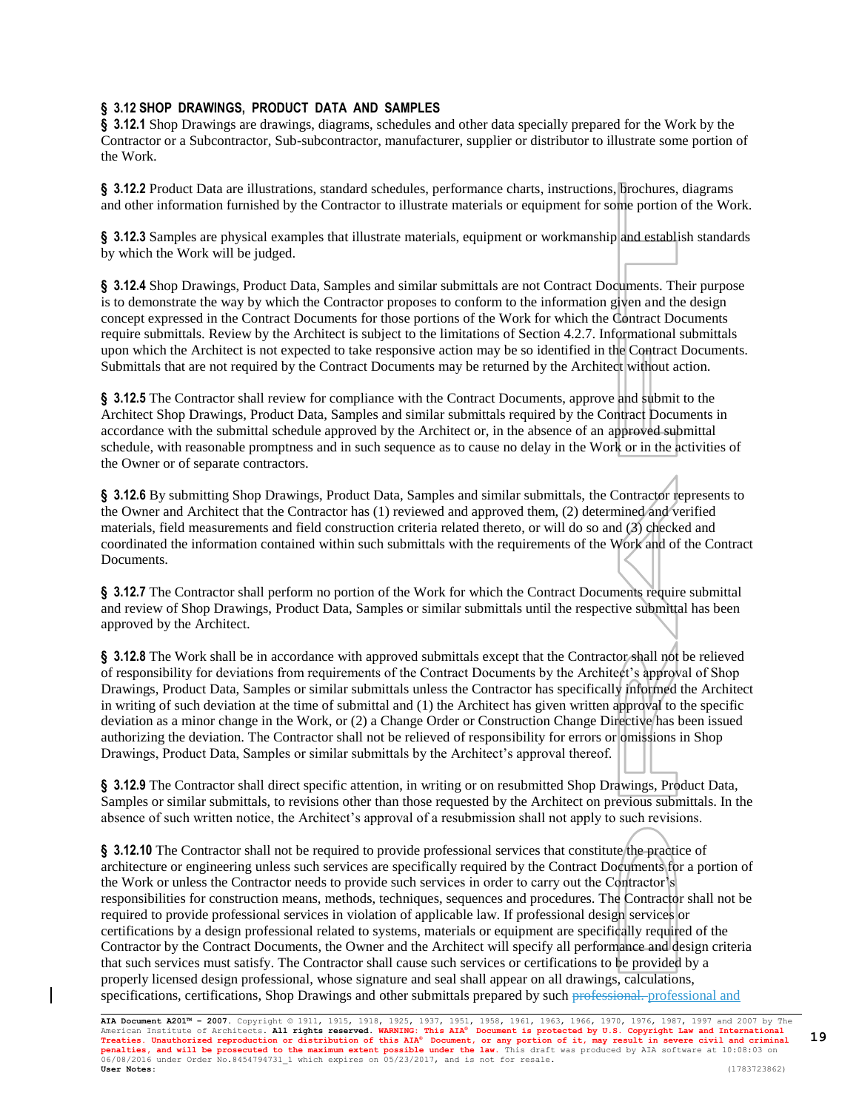### **§ 3.12 SHOP DRAWINGS, PRODUCT DATA AND SAMPLES**

**§ 3.12.1** Shop Drawings are drawings, diagrams, schedules and other data specially prepared for the Work by the Contractor or a Subcontractor, Sub-subcontractor, manufacturer, supplier or distributor to illustrate some portion of the Work.

**§ 3.12.2** Product Data are illustrations, standard schedules, performance charts, instructions, brochures, diagrams and other information furnished by the Contractor to illustrate materials or equipment for some portion of the Work.

**§ 3.12.3** Samples are physical examples that illustrate materials, equipment or workmanship and establish standards by which the Work will be judged.

**§ 3.12.4** Shop Drawings, Product Data, Samples and similar submittals are not Contract Documents. Their purpose is to demonstrate the way by which the Contractor proposes to conform to the information given and the design concept expressed in the Contract Documents for those portions of the Work for which the Contract Documents require submittals. Review by the Architect is subject to the limitations of Section 4.2.7. Informational submittals upon which the Architect is not expected to take responsive action may be so identified in the Contract Documents. Submittals that are not required by the Contract Documents may be returned by the Architect without action.

**§ 3.12.5** The Contractor shall review for compliance with the Contract Documents, approve and submit to the Architect Shop Drawings, Product Data, Samples and similar submittals required by the Contract Documents in accordance with the submittal schedule approved by the Architect or, in the absence of an approved submittal schedule, with reasonable promptness and in such sequence as to cause no delay in the Work or in the activities of the Owner or of separate contractors.

**§ 3.12.6** By submitting Shop Drawings, Product Data, Samples and similar submittals, the Contractor represents to the Owner and Architect that the Contractor has (1) reviewed and approved them, (2) determined and verified materials, field measurements and field construction criteria related thereto, or will do so and (3) checked and coordinated the information contained within such submittals with the requirements of the Work and of the Contract Documents.

**§ 3.12.7** The Contractor shall perform no portion of the Work for which the Contract Documents require submittal and review of Shop Drawings, Product Data, Samples or similar submittals until the respective submittal has been approved by the Architect.

**§ 3.12.8** The Work shall be in accordance with approved submittals except that the Contractor shall not be relieved of responsibility for deviations from requirements of the Contract Documents by the Architect's approval of Shop Drawings, Product Data, Samples or similar submittals unless the Contractor has specifically informed the Architect in writing of such deviation at the time of submittal and (1) the Architect has given written approval to the specific deviation as a minor change in the Work, or (2) a Change Order or Construction Change Directive has been issued authorizing the deviation. The Contractor shall not be relieved of responsibility for errors or omissions in Shop Drawings, Product Data, Samples or similar submittals by the Architect's approval thereof.

**§ 3.12.9** The Contractor shall direct specific attention, in writing or on resubmitted Shop Drawings, Product Data, Samples or similar submittals, to revisions other than those requested by the Architect on previous submittals. In the absence of such written notice, the Architect's approval of a resubmission shall not apply to such revisions.

**§ 3.12.10** The Contractor shall not be required to provide professional services that constitute the practice of architecture or engineering unless such services are specifically required by the Contract Documents for a portion of the Work or unless the Contractor needs to provide such services in order to carry out the Contractor's responsibilities for construction means, methods, techniques, sequences and procedures. The Contractor shall not be required to provide professional services in violation of applicable law. If professional design services or certifications by a design professional related to systems, materials or equipment are specifically required of the Contractor by the Contract Documents, the Owner and the Architect will specify all performance and design criteria that such services must satisfy. The Contractor shall cause such services or certifications to be provided by a properly licensed design professional, whose signature and seal shall appear on all drawings, calculations, specifications, certifications, Shop Drawings and other submittals prepared by such professional. professional and

**AIA Document A201™ – 2007.** Copyright © 1911, 1915, 1918, 1925, 1937, 1951, 1958, 1961, 1963, 1966, 1970, 1976, 1987, 1997 and 2007 by The American Institute of Architects. <mark>All rights reserved. WARNING: This AIA® Document is protected by U.S. Copyright Law and International<br>Treaties. Unauthorized reproduction or distribution of this AIA® Document, or any por</mark>  $06/08/2016$  under Order No.8454794731\_1 which expires on  $05/23/2017$ , and is not for resale.<br>User Notes: **User Notes:** (1783723862)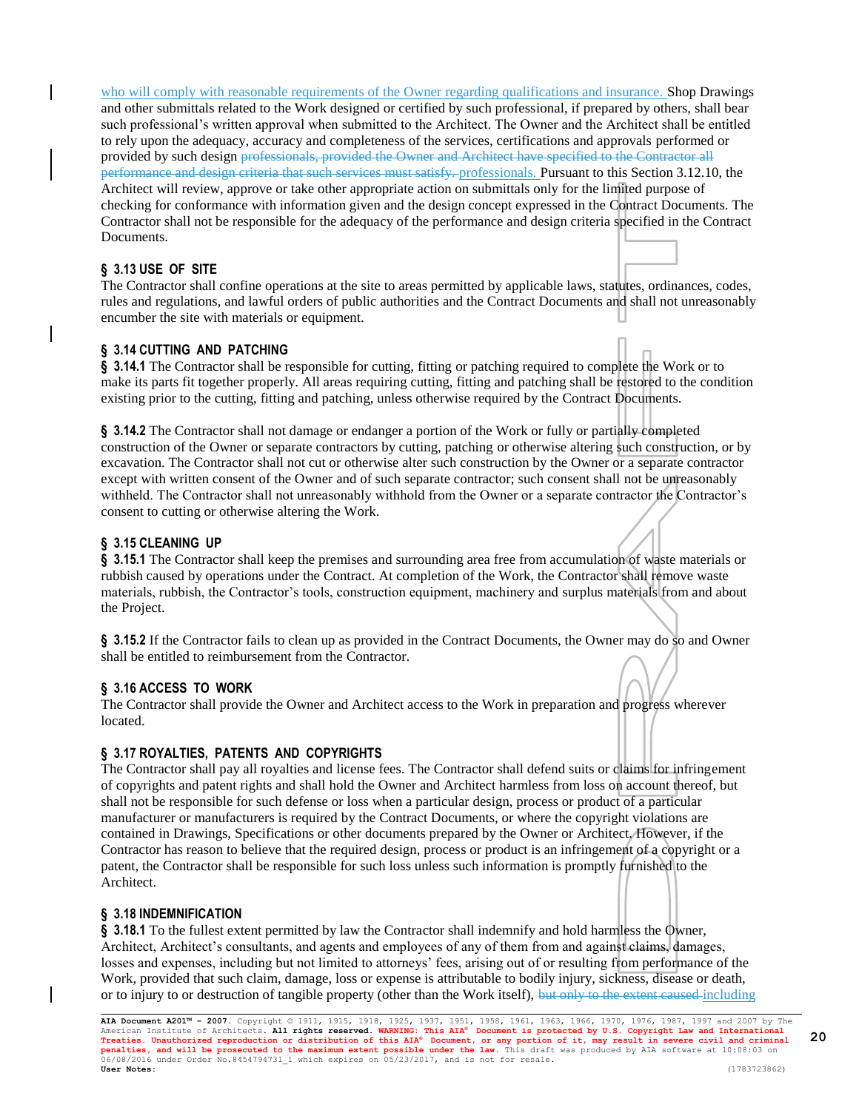who will comply with reasonable requirements of the Owner regarding qualifications and insurance. **Shop Drawings** and other submittals related to the Work designed or certified by such professional, if prepared by others, shall bear such professional's written approval when submitted to the Architect. The Owner and the Architect shall be entitled to rely upon the adequacy, accuracy and completeness of the services, certifications and approvals performed or provided by such design professionals, provided the Owner and Architect have specified to the Contractor all performance and design criteria that such services must satisfy. professionals. Pursuant to this Section 3.12.10, the Architect will review, approve or take other appropriate action on submittals only for the limited purpose of checking for conformance with information given and the design concept expressed in the Contract Documents. The Contractor shall not be responsible for the adequacy of the performance and design criteria specified in the Contract Documents.

## **§ 3.13 USE OF SITE**

The Contractor shall confine operations at the site to areas permitted by applicable laws, statutes, ordinances, codes, rules and regulations, and lawful orders of public authorities and the Contract Documents and shall not unreasonably encumber the site with materials or equipment.

### **§ 3.14 CUTTING AND PATCHING**

**§ 3.14.1** The Contractor shall be responsible for cutting, fitting or patching required to complete the Work or to make its parts fit together properly. All areas requiring cutting, fitting and patching shall be restored to the condition existing prior to the cutting, fitting and patching, unless otherwise required by the Contract Documents.

**§ 3.14.2** The Contractor shall not damage or endanger a portion of the Work or fully or partially completed construction of the Owner or separate contractors by cutting, patching or otherwise altering such construction, or by excavation. The Contractor shall not cut or otherwise alter such construction by the Owner or a separate contractor except with written consent of the Owner and of such separate contractor; such consent shall not be unreasonably withheld. The Contractor shall not unreasonably withhold from the Owner or a separate contractor the Contractor's consent to cutting or otherwise altering the Work.

### **§ 3.15 CLEANING UP**

**§ 3.15.1** The Contractor shall keep the premises and surrounding area free from accumulation of waste materials or rubbish caused by operations under the Contract. At completion of the Work, the Contractor shall remove waste materials, rubbish, the Contractor's tools, construction equipment, machinery and surplus materials from and about the Project.

**§ 3.15.2** If the Contractor fails to clean up as provided in the Contract Documents, the Owner may do so and Owner shall be entitled to reimbursement from the Contractor.

### **§ 3.16 ACCESS TO WORK**

The Contractor shall provide the Owner and Architect access to the Work in preparation and progress wherever located.

### **§ 3.17 ROYALTIES, PATENTS AND COPYRIGHTS**

The Contractor shall pay all royalties and license fees. The Contractor shall defend suits or claims for infringement of copyrights and patent rights and shall hold the Owner and Architect harmless from loss on account thereof, but shall not be responsible for such defense or loss when a particular design, process or product of a particular manufacturer or manufacturers is required by the Contract Documents, or where the copyright violations are contained in Drawings, Specifications or other documents prepared by the Owner or Architect. However, if the Contractor has reason to believe that the required design, process or product is an infringement of a copyright or a patent, the Contractor shall be responsible for such loss unless such information is promptly furnished to the Architect.

### **§ 3.18 INDEMNIFICATION**

**§ 3.18.1** To the fullest extent permitted by law the Contractor shall indemnify and hold harmless the Owner, Architect, Architect's consultants, and agents and employees of any of them from and against claims, damages, losses and expenses, including but not limited to attorneys' fees, arising out of or resulting from performance of the Work, provided that such claim, damage, loss or expense is attributable to bodily injury, sickness, disease or death, or to injury to or destruction of tangible property (other than the Work itself), but only to the extent caused including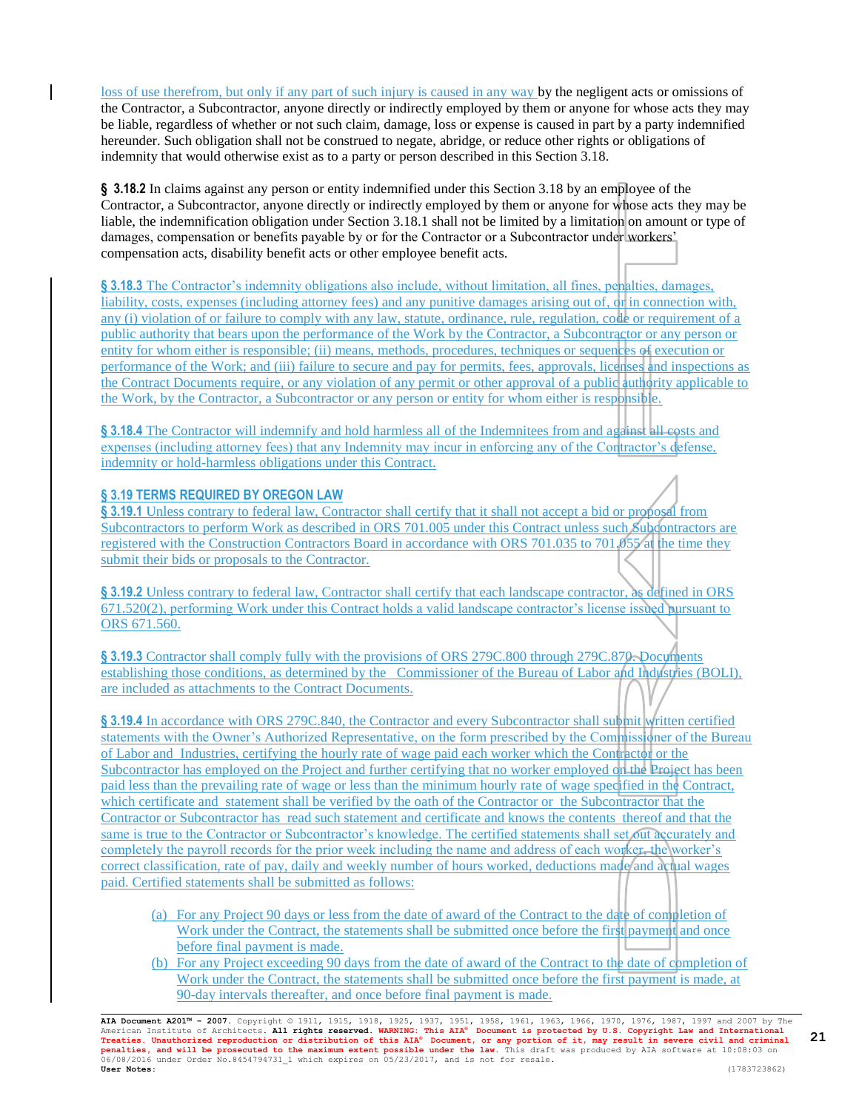loss of use therefrom, but only if any part of such injury is caused in any way by the negligent acts or omissions of the Contractor, a Subcontractor, anyone directly or indirectly employed by them or anyone for whose acts they may be liable, regardless of whether or not such claim, damage, loss or expense is caused in part by a party indemnified hereunder. Such obligation shall not be construed to negate, abridge, or reduce other rights or obligations of indemnity that would otherwise exist as to a party or person described in this Section 3.18.

**§ 3.18.2** In claims against any person or entity indemnified under this Section 3.18 by an employee of the Contractor, a Subcontractor, anyone directly or indirectly employed by them or anyone for whose acts they may be liable, the indemnification obligation under Section 3.18.1 shall not be limited by a limitation on amount or type of damages, compensation or benefits payable by or for the Contractor or a Subcontractor under workers' compensation acts, disability benefit acts or other employee benefit acts.

**§ 3.18.3** The Contractor's indemnity obligations also include, without limitation, all fines, penalties, damages, liability, costs, expenses (including attorney fees) and any punitive damages arising out of, or in connection with, any (i) violation of or failure to comply with any law, statute, ordinance, rule, regulation, code or requirement of a public authority that bears upon the performance of the Work by the Contractor, a Subcontractor or any person or entity for whom either is responsible; (ii) means, methods, procedures, techniques or sequences of execution or performance of the Work; and (iii) failure to secure and pay for permits, fees, approvals, licenses and inspections as the Contract Documents require, or any violation of any permit or other approval of a public authority applicable to the Work, by the Contractor, a Subcontractor or any person or entity for whom either is responsible.

§ 3.18.4 The Contractor will indemnify and hold harmless all of the Indemnitees from and against all costs and expenses (including attorney fees) that any Indemnity may incur in enforcing any of the Contractor's defense, indemnity or hold-harmless obligations under this Contract.

### **§ 3.19 TERMS REQUIRED BY OREGON LAW**

§ 3.19.1 Unless contrary to federal law, Contractor shall certify that it shall not accept a bid or proposal from Subcontractors to perform Work as described in ORS 701.005 under this Contract unless such Subcontractors are registered with the Construction Contractors Board in accordance with ORS 701.035 to 701.055 at the time they submit their bids or proposals to the Contractor.

**§ 3.19.2** Unless contrary to federal law, Contractor shall certify that each landscape contractor, as defined in ORS 671.520(2), performing Work under this Contract holds a valid landscape contractor's license issued pursuant to ORS 671.560.

§ 3.19.3 Contractor shall comply fully with the provisions of ORS 279C.800 through 279C.870. Documents establishing those conditions, as determined by the Commissioner of the Bureau of Labor and Industries (BOLI), are included as attachments to the Contract Documents.

**§ 3.19.4** In accordance with ORS 279C.840, the Contractor and every Subcontractor shall submit written certified statements with the Owner's Authorized Representative, on the form prescribed by the Commissioner of the Bureau of Labor and Industries, certifying the hourly rate of wage paid each worker which the Contractor or the Subcontractor has employed on the Project and further certifying that no worker employed on the Project has been paid less than the prevailing rate of wage or less than the minimum hourly rate of wage specified in the Contract, which certificate and statement shall be verified by the oath of the Contractor or the Subcontractor that the Contractor or Subcontractor has read such statement and certificate and knows the contents thereof and that the same is true to the Contractor or Subcontractor's knowledge. The certified statements shall set out accurately and completely the payroll records for the prior week including the name and address of each worker, the worker's correct classification, rate of pay, daily and weekly number of hours worked, deductions made and actual wages paid. Certified statements shall be submitted as follows:

- (a) For any Project 90 days or less from the date of award of the Contract to the date of completion of Work under the Contract, the statements shall be submitted once before the first payment and once before final payment is made.
- (b) For any Project exceeding 90 days from the date of award of the Contract to the date of completion of Work under the Contract, the statements shall be submitted once before the first payment is made, at 90-day intervals thereafter, and once before final payment is made.

**AIA Document A201™ – 2007.** Copyright © 1911, 1915, 1918, 1925, 1937, 1951, 1958, 1961, 1963, 1966, 1970, 1976, 1987, 1997 and 2007 by The American Institute of Architects. <mark>All rights reserved. WARNING: This AIA® Document is protected by U.S. Copyright Law and International<br>Treaties. Unauthorized reproduction or distribution of this AIA® Document, or any por</mark>  $06/08/2016$  under Order No.8454794731\_1 which expires on  $05/23/2017$ , and is not for resale.<br>User Notes: **User Notes:** (1783723862)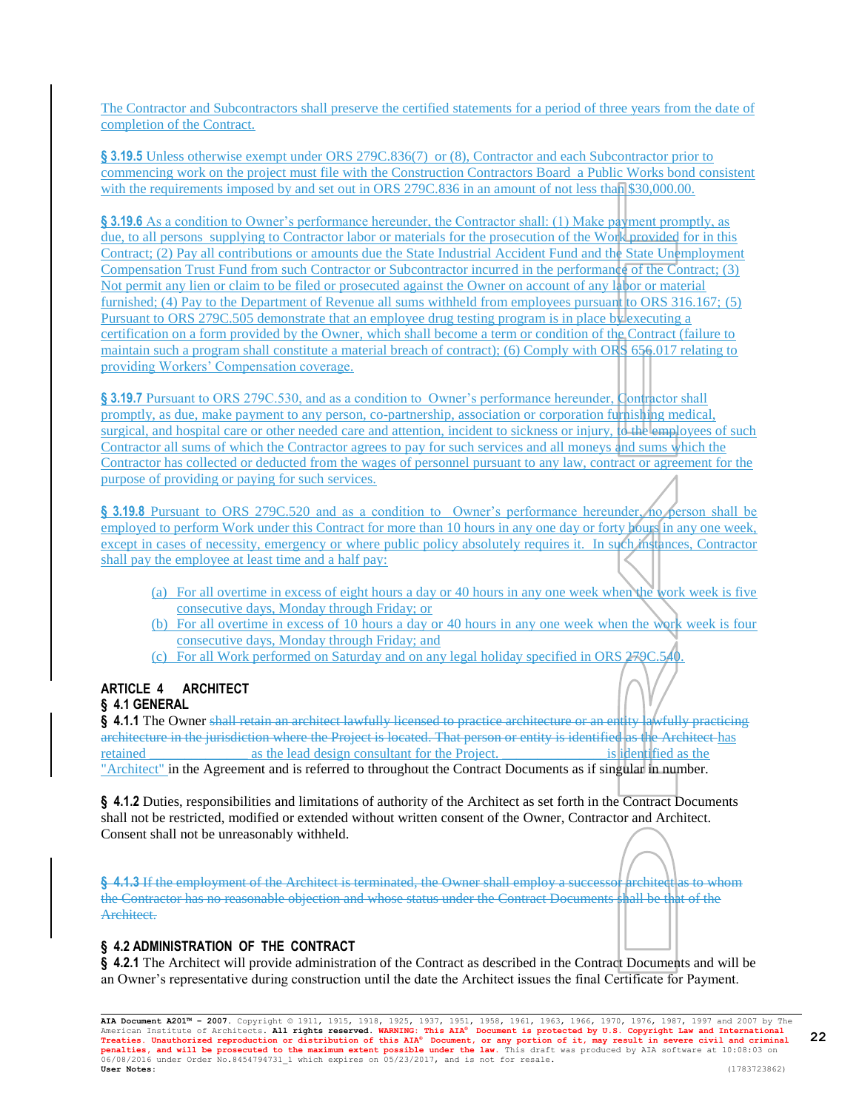The Contractor and Subcontractors shall preserve the certified statements for a period of three years from the date of completion of the Contract.

**§ 3.19.5** Unless otherwise exempt under ORS 279C.836(7) or (8), Contractor and each Subcontractor prior to commencing work on the project must file with the Construction Contractors Board a Public Works bond consistent with the requirements imposed by and set out in ORS 279C.836 in an amount of not less than \$30,000.00.

**§ 3.19.6** As a condition to Owner's performance hereunder, the Contractor shall: (1) Make payment promptly, as due, to all persons supplying to Contractor labor or materials for the prosecution of the Work provided for in this Contract; (2) Pay all contributions or amounts due the State Industrial Accident Fund and the State Unemployment Compensation Trust Fund from such Contractor or Subcontractor incurred in the performance of the Contract; (3) Not permit any lien or claim to be filed or prosecuted against the Owner on account of any labor or material furnished; (4) Pay to the Department of Revenue all sums withheld from employees pursuant to ORS 316.167; (5) Pursuant to ORS 279C.505 demonstrate that an employee drug testing program is in place by executing a certification on a form provided by the Owner, which shall become a term or condition of the Contract (failure to maintain such a program shall constitute a material breach of contract); (6) Comply with ORS 656.017 relating to providing Workers' Compensation coverage.

**§ 3.19.7** Pursuant to ORS 279C.530, and as a condition to Owner's performance hereunder, Contractor shall promptly, as due, make payment to any person, co-partnership, association or corporation furnishing medical, surgical, and hospital care or other needed care and attention, incident to sickness or injury, to the employees of such Contractor all sums of which the Contractor agrees to pay for such services and all moneys and sums which the Contractor has collected or deducted from the wages of personnel pursuant to any law, contract or agreement for the purpose of providing or paying for such services.

§ 3.19.8 Pursuant to ORS 279C.520 and as a condition to Owner's performance hereunder, no person shall be employed to perform Work under this Contract for more than 10 hours in any one day or forty hours in any one week, except in cases of necessity, emergency or where public policy absolutely requires it. In such instances, Contractor shall pay the employee at least time and a half pay:

- (a) For all overtime in excess of eight hours a day or 40 hours in any one week when the work week is five consecutive days, Monday through Friday; or
- (b) For all overtime in excess of 10 hours a day or 40 hours in any one week when the work week is four consecutive days, Monday through Friday; and
- (c) For all Work performed on Saturday and on any legal holiday specified in ORS 279C.540.

### **ARTICLE 4 ARCHITECT § 4.1 GENERAL**

**§ 4.1.1** The Owner shall retain an architect lawfully licensed to practice architecture or an entity lawfully practicing architecture in the jurisdiction where the Project is located. That person or entity is identified as the Architect has retained as the lead design consultant for the Project. The is identified as the lead of the Project. "Architect" in the Agreement and is referred to throughout the Contract Documents as if singular in number.

**§ 4.1.2** Duties, responsibilities and limitations of authority of the Architect as set forth in the Contract Documents shall not be restricted, modified or extended without written consent of the Owner, Contractor and Architect. Consent shall not be unreasonably withheld.

**§** 4.1.3 If the employment of the Architect is terminated, the Owner shall employ a successor architect as to whom the Contractor has no reasonable objection and whose status under the Contract Documents shall be that of the Architect.

# **§ 4.2 ADMINISTRATION OF THE CONTRACT**

**§ 4.2.1** The Architect will provide administration of the Contract as described in the Contract Documents and will be an Owner's representative during construction until the date the Architect issues the final Certificate for Payment.

**AIA Document A201™ – 2007.** Copyright © 1911, 1915, 1918, 1925, 1937, 1951, 1958, 1961, 1963, 1966, 1970, 1976, 1987, 1997 and 2007 by The American Institute of Architects. <mark>All rights reserved. WARNING: This AIA® Document is protected by U.S. Copyright Law and International<br>Treaties. Unauthorized reproduction or distribution of this AIA® Document, or any por</mark>  $06/08/2016$  under Order No.8454794731\_1 which expires on  $05/23/2017$ , and is not for resale.<br>User Notes: **User Notes:** (1783723862)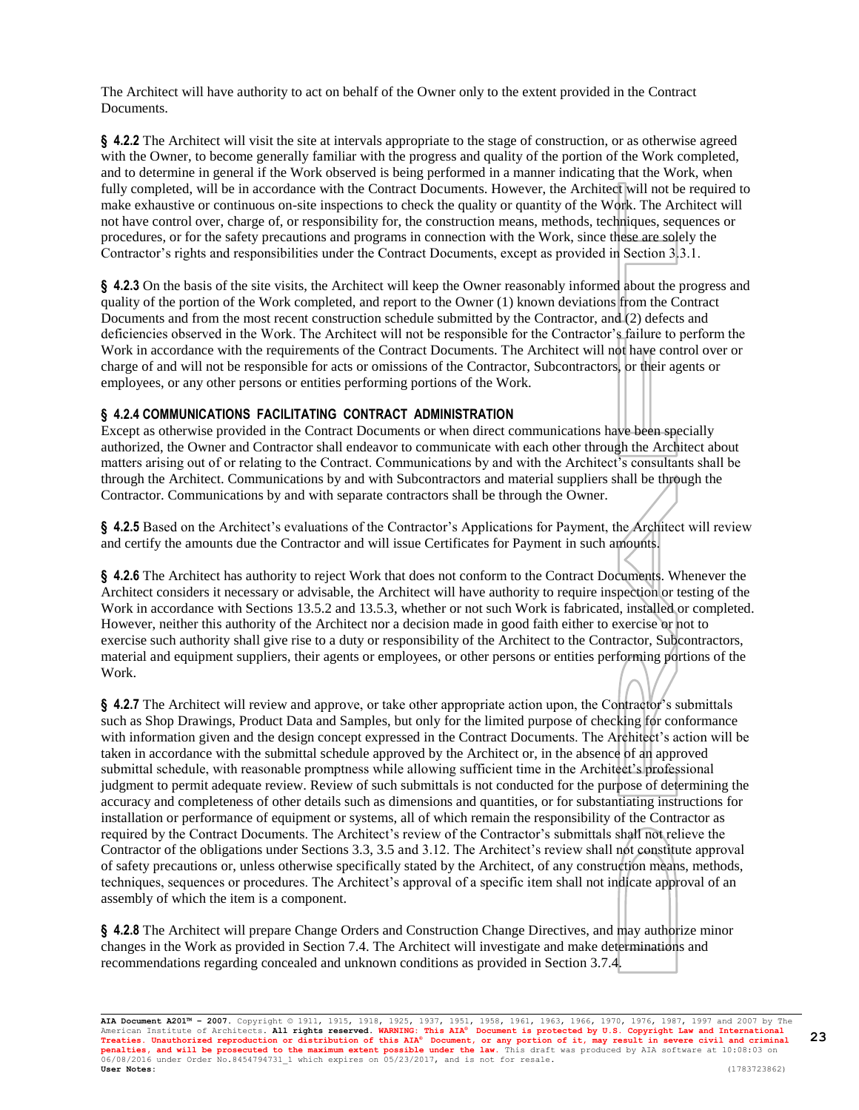The Architect will have authority to act on behalf of the Owner only to the extent provided in the Contract Documents.

**§ 4.2.2** The Architect will visit the site at intervals appropriate to the stage of construction, or as otherwise agreed with the Owner, to become generally familiar with the progress and quality of the portion of the Work completed, and to determine in general if the Work observed is being performed in a manner indicating that the Work, when fully completed, will be in accordance with the Contract Documents. However, the Architect will not be required to make exhaustive or continuous on-site inspections to check the quality or quantity of the Work. The Architect will not have control over, charge of, or responsibility for, the construction means, methods, techniques, sequences or procedures, or for the safety precautions and programs in connection with the Work, since these are solely the Contractor's rights and responsibilities under the Contract Documents, except as provided in Section 3.3.1.

**§ 4.2.3** On the basis of the site visits, the Architect will keep the Owner reasonably informed about the progress and quality of the portion of the Work completed, and report to the Owner (1) known deviations from the Contract Documents and from the most recent construction schedule submitted by the Contractor, and (2) defects and deficiencies observed in the Work. The Architect will not be responsible for the Contractor's failure to perform the Work in accordance with the requirements of the Contract Documents. The Architect will not have control over or charge of and will not be responsible for acts or omissions of the Contractor, Subcontractors, or their agents or employees, or any other persons or entities performing portions of the Work.

### **§ 4.2.4 COMMUNICATIONS FACILITATING CONTRACT ADMINISTRATION**

Except as otherwise provided in the Contract Documents or when direct communications have been specially authorized, the Owner and Contractor shall endeavor to communicate with each other through the Architect about matters arising out of or relating to the Contract. Communications by and with the Architect's consultants shall be through the Architect. Communications by and with Subcontractors and material suppliers shall be through the Contractor. Communications by and with separate contractors shall be through the Owner.

**§ 4.2.5** Based on the Architect's evaluations of the Contractor's Applications for Payment, the Architect will review and certify the amounts due the Contractor and will issue Certificates for Payment in such amounts.

**§ 4.2.6** The Architect has authority to reject Work that does not conform to the Contract Documents. Whenever the Architect considers it necessary or advisable, the Architect will have authority to require inspection or testing of the Work in accordance with Sections 13.5.2 and 13.5.3, whether or not such Work is fabricated, installed or completed. However, neither this authority of the Architect nor a decision made in good faith either to exercise or not to exercise such authority shall give rise to a duty or responsibility of the Architect to the Contractor, Subcontractors, material and equipment suppliers, their agents or employees, or other persons or entities performing portions of the Work.

**§ 4.2.7** The Architect will review and approve, or take other appropriate action upon, the Contractor's submittals such as Shop Drawings, Product Data and Samples, but only for the limited purpose of checking for conformance with information given and the design concept expressed in the Contract Documents. The Architect's action will be taken in accordance with the submittal schedule approved by the Architect or, in the absence of an approved submittal schedule, with reasonable promptness while allowing sufficient time in the Architect's professional judgment to permit adequate review. Review of such submittals is not conducted for the purpose of determining the accuracy and completeness of other details such as dimensions and quantities, or for substantiating instructions for installation or performance of equipment or systems, all of which remain the responsibility of the Contractor as required by the Contract Documents. The Architect's review of the Contractor's submittals shall not relieve the Contractor of the obligations under Sections 3.3, 3.5 and 3.12. The Architect's review shall not constitute approval of safety precautions or, unless otherwise specifically stated by the Architect, of any construction means, methods, techniques, sequences or procedures. The Architect's approval of a specific item shall not indicate approval of an assembly of which the item is a component.

**§ 4.2.8** The Architect will prepare Change Orders and Construction Change Directives, and may authorize minor changes in the Work as provided in Section 7.4. The Architect will investigate and make determinations and recommendations regarding concealed and unknown conditions as provided in Section 3.7.4.

**AIA Document A201™ – 2007.** Copyright © 1911, 1915, 1918, 1925, 1937, 1951, 1958, 1961, 1963, 1966, 1970, 1976, 1987, 1997 and 2007 by The American Institute of Architects. <mark>All rights reserved. WARNING: This AIA® Document is protected by U.S. Copyright Law and International<br>Treaties. Unauthorized reproduction or distribution of this AIA® Document, or any por</mark>  $06/08/2016$  under Order No.8454794731\_1 which expires on  $05/23/2017$ , and is not for resale.<br>User Notes: **User Notes:** (1783723862)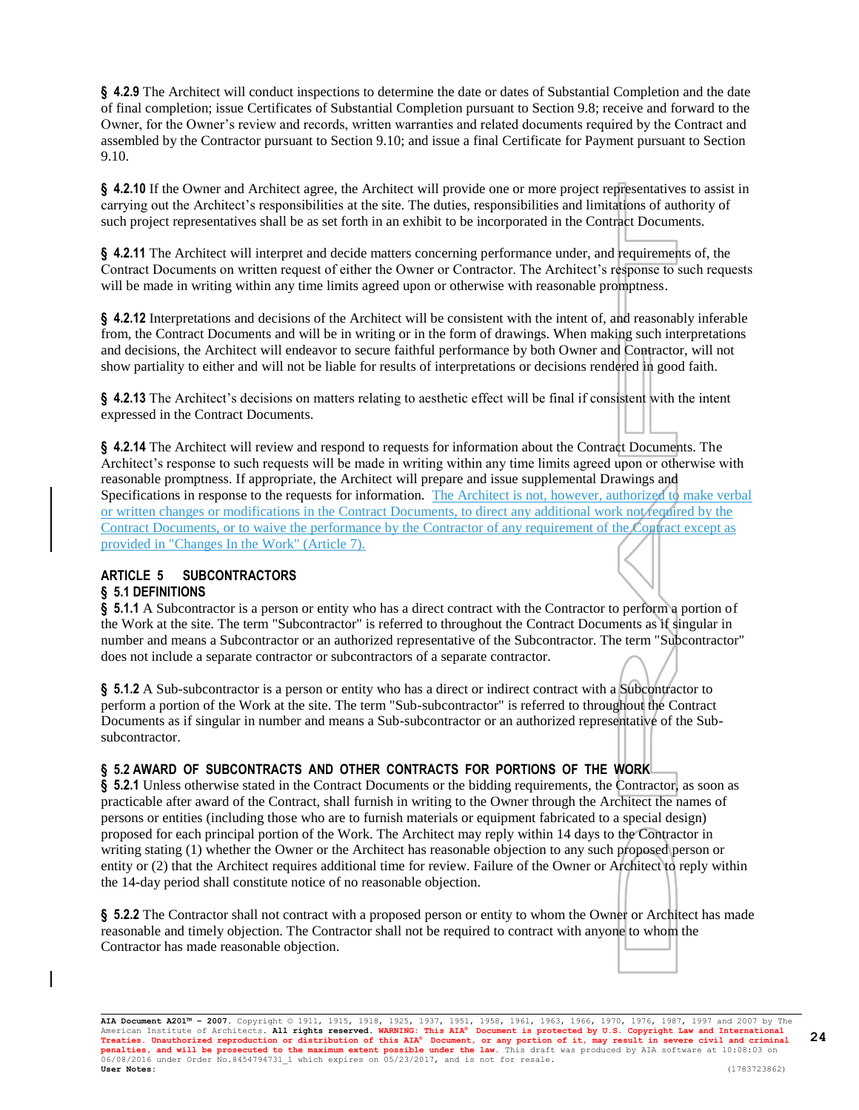**§ 4.2.9** The Architect will conduct inspections to determine the date or dates of Substantial Completion and the date of final completion; issue Certificates of Substantial Completion pursuant to Section 9.8; receive and forward to the Owner, for the Owner's review and records, written warranties and related documents required by the Contract and assembled by the Contractor pursuant to Section 9.10; and issue a final Certificate for Payment pursuant to Section 9.10.

**§ 4.2.10** If the Owner and Architect agree, the Architect will provide one or more project representatives to assist in carrying out the Architect's responsibilities at the site. The duties, responsibilities and limitations of authority of such project representatives shall be as set forth in an exhibit to be incorporated in the Contract Documents.

**§ 4.2.11** The Architect will interpret and decide matters concerning performance under, and requirements of, the Contract Documents on written request of either the Owner or Contractor. The Architect's response to such requests will be made in writing within any time limits agreed upon or otherwise with reasonable promptness.

**§ 4.2.12** Interpretations and decisions of the Architect will be consistent with the intent of, and reasonably inferable from, the Contract Documents and will be in writing or in the form of drawings. When making such interpretations and decisions, the Architect will endeavor to secure faithful performance by both Owner and Contractor, will not show partiality to either and will not be liable for results of interpretations or decisions rendered in good faith.

**§ 4.2.13** The Architect's decisions on matters relating to aesthetic effect will be final if consistent with the intent expressed in the Contract Documents.

**§ 4.2.14** The Architect will review and respond to requests for information about the Contract Documents. The Architect's response to such requests will be made in writing within any time limits agreed upon or otherwise with reasonable promptness. If appropriate, the Architect will prepare and issue supplemental Drawings and Specifications in response to the requests for information. The Architect is not, however, authorized to make verbal or written changes or modifications in the Contract Documents, to direct any additional work not required by the Contract Documents, or to waive the performance by the Contractor of any requirement of the Contract except as provided in "Changes In the Work" (Article 7).

### **ARTICLE 5 SUBCONTRACTORS § 5.1 DEFINITIONS**

**§ 5.1.1** A Subcontractor is a person or entity who has a direct contract with the Contractor to perform a portion of the Work at the site. The term "Subcontractor" is referred to throughout the Contract Documents as if singular in number and means a Subcontractor or an authorized representative of the Subcontractor. The term "Subcontractor" does not include a separate contractor or subcontractors of a separate contractor.

**§ 5.1.2** A Sub-subcontractor is a person or entity who has a direct or indirect contract with a Subcontractor to perform a portion of the Work at the site. The term "Sub-subcontractor" is referred to throughout the Contract Documents as if singular in number and means a Sub-subcontractor or an authorized representative of the Subsubcontractor.

# **§ 5.2 AWARD OF SUBCONTRACTS AND OTHER CONTRACTS FOR PORTIONS OF THE WORK**

**§ 5.2.1** Unless otherwise stated in the Contract Documents or the bidding requirements, the Contractor, as soon as practicable after award of the Contract, shall furnish in writing to the Owner through the Architect the names of persons or entities (including those who are to furnish materials or equipment fabricated to a special design) proposed for each principal portion of the Work. The Architect may reply within 14 days to the Contractor in writing stating (1) whether the Owner or the Architect has reasonable objection to any such proposed person or entity or (2) that the Architect requires additional time for review. Failure of the Owner or Architect to reply within the 14-day period shall constitute notice of no reasonable objection.

**§ 5.2.2** The Contractor shall not contract with a proposed person or entity to whom the Owner or Architect has made reasonable and timely objection. The Contractor shall not be required to contract with anyone to whom the Contractor has made reasonable objection.

**AIA Document A201™ – 2007.** Copyright © 1911, 1915, 1918, 1925, 1937, 1951, 1958, 1961, 1963, 1966, 1970, 1976, 1987, 1997 and 2007 by The American Institute of Architects. <mark>All rights reserved. WARNING: This AIA® Document is protected by U.S. Copyright Law and International<br>Treaties. Unauthorized reproduction or distribution of this AIA® Document, or any por</mark>  $06/08/2016$  under Order No.8454794731\_1 which expires on  $05/23/2017$ , and is not for resale.<br>User Notes: **User Notes:** (1783723862)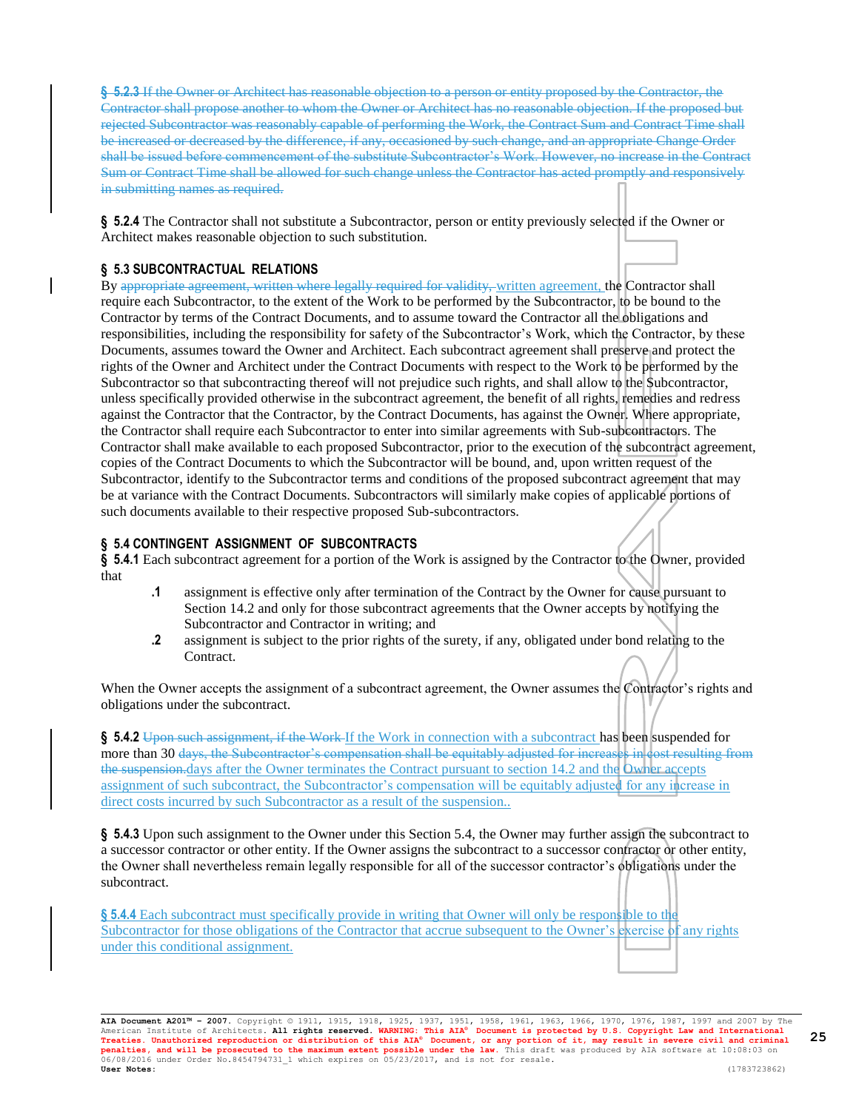**§ 5.2.3** If the Owner or Architect has reasonable objection to a person or entity proposed by the Contractor, the Contractor shall propose another to whom the Owner or Architect has no reasonable objection. If the proposed but rejected Subcontractor was reasonably capable of performing the Work, the Contract Sum and Contract Time shall be increased or decreased by the difference, if any, occasioned by such change, and an appropriate Change Order shall be issued before commencement of the substitute Subcontractor's Work. However, no increase in the Contract Sum or Contract Time shall be allowed for such change unless the Contractor has acted promptly and responsively in submitting names as required.

**§ 5.2.4** The Contractor shall not substitute a Subcontractor, person or entity previously selected if the Owner or Architect makes reasonable objection to such substitution.

### **§ 5.3 SUBCONTRACTUAL RELATIONS**

By appropriate agreement, written where legally required for validity, written agreement, the Contractor shall require each Subcontractor, to the extent of the Work to be performed by the Subcontractor, to be bound to the Contractor by terms of the Contract Documents, and to assume toward the Contractor all the obligations and responsibilities, including the responsibility for safety of the Subcontractor's Work, which the Contractor, by these Documents, assumes toward the Owner and Architect. Each subcontract agreement shall preserve and protect the rights of the Owner and Architect under the Contract Documents with respect to the Work to be performed by the Subcontractor so that subcontracting thereof will not prejudice such rights, and shall allow to the Subcontractor, unless specifically provided otherwise in the subcontract agreement, the benefit of all rights, remedies and redress against the Contractor that the Contractor, by the Contract Documents, has against the Owner. Where appropriate, the Contractor shall require each Subcontractor to enter into similar agreements with Sub-subcontractors. The Contractor shall make available to each proposed Subcontractor, prior to the execution of the subcontract agreement, copies of the Contract Documents to which the Subcontractor will be bound, and, upon written request of the Subcontractor, identify to the Subcontractor terms and conditions of the proposed subcontract agreement that may be at variance with the Contract Documents. Subcontractors will similarly make copies of applicable portions of such documents available to their respective proposed Sub-subcontractors.

### **§ 5.4 CONTINGENT ASSIGNMENT OF SUBCONTRACTS**

**§ 5.4.1** Each subcontract agreement for a portion of the Work is assigned by the Contractor to the Owner, provided that

- **.1** assignment is effective only after termination of the Contract by the Owner for cause pursuant to Section 14.2 and only for those subcontract agreements that the Owner accepts by notifying the Subcontractor and Contractor in writing; and
- **.2** assignment is subject to the prior rights of the surety, if any, obligated under bond relating to the Contract.

When the Owner accepts the assignment of a subcontract agreement, the Owner assumes the Contractor's rights and obligations under the subcontract.

**§ 5.4.2** Upon such assignment, if the Work If the Work in connection with a subcontract has been suspended for more than 30 days, the Subcontractor's compensation shall be equitably adjusted for increases in cost resulting from the suspension.days after the Owner terminates the Contract pursuant to section 14.2 and the Owner accepts assignment of such subcontract, the Subcontractor's compensation will be equitably adjusted for any increase in direct costs incurred by such Subcontractor as a result of the suspension..

**§ 5.4.3** Upon such assignment to the Owner under this Section 5.4, the Owner may further assign the subcontract to a successor contractor or other entity. If the Owner assigns the subcontract to a successor contractor or other entity, the Owner shall nevertheless remain legally responsible for all of the successor contractor's obligations under the subcontract.

**§ 5.4.4** Each subcontract must specifically provide in writing that Owner will only be responsible to the Subcontractor for those obligations of the Contractor that accrue subsequent to the Owner's exercise of any rights under this conditional assignment.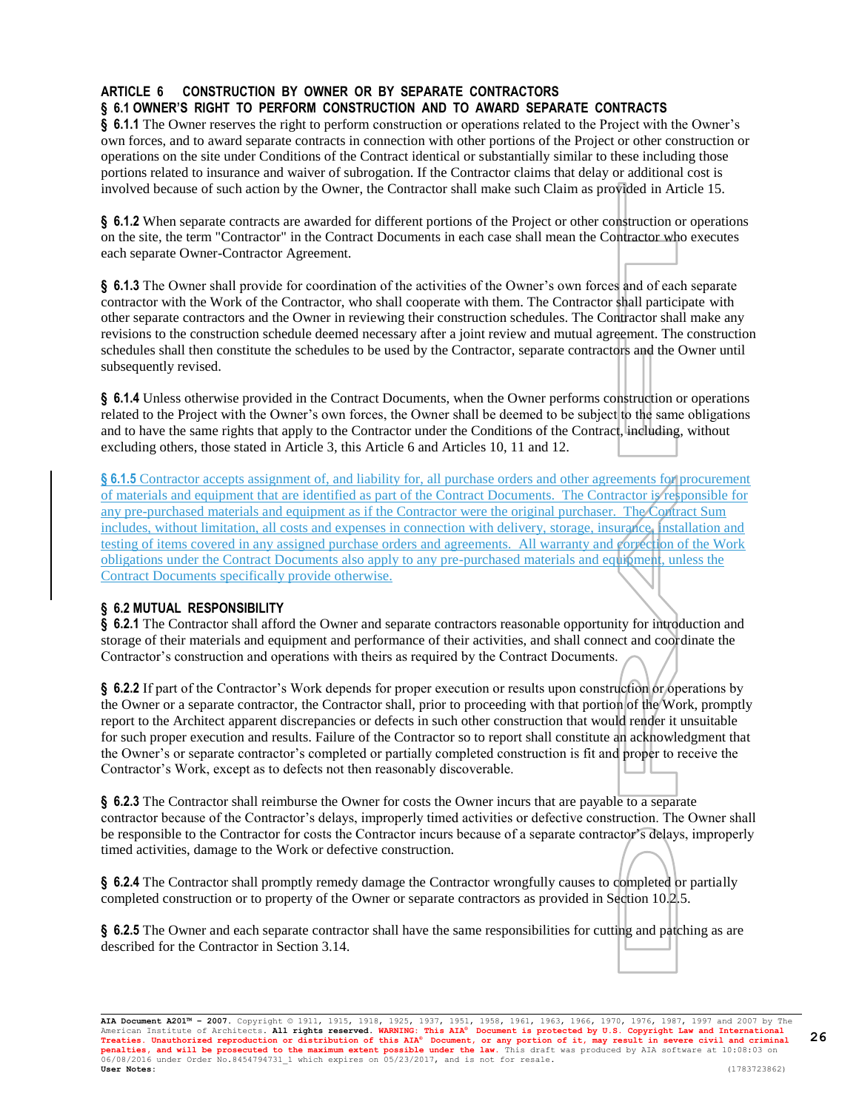# **ARTICLE 6 CONSTRUCTION BY OWNER OR BY SEPARATE CONTRACTORS**

# **§ 6.1 OWNER'S RIGHT TO PERFORM CONSTRUCTION AND TO AWARD SEPARATE CONTRACTS**

**§ 6.1.1** The Owner reserves the right to perform construction or operations related to the Project with the Owner's own forces, and to award separate contracts in connection with other portions of the Project or other construction or operations on the site under Conditions of the Contract identical or substantially similar to these including those portions related to insurance and waiver of subrogation. If the Contractor claims that delay or additional cost is involved because of such action by the Owner, the Contractor shall make such Claim as provided in Article 15.

**§ 6.1.2** When separate contracts are awarded for different portions of the Project or other construction or operations on the site, the term "Contractor" in the Contract Documents in each case shall mean the Contractor who executes each separate Owner-Contractor Agreement.

**§ 6.1.3** The Owner shall provide for coordination of the activities of the Owner's own forces and of each separate contractor with the Work of the Contractor, who shall cooperate with them. The Contractor shall participate with other separate contractors and the Owner in reviewing their construction schedules. The Contractor shall make any revisions to the construction schedule deemed necessary after a joint review and mutual agreement. The construction schedules shall then constitute the schedules to be used by the Contractor, separate contractors and the Owner until subsequently revised.

**§ 6.1.4** Unless otherwise provided in the Contract Documents, when the Owner performs construction or operations related to the Project with the Owner's own forces, the Owner shall be deemed to be subject to the same obligations and to have the same rights that apply to the Contractor under the Conditions of the Contract, including, without excluding others, those stated in Article 3, this Article 6 and Articles 10, 11 and 12.

**§ 6.1.5** Contractor accepts assignment of, and liability for, all purchase orders and other agreements for procurement of materials and equipment that are identified as part of the Contract Documents. The Contractor is responsible for any pre-purchased materials and equipment as if the Contractor were the original purchaser. The Contract Sum includes, without limitation, all costs and expenses in connection with delivery, storage, insurance, installation and testing of items covered in any assigned purchase orders and agreements. All warranty and correction of the Work obligations under the Contract Documents also apply to any pre-purchased materials and equipment, unless the Contract Documents specifically provide otherwise.

### **§ 6.2 MUTUAL RESPONSIBILITY**

**§ 6.2.1** The Contractor shall afford the Owner and separate contractors reasonable opportunity for introduction and storage of their materials and equipment and performance of their activities, and shall connect and coordinate the Contractor's construction and operations with theirs as required by the Contract Documents.

§ 6.2.2 If part of the Contractor's Work depends for proper execution or results upon construction or operations by the Owner or a separate contractor, the Contractor shall, prior to proceeding with that portion of the Work, promptly report to the Architect apparent discrepancies or defects in such other construction that would render it unsuitable for such proper execution and results. Failure of the Contractor so to report shall constitute an acknowledgment that the Owner's or separate contractor's completed or partially completed construction is fit and proper to receive the Contractor's Work, except as to defects not then reasonably discoverable.

**§ 6.2.3** The Contractor shall reimburse the Owner for costs the Owner incurs that are payable to a separate contractor because of the Contractor's delays, improperly timed activities or defective construction. The Owner shall be responsible to the Contractor for costs the Contractor incurs because of a separate contractor's delays, improperly timed activities, damage to the Work or defective construction.

**§ 6.2.4** The Contractor shall promptly remedy damage the Contractor wrongfully causes to completed or partially completed construction or to property of the Owner or separate contractors as provided in Section 10.2.5.

**§ 6.2.5** The Owner and each separate contractor shall have the same responsibilities for cutting and patching as are described for the Contractor in Section 3.14.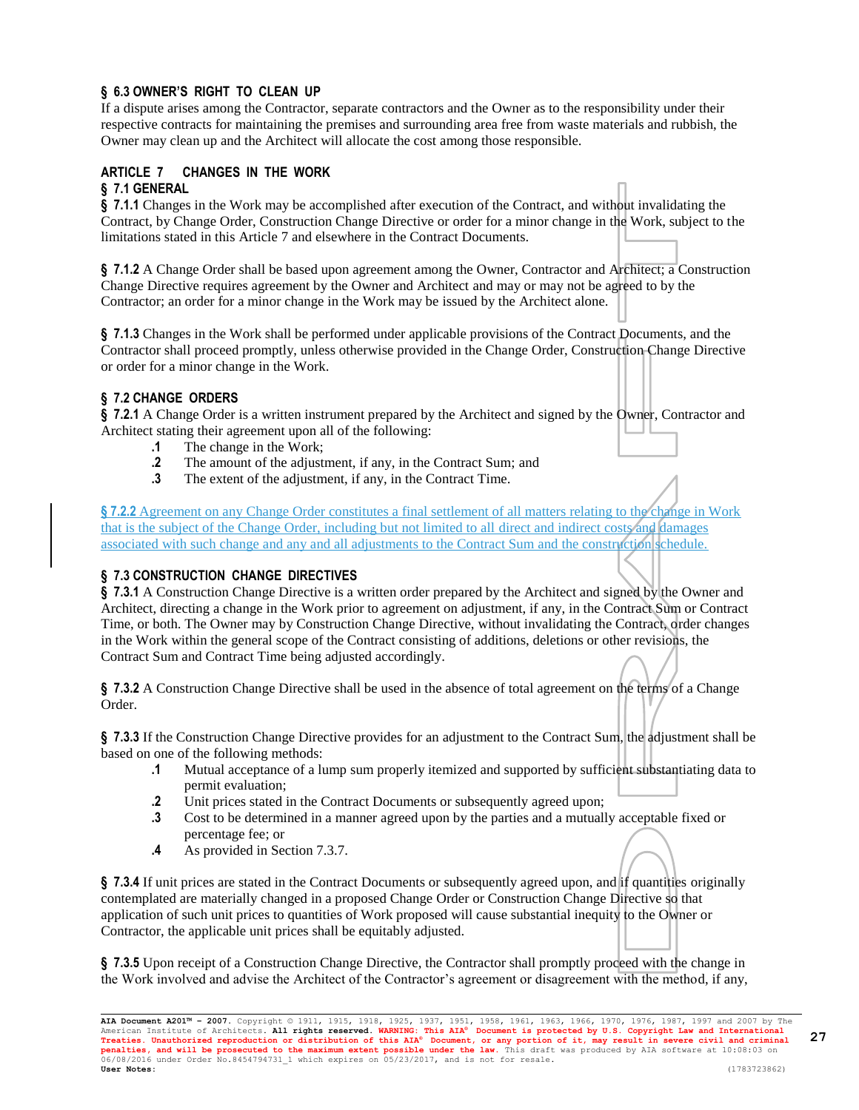# **§ 6.3 OWNER'S RIGHT TO CLEAN UP**

If a dispute arises among the Contractor, separate contractors and the Owner as to the responsibility under their respective contracts for maintaining the premises and surrounding area free from waste materials and rubbish, the Owner may clean up and the Architect will allocate the cost among those responsible.

# **ARTICLE 7 CHANGES IN THE WORK**

### **§ 7.1 GENERAL**

**§ 7.1.1** Changes in the Work may be accomplished after execution of the Contract, and without invalidating the Contract, by Change Order, Construction Change Directive or order for a minor change in the Work, subject to the limitations stated in this Article 7 and elsewhere in the Contract Documents.

**§ 7.1.2** A Change Order shall be based upon agreement among the Owner, Contractor and Architect; a Construction Change Directive requires agreement by the Owner and Architect and may or may not be agreed to by the Contractor; an order for a minor change in the Work may be issued by the Architect alone.

**§ 7.1.3** Changes in the Work shall be performed under applicable provisions of the Contract Documents, and the Contractor shall proceed promptly, unless otherwise provided in the Change Order, Construction Change Directive or order for a minor change in the Work.

### **§ 7.2 CHANGE ORDERS**

**§ 7.2.1** A Change Order is a written instrument prepared by the Architect and signed by the Owner, Contractor and Architect stating their agreement upon all of the following:

- **.1** The change in the Work;
- **.2** The amount of the adjustment, if any, in the Contract Sum; and
- **.3** The extent of the adjustment, if any, in the Contract Time.

**§ 7.2.2** Agreement on any Change Order constitutes a final settlement of all matters relating to the change in Work that is the subject of the Change Order, including but not limited to all direct and indirect costs and damages associated with such change and any and all adjustments to the Contract Sum and the construction schedule.

# **§ 7.3 CONSTRUCTION CHANGE DIRECTIVES**

**§ 7.3.1** A Construction Change Directive is a written order prepared by the Architect and signed by the Owner and Architect, directing a change in the Work prior to agreement on adjustment, if any, in the Contract Sum or Contract Time, or both. The Owner may by Construction Change Directive, without invalidating the Contract, order changes in the Work within the general scope of the Contract consisting of additions, deletions or other revisions, the Contract Sum and Contract Time being adjusted accordingly.

**§ 7.3.2** A Construction Change Directive shall be used in the absence of total agreement on the terms of a Change Order.

**§ 7.3.3** If the Construction Change Directive provides for an adjustment to the Contract Sum, the adjustment shall be based on one of the following methods:

- **.1** Mutual acceptance of a lump sum properly itemized and supported by sufficient substantiating data to permit evaluation;
- **.2** Unit prices stated in the Contract Documents or subsequently agreed upon;
- **.3** Cost to be determined in a manner agreed upon by the parties and a mutually acceptable fixed or percentage fee; or
- **.4** As provided in Section 7.3.7.

**§ 7.3.4** If unit prices are stated in the Contract Documents or subsequently agreed upon, and if quantities originally contemplated are materially changed in a proposed Change Order or Construction Change Directive so that application of such unit prices to quantities of Work proposed will cause substantial inequity to the Owner or Contractor, the applicable unit prices shall be equitably adjusted.

**§ 7.3.5** Upon receipt of a Construction Change Directive, the Contractor shall promptly proceed with the change in the Work involved and advise the Architect of the Contractor's agreement or disagreement with the method, if any,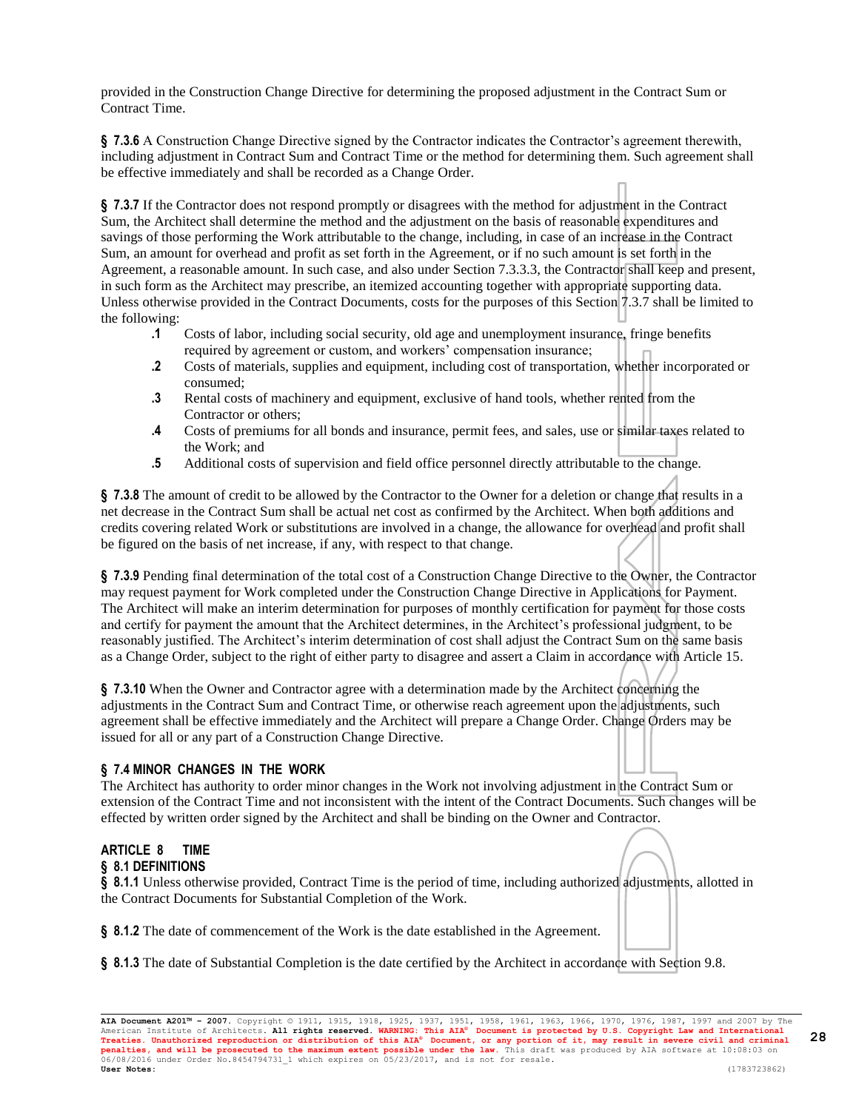provided in the Construction Change Directive for determining the proposed adjustment in the Contract Sum or Contract Time.

**§ 7.3.6** A Construction Change Directive signed by the Contractor indicates the Contractor's agreement therewith, including adjustment in Contract Sum and Contract Time or the method for determining them. Such agreement shall be effective immediately and shall be recorded as a Change Order.

**§ 7.3.7** If the Contractor does not respond promptly or disagrees with the method for adjustment in the Contract Sum, the Architect shall determine the method and the adjustment on the basis of reasonable expenditures and savings of those performing the Work attributable to the change, including, in case of an increase in the Contract Sum, an amount for overhead and profit as set forth in the Agreement, or if no such amount is set forth in the Agreement, a reasonable amount. In such case, and also under Section 7.3.3.3, the Contractor shall keep and present, in such form as the Architect may prescribe, an itemized accounting together with appropriate supporting data. Unless otherwise provided in the Contract Documents, costs for the purposes of this Section 7.3.7 shall be limited to the following:

- **.1** Costs of labor, including social security, old age and unemployment insurance, fringe benefits required by agreement or custom, and workers' compensation insurance;
- **.2** Costs of materials, supplies and equipment, including cost of transportation, whether incorporated or consumed;
- **.3** Rental costs of machinery and equipment, exclusive of hand tools, whether rented from the Contractor or others;
- **.4** Costs of premiums for all bonds and insurance, permit fees, and sales, use or similar taxes related to the Work; and
- **.5** Additional costs of supervision and field office personnel directly attributable to the change.

**§ 7.3.8** The amount of credit to be allowed by the Contractor to the Owner for a deletion or change that results in a net decrease in the Contract Sum shall be actual net cost as confirmed by the Architect. When both additions and credits covering related Work or substitutions are involved in a change, the allowance for overhead and profit shall be figured on the basis of net increase, if any, with respect to that change.

**§ 7.3.9** Pending final determination of the total cost of a Construction Change Directive to the Owner, the Contractor may request payment for Work completed under the Construction Change Directive in Applications for Payment. The Architect will make an interim determination for purposes of monthly certification for payment for those costs and certify for payment the amount that the Architect determines, in the Architect's professional judgment, to be reasonably justified. The Architect's interim determination of cost shall adjust the Contract Sum on the same basis as a Change Order, subject to the right of either party to disagree and assert a Claim in accordance with Article 15.

**§ 7.3.10** When the Owner and Contractor agree with a determination made by the Architect concerning the adjustments in the Contract Sum and Contract Time, or otherwise reach agreement upon the adjustments, such agreement shall be effective immediately and the Architect will prepare a Change Order. Change Orders may be issued for all or any part of a Construction Change Directive.

# **§ 7.4 MINOR CHANGES IN THE WORK**

The Architect has authority to order minor changes in the Work not involving adjustment in the Contract Sum or extension of the Contract Time and not inconsistent with the intent of the Contract Documents. Such changes will be effected by written order signed by the Architect and shall be binding on the Owner and Contractor.

# **ARTICLE 8 TIME**

**§ 8.1 DEFINITIONS**

**§ 8.1.1** Unless otherwise provided, Contract Time is the period of time, including authorized adjustments, allotted in the Contract Documents for Substantial Completion of the Work.

**§ 8.1.2** The date of commencement of the Work is the date established in the Agreement.

**§ 8.1.3** The date of Substantial Completion is the date certified by the Architect in accordance with Section 9.8.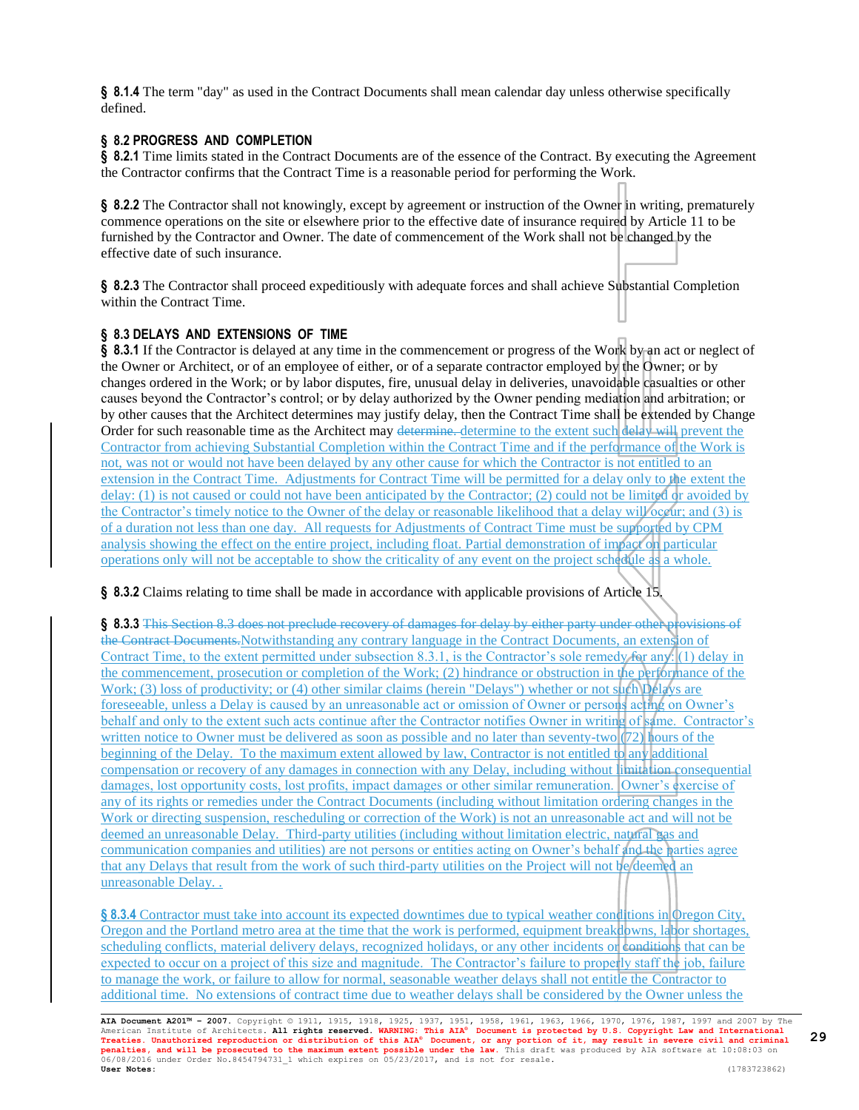**§ 8.1.4** The term "day" as used in the Contract Documents shall mean calendar day unless otherwise specifically defined.

# **§ 8.2 PROGRESS AND COMPLETION**

**§ 8.2.1** Time limits stated in the Contract Documents are of the essence of the Contract. By executing the Agreement the Contractor confirms that the Contract Time is a reasonable period for performing the Work.

§ 8.2.2 The Contractor shall not knowingly, except by agreement or instruction of the Owner in writing, prematurely commence operations on the site or elsewhere prior to the effective date of insurance required by Article 11 to be furnished by the Contractor and Owner. The date of commencement of the Work shall not be changed by the effective date of such insurance.

**§ 8.2.3** The Contractor shall proceed expeditiously with adequate forces and shall achieve Substantial Completion within the Contract Time.

### **§ 8.3 DELAYS AND EXTENSIONS OF TIME**

**§ 8.3.1** If the Contractor is delayed at any time in the commencement or progress of the Work by an act or neglect of the Owner or Architect, or of an employee of either, or of a separate contractor employed by the Owner; or by changes ordered in the Work; or by labor disputes, fire, unusual delay in deliveries, unavoidable casualties or other causes beyond the Contractor's control; or by delay authorized by the Owner pending mediation and arbitration; or by other causes that the Architect determines may justify delay, then the Contract Time shall be extended by Change Order for such reasonable time as the Architect may determine. determine to the extent such delay will prevent the Contractor from achieving Substantial Completion within the Contract Time and if the performance of the Work is not, was not or would not have been delayed by any other cause for which the Contractor is not entitled to an extension in the Contract Time. Adjustments for Contract Time will be permitted for a delay only to the extent the delay: (1) is not caused or could not have been anticipated by the Contractor; (2) could not be limited or avoided by the Contractor's timely notice to the Owner of the delay or reasonable likelihood that a delay will occur; and (3) is of a duration not less than one day. All requests for Adjustments of Contract Time must be supported by CPM analysis showing the effect on the entire project, including float. Partial demonstration of impact on particular operations only will not be acceptable to show the criticality of any event on the project schedule as a whole.

### **§ 8.3.2** Claims relating to time shall be made in accordance with applicable provisions of Article 15.

§ 8.3.3 This Section 8.3 does not preclude recovery of damages for delay by either party under other provisions of the Contract Documents.Notwithstanding any contrary language in the Contract Documents, an extension of Contract Time, to the extent permitted under subsection 8.3.1, is the Contractor's sole remedy for any:  $(1)$  delay in the commencement, prosecution or completion of the Work; (2) hindrance or obstruction in the performance of the Work; (3) loss of productivity; or (4) other similar claims (herein "Delays") whether or not such  $D_{\text{el}}$  avs are foreseeable, unless a Delay is caused by an unreasonable act or omission of Owner or persons acting on Owner's behalf and only to the extent such acts continue after the Contractor notifies Owner in writing of same. Contractor's written notice to Owner must be delivered as soon as possible and no later than seventy-two (72) hours of the beginning of the Delay. To the maximum extent allowed by law, Contractor is not entitled to any additional compensation or recovery of any damages in connection with any Delay, including without limitation consequential damages, lost opportunity costs, lost profits, impact damages or other similar remuneration. Owner's exercise of any of its rights or remedies under the Contract Documents (including without limitation ordering changes in the Work or directing suspension, rescheduling or correction of the Work) is not an unreasonable act and will not be deemed an unreasonable Delay. Third-party utilities (including without limitation electric, natural gas and communication companies and utilities) are not persons or entities acting on Owner's behalf and the parties agree that any Delays that result from the work of such third-party utilities on the Project will not be deemed an unreasonable Delay. .

**§ 8.3.4** Contractor must take into account its expected downtimes due to typical weather conditions in Oregon City, Oregon and the Portland metro area at the time that the work is performed, equipment breakdowns, labor shortages, scheduling conflicts, material delivery delays, recognized holidays, or any other incidents or conditions that can be expected to occur on a project of this size and magnitude. The Contractor's failure to properly staff the job, failure to manage the work, or failure to allow for normal, seasonable weather delays shall not entitle the Contractor to additional time. No extensions of contract time due to weather delays shall be considered by the Owner unless the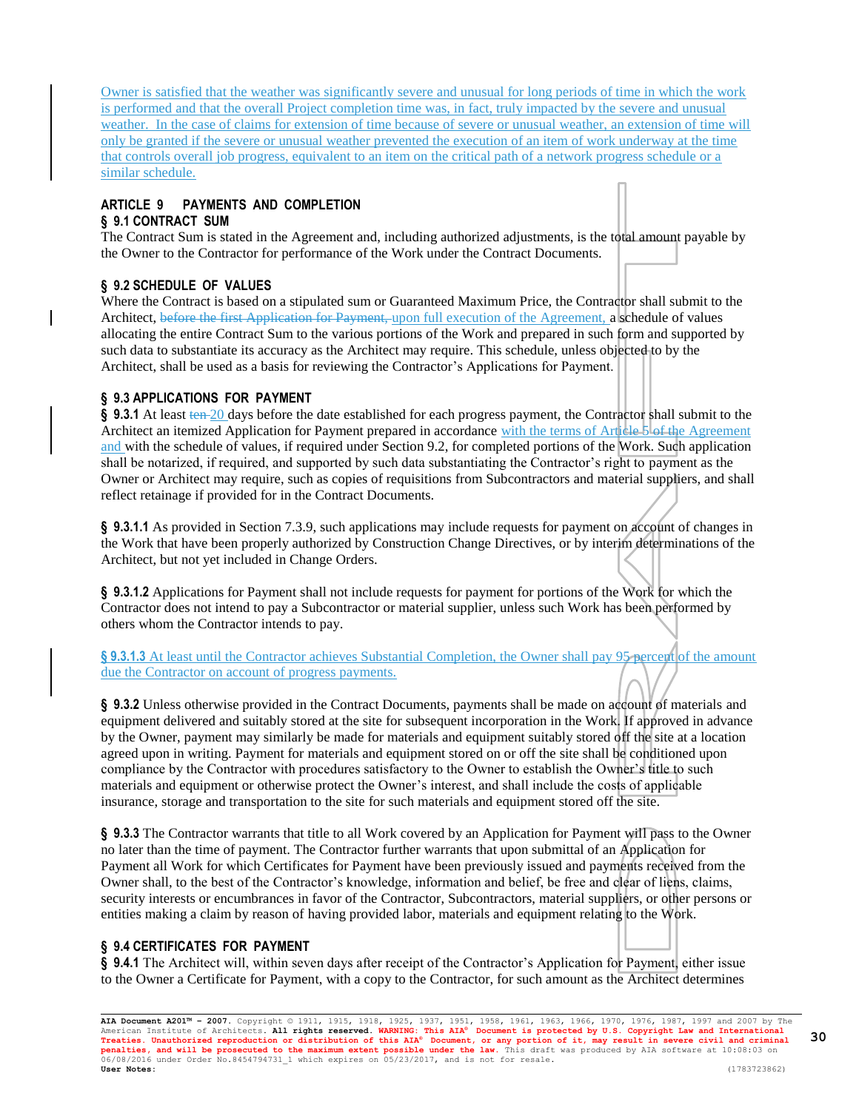Owner is satisfied that the weather was significantly severe and unusual for long periods of time in which the work is performed and that the overall Project completion time was, in fact, truly impacted by the severe and unusual weather. In the case of claims for extension of time because of severe or unusual weather, an extension of time will only be granted if the severe or unusual weather prevented the execution of an item of work underway at the time that controls overall job progress, equivalent to an item on the critical path of a network progress schedule or a similar schedule.

### **ARTICLE 9 PAYMENTS AND COMPLETION § 9.1 CONTRACT SUM**

The Contract Sum is stated in the Agreement and, including authorized adjustments, is the total amount payable by the Owner to the Contractor for performance of the Work under the Contract Documents.

# **§ 9.2 SCHEDULE OF VALUES**

Where the Contract is based on a stipulated sum or Guaranteed Maximum Price, the Contractor shall submit to the Architect, before the first Application for Payment, upon full execution of the Agreement, a schedule of values allocating the entire Contract Sum to the various portions of the Work and prepared in such form and supported by such data to substantiate its accuracy as the Architect may require. This schedule, unless objected to by the Architect, shall be used as a basis for reviewing the Contractor's Applications for Payment.

### **§ 9.3 APPLICATIONS FOR PAYMENT**

§ **9.3.1** At least ten 20 days before the date established for each progress payment, the Contractor shall submit to the Architect an itemized Application for Payment prepared in accordance with the terms of Article 5 of the Agreement and with the schedule of values, if required under Section 9.2, for completed portions of the Work. Such application shall be notarized, if required, and supported by such data substantiating the Contractor's right to payment as the Owner or Architect may require, such as copies of requisitions from Subcontractors and material suppliers, and shall reflect retainage if provided for in the Contract Documents.

**§ 9.3.1.1** As provided in Section 7.3.9, such applications may include requests for payment on account of changes in the Work that have been properly authorized by Construction Change Directives, or by interim determinations of the Architect, but not yet included in Change Orders.

**§ 9.3.1.2** Applications for Payment shall not include requests for payment for portions of the Work for which the Contractor does not intend to pay a Subcontractor or material supplier, unless such Work has been performed by others whom the Contractor intends to pay.

§ 9.3.1.3 At least until the Contractor achieves Substantial Completion, the Owner shall pay 95 percent of the amount due the Contractor on account of progress payments.

**§ 9.3.2** Unless otherwise provided in the Contract Documents, payments shall be made on account of materials and equipment delivered and suitably stored at the site for subsequent incorporation in the Work. If approved in advance by the Owner, payment may similarly be made for materials and equipment suitably stored off the site at a location agreed upon in writing. Payment for materials and equipment stored on or off the site shall be conditioned upon compliance by the Contractor with procedures satisfactory to the Owner to establish the Owner's title to such materials and equipment or otherwise protect the Owner's interest, and shall include the costs of applicable insurance, storage and transportation to the site for such materials and equipment stored off the site.

**§ 9.3.3** The Contractor warrants that title to all Work covered by an Application for Payment will pass to the Owner no later than the time of payment. The Contractor further warrants that upon submittal of an Application for Payment all Work for which Certificates for Payment have been previously issued and payments received from the Owner shall, to the best of the Contractor's knowledge, information and belief, be free and clear of liens, claims, security interests or encumbrances in favor of the Contractor, Subcontractors, material suppliers, or other persons or entities making a claim by reason of having provided labor, materials and equipment relating to the Work.

### **§ 9.4 CERTIFICATES FOR PAYMENT**

**§ 9.4.1** The Architect will, within seven days after receipt of the Contractor's Application for Payment, either issue to the Owner a Certificate for Payment, with a copy to the Contractor, for such amount as the Architect determines

**AIA Document A201™ – 2007.** Copyright © 1911, 1915, 1918, 1925, 1937, 1951, 1958, 1961, 1963, 1966, 1970, 1976, 1987, 1997 and 2007 by The American Institute of Architects. <mark>All rights reserved. WARNING: This AIA® Document is protected by U.S. Copyright Law and International<br>Treaties. Unauthorized reproduction or distribution of this AIA® Document, or any por</mark>  $06/08/2016$  under Order  $N_0.8454794731_1$  which expires on  $05/23/2017$ , and is not for resale.<br>User Notes: **User Notes:** (1783723862)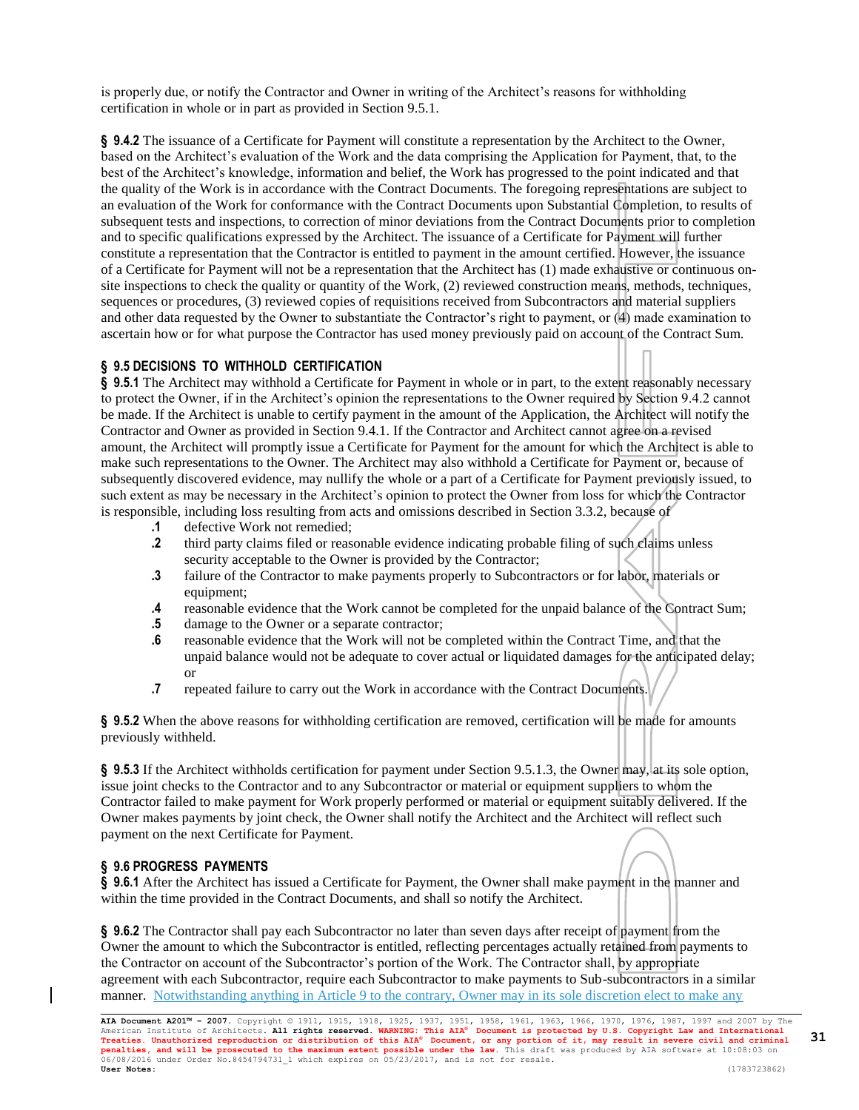is properly due, or notify the Contractor and Owner in writing of the Architect's reasons for withholding certification in whole or in part as provided in Section 9.5.1.

**§ 9.4.2** The issuance of a Certificate for Payment will constitute a representation by the Architect to the Owner, based on the Architect's evaluation of the Work and the data comprising the Application for Payment, that, to the best of the Architect's knowledge, information and belief, the Work has progressed to the point indicated and that the quality of the Work is in accordance with the Contract Documents. The foregoing representations are subject to an evaluation of the Work for conformance with the Contract Documents upon Substantial Completion, to results of subsequent tests and inspections, to correction of minor deviations from the Contract Documents prior to completion and to specific qualifications expressed by the Architect. The issuance of a Certificate for Payment will further constitute a representation that the Contractor is entitled to payment in the amount certified. However, the issuance of a Certificate for Payment will not be a representation that the Architect has (1) made exhaustive or continuous onsite inspections to check the quality or quantity of the Work, (2) reviewed construction means, methods, techniques, sequences or procedures, (3) reviewed copies of requisitions received from Subcontractors and material suppliers and other data requested by the Owner to substantiate the Contractor's right to payment, or (4) made examination to ascertain how or for what purpose the Contractor has used money previously paid on account of the Contract Sum.

### **§ 9.5 DECISIONS TO WITHHOLD CERTIFICATION**

**§ 9.5.1** The Architect may withhold a Certificate for Payment in whole or in part, to the extent reasonably necessary to protect the Owner, if in the Architect's opinion the representations to the Owner required by Section 9.4.2 cannot be made. If the Architect is unable to certify payment in the amount of the Application, the Architect will notify the Contractor and Owner as provided in Section 9.4.1. If the Contractor and Architect cannot agree on a revised amount, the Architect will promptly issue a Certificate for Payment for the amount for which the Architect is able to make such representations to the Owner. The Architect may also withhold a Certificate for Payment or, because of subsequently discovered evidence, may nullify the whole or a part of a Certificate for Payment previously issued, to such extent as may be necessary in the Architect's opinion to protect the Owner from loss for which the Contractor is responsible, including loss resulting from acts and omissions described in Section 3.3.2, because of

- **.1** defective Work not remedied;
- **.2** third party claims filed or reasonable evidence indicating probable filing of such claims unless security acceptable to the Owner is provided by the Contractor;
- **.3** failure of the Contractor to make payments properly to Subcontractors or for labor, materials or equipment;
- **.4** reasonable evidence that the Work cannot be completed for the unpaid balance of the Contract Sum;
- **.5** damage to the Owner or a separate contractor;
- **.6** reasonable evidence that the Work will not be completed within the Contract Time, and that the unpaid balance would not be adequate to cover actual or liquidated damages for the anticipated delay; or
- **.7** repeated failure to carry out the Work in accordance with the Contract Documents.

**§ 9.5.2** When the above reasons for withholding certification are removed, certification will be made for amounts previously withheld.

**§ 9.5.3** If the Architect withholds certification for payment under Section 9.5.1.3, the Owner may, at its sole option, issue joint checks to the Contractor and to any Subcontractor or material or equipment suppliers to whom the Contractor failed to make payment for Work properly performed or material or equipment suitably delivered. If the Owner makes payments by joint check, the Owner shall notify the Architect and the Architect will reflect such payment on the next Certificate for Payment.

### **§ 9.6 PROGRESS PAYMENTS**

**§ 9.6.1** After the Architect has issued a Certificate for Payment, the Owner shall make payment in the manner and within the time provided in the Contract Documents, and shall so notify the Architect.

**§ 9.6.2** The Contractor shall pay each Subcontractor no later than seven days after receipt of payment from the Owner the amount to which the Subcontractor is entitled, reflecting percentages actually retained from payments to the Contractor on account of the Subcontractor's portion of the Work. The Contractor shall, by appropriate agreement with each Subcontractor, require each Subcontractor to make payments to Sub-subcontractors in a similar manner. Notwithstanding anything in Article 9 to the contrary, Owner may in its sole discretion elect to make any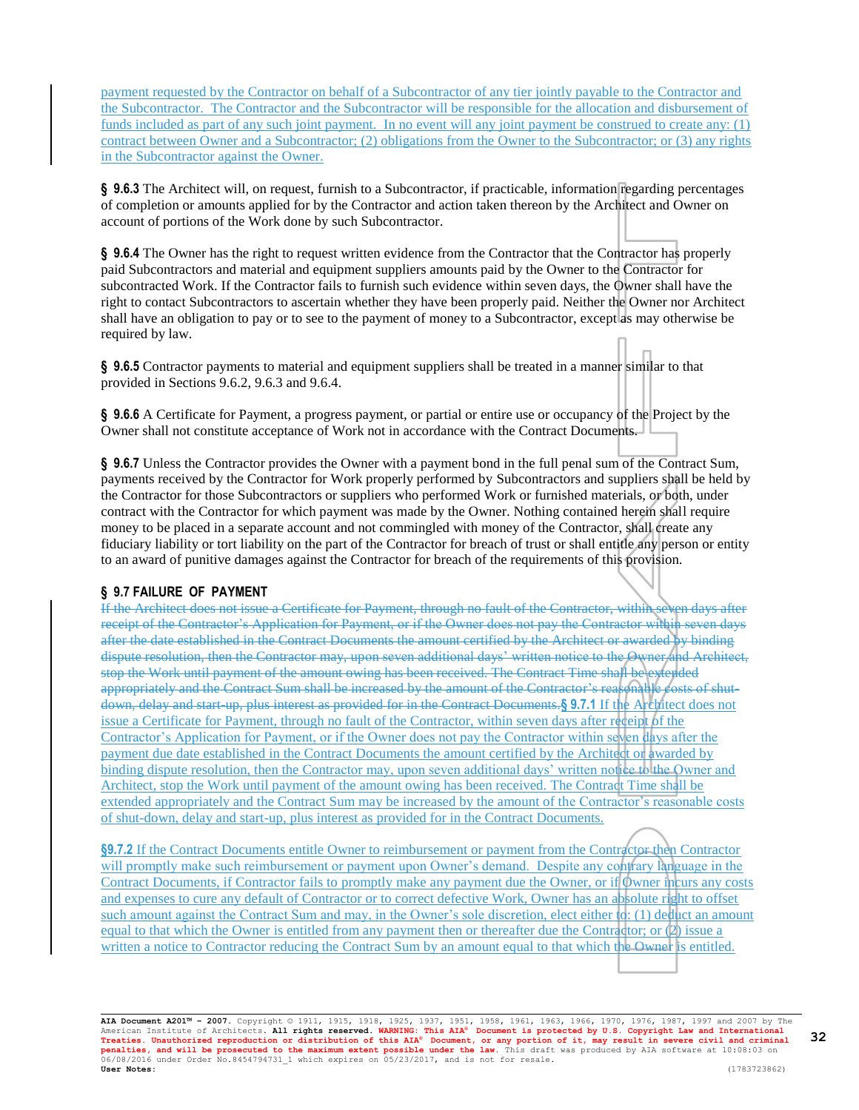payment requested by the Contractor on behalf of a Subcontractor of any tier jointly payable to the Contractor and the Subcontractor. The Contractor and the Subcontractor will be responsible for the allocation and disbursement of funds included as part of any such joint payment. In no event will any joint payment be construed to create any: (1) contract between Owner and a Subcontractor; (2) obligations from the Owner to the Subcontractor; or (3) any rights in the Subcontractor against the Owner.

**§ 9.6.3** The Architect will, on request, furnish to a Subcontractor, if practicable, information regarding percentages of completion or amounts applied for by the Contractor and action taken thereon by the Architect and Owner on account of portions of the Work done by such Subcontractor.

**§ 9.6.4** The Owner has the right to request written evidence from the Contractor that the Contractor has properly paid Subcontractors and material and equipment suppliers amounts paid by the Owner to the Contractor for subcontracted Work. If the Contractor fails to furnish such evidence within seven days, the Owner shall have the right to contact Subcontractors to ascertain whether they have been properly paid. Neither the Owner nor Architect shall have an obligation to pay or to see to the payment of money to a Subcontractor, except as may otherwise be required by law.

**§ 9.6.5** Contractor payments to material and equipment suppliers shall be treated in a manner similar to that provided in Sections 9.6.2, 9.6.3 and 9.6.4.

**§ 9.6.6** A Certificate for Payment, a progress payment, or partial or entire use or occupancy of the Project by the Owner shall not constitute acceptance of Work not in accordance with the Contract Documents.

**§ 9.6.7** Unless the Contractor provides the Owner with a payment bond in the full penal sum of the Contract Sum, payments received by the Contractor for Work properly performed by Subcontractors and suppliers shall be held by the Contractor for those Subcontractors or suppliers who performed Work or furnished materials, or both, under contract with the Contractor for which payment was made by the Owner. Nothing contained herein shall require money to be placed in a separate account and not commingled with money of the Contractor, shall create any fiduciary liability or tort liability on the part of the Contractor for breach of trust or shall entitle any person or entity to an award of punitive damages against the Contractor for breach of the requirements of this provision.

### **§ 9.7 FAILURE OF PAYMENT**

If the Architect does not issue a Certificate for Payment, through no fault of the Contractor, within seven days after receipt of the Contractor's Application for Payment, or if the Owner does not pay the Contractor within seven days after the date established in the Contract Documents the amount certified by the Architect or awarded by binding dispute resolution, then the Contractor may, upon seven additional days' written notice to the Owner and Architect, stop the Work until payment of the amount owing has been received. The Contract Time shall be extended appropriately and the Contract Sum shall be increased by the amount of the Contractor's reasonable costs of shutdown, delay and start-up, plus interest as provided for in the Contract Documents.**§ 9.7.1** If the Architect does not issue a Certificate for Payment, through no fault of the Contractor, within seven days after receipt of the Contractor's Application for Payment, or if the Owner does not pay the Contractor within seven days after the payment due date established in the Contract Documents the amount certified by the Architect or awarded by binding dispute resolution, then the Contractor may, upon seven additional days' written notice to the Owner and Architect, stop the Work until payment of the amount owing has been received. The Contract Time shall be extended appropriately and the Contract Sum may be increased by the amount of the Contractor's reasonable costs of shut-down, delay and start-up, plus interest as provided for in the Contract Documents.

**§9.7.2** If the Contract Documents entitle Owner to reimbursement or payment from the Contractor then Contractor will promptly make such reimbursement or payment upon Owner's demand. Despite any contrary language in the Contract Documents, if Contractor fails to promptly make any payment due the Owner, or if Owner incurs any costs and expenses to cure any default of Contractor or to correct defective Work, Owner has an absolute right to offset such amount against the Contract Sum and may, in the Owner's sole discretion, elect either to: (1) deduct an amount equal to that which the Owner is entitled from any payment then or thereafter due the Contractor; or (2) issue a written a notice to Contractor reducing the Contract Sum by an amount equal to that which the Owner is entitled.

**AIA Document A201™ – 2007.** Copyright © 1911, 1915, 1918, 1925, 1937, 1951, 1958, 1961, 1963, 1966, 1970, 1976, 1987, 1997 and 2007 by The American Institute of Architects. <mark>All rights reserved. WARNING: This AIA® Document is protected by U.S. Copyright Law and International<br>Treaties. Unauthorized reproduction or distribution of this AIA® Document, or any por</mark>  $06/08/2016$  under Order No.8454794731\_1 which expires on  $05/23/2017$ , and is not for resale.<br>User Notes: **User Notes:** (1783723862)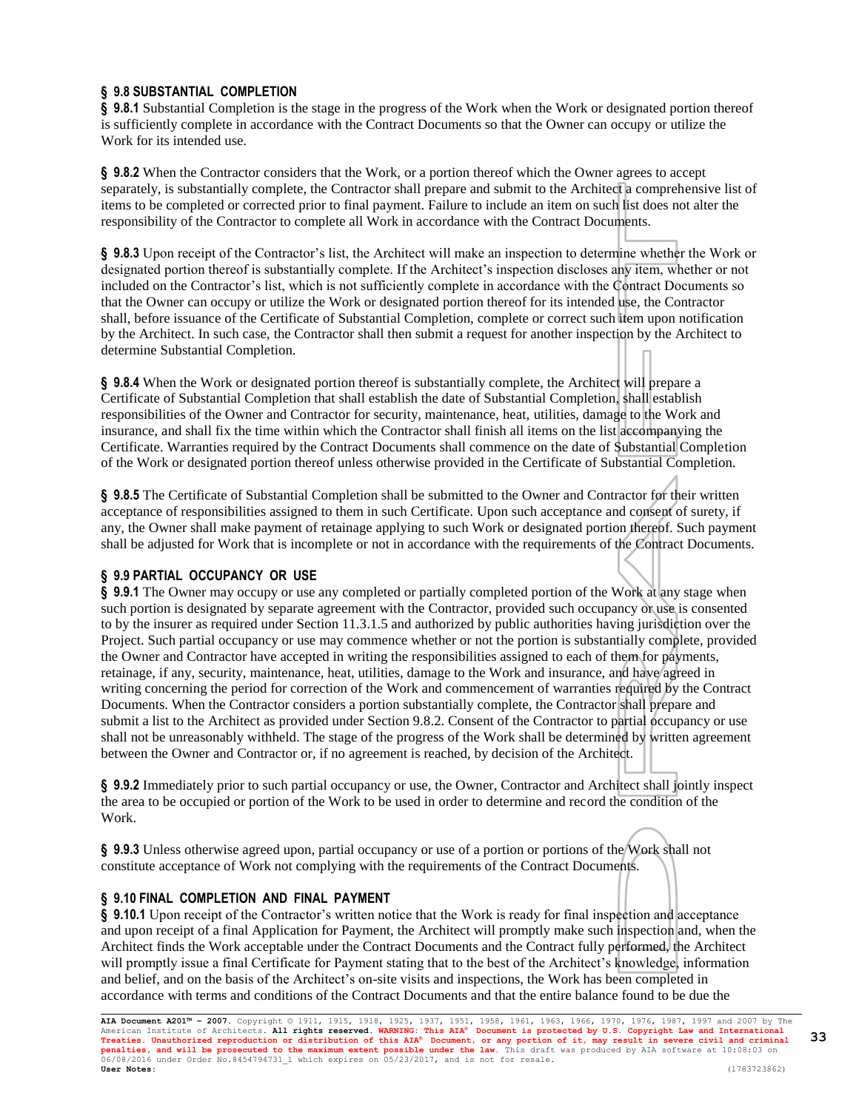# **§ 9.8 SUBSTANTIAL COMPLETION**

**§ 9.8.1** Substantial Completion is the stage in the progress of the Work when the Work or designated portion thereof is sufficiently complete in accordance with the Contract Documents so that the Owner can occupy or utilize the Work for its intended use.

**§ 9.8.2** When the Contractor considers that the Work, or a portion thereof which the Owner agrees to accept separately, is substantially complete, the Contractor shall prepare and submit to the Architect a comprehensive list of items to be completed or corrected prior to final payment. Failure to include an item on such list does not alter the responsibility of the Contractor to complete all Work in accordance with the Contract Documents.

**§ 9.8.3** Upon receipt of the Contractor's list, the Architect will make an inspection to determine whether the Work or designated portion thereof is substantially complete. If the Architect's inspection discloses any item, whether or not included on the Contractor's list, which is not sufficiently complete in accordance with the Contract Documents so that the Owner can occupy or utilize the Work or designated portion thereof for its intended use, the Contractor shall, before issuance of the Certificate of Substantial Completion, complete or correct such item upon notification by the Architect. In such case, the Contractor shall then submit a request for another inspection by the Architect to determine Substantial Completion.

**§ 9.8.4** When the Work or designated portion thereof is substantially complete, the Architect will prepare a Certificate of Substantial Completion that shall establish the date of Substantial Completion, shall establish responsibilities of the Owner and Contractor for security, maintenance, heat, utilities, damage to the Work and insurance, and shall fix the time within which the Contractor shall finish all items on the list accompanying the Certificate. Warranties required by the Contract Documents shall commence on the date of Substantial Completion of the Work or designated portion thereof unless otherwise provided in the Certificate of Substantial Completion.

**§ 9.8.5** The Certificate of Substantial Completion shall be submitted to the Owner and Contractor for their written acceptance of responsibilities assigned to them in such Certificate. Upon such acceptance and consent of surety, if any, the Owner shall make payment of retainage applying to such Work or designated portion thereof. Such payment shall be adjusted for Work that is incomplete or not in accordance with the requirements of the Contract Documents.

### **§ 9.9 PARTIAL OCCUPANCY OR USE**

**§ 9.9.1** The Owner may occupy or use any completed or partially completed portion of the Work at any stage when such portion is designated by separate agreement with the Contractor, provided such occupancy or use is consented to by the insurer as required under Section 11.3.1.5 and authorized by public authorities having jurisdiction over the Project. Such partial occupancy or use may commence whether or not the portion is substantially complete, provided the Owner and Contractor have accepted in writing the responsibilities assigned to each of them for payments, retainage, if any, security, maintenance, heat, utilities, damage to the Work and insurance, and have agreed in writing concerning the period for correction of the Work and commencement of warranties required by the Contract Documents. When the Contractor considers a portion substantially complete, the Contractor shall prepare and submit a list to the Architect as provided under Section 9.8.2. Consent of the Contractor to partial occupancy or use shall not be unreasonably withheld. The stage of the progress of the Work shall be determined by written agreement between the Owner and Contractor or, if no agreement is reached, by decision of the Architect.

**§ 9.9.2** Immediately prior to such partial occupancy or use, the Owner, Contractor and Architect shall jointly inspect the area to be occupied or portion of the Work to be used in order to determine and record the condition of the Work.

**§ 9.9.3** Unless otherwise agreed upon, partial occupancy or use of a portion or portions of the Work shall not constitute acceptance of Work not complying with the requirements of the Contract Documents.

### **§ 9.10 FINAL COMPLETION AND FINAL PAYMENT**

**§ 9.10.1** Upon receipt of the Contractor's written notice that the Work is ready for final inspection and acceptance and upon receipt of a final Application for Payment, the Architect will promptly make such inspection and, when the Architect finds the Work acceptable under the Contract Documents and the Contract fully performed, the Architect will promptly issue a final Certificate for Payment stating that to the best of the Architect's knowledge, information and belief, and on the basis of the Architect's on-site visits and inspections, the Work has been completed in accordance with terms and conditions of the Contract Documents and that the entire balance found to be due the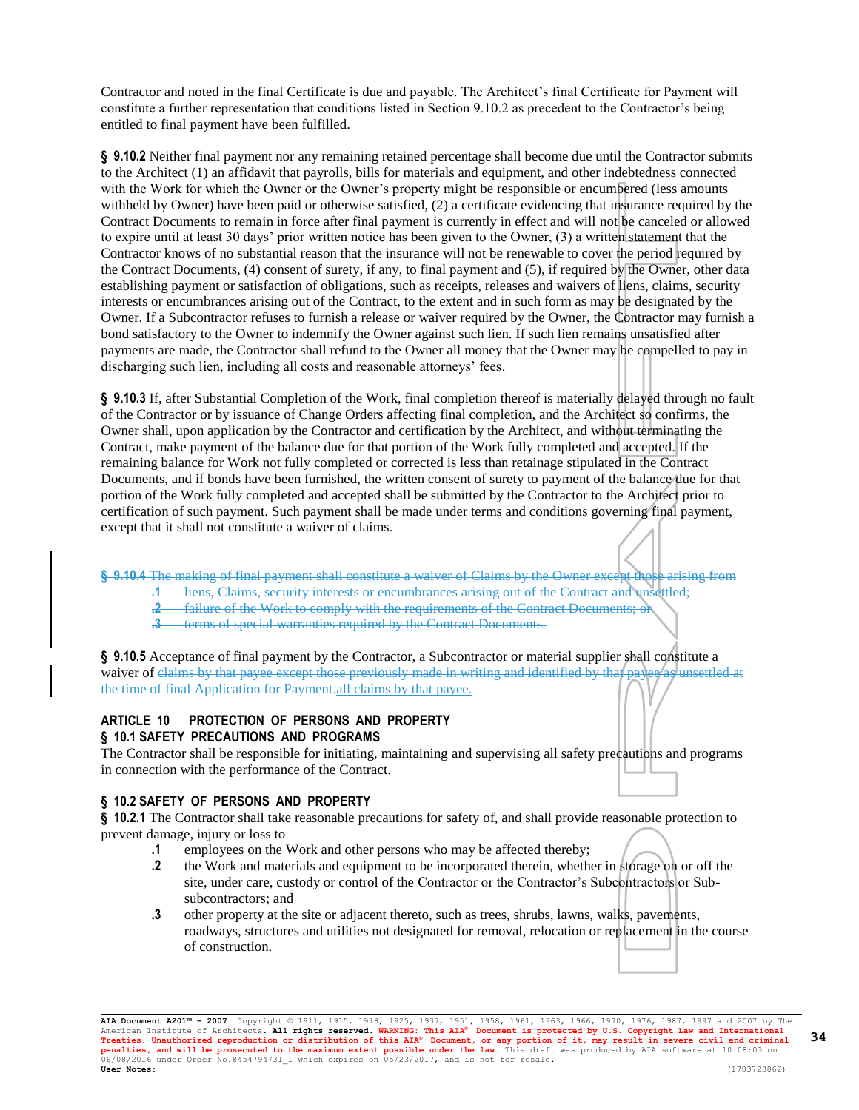Contractor and noted in the final Certificate is due and payable. The Architect's final Certificate for Payment will constitute a further representation that conditions listed in Section 9.10.2 as precedent to the Contractor's being entitled to final payment have been fulfilled.

**§ 9.10.2** Neither final payment nor any remaining retained percentage shall become due until the Contractor submits to the Architect (1) an affidavit that payrolls, bills for materials and equipment, and other indebtedness connected with the Work for which the Owner or the Owner's property might be responsible or encumbered (less amounts withheld by Owner) have been paid or otherwise satisfied, (2) a certificate evidencing that insurance required by the Contract Documents to remain in force after final payment is currently in effect and will not be canceled or allowed to expire until at least 30 days' prior written notice has been given to the Owner, (3) a written statement that the Contractor knows of no substantial reason that the insurance will not be renewable to cover the period required by the Contract Documents, (4) consent of surety, if any, to final payment and (5), if required by the Owner, other data establishing payment or satisfaction of obligations, such as receipts, releases and waivers of liens, claims, security interests or encumbrances arising out of the Contract, to the extent and in such form as may be designated by the Owner. If a Subcontractor refuses to furnish a release or waiver required by the Owner, the Contractor may furnish a bond satisfactory to the Owner to indemnify the Owner against such lien. If such lien remains unsatisfied after payments are made, the Contractor shall refund to the Owner all money that the Owner may be compelled to pay in discharging such lien, including all costs and reasonable attorneys' fees.

**§ 9.10.3** If, after Substantial Completion of the Work, final completion thereof is materially delayed through no fault of the Contractor or by issuance of Change Orders affecting final completion, and the Architect so confirms, the Owner shall, upon application by the Contractor and certification by the Architect, and without terminating the Contract, make payment of the balance due for that portion of the Work fully completed and accepted. If the remaining balance for Work not fully completed or corrected is less than retainage stipulated in the Contract Documents, and if bonds have been furnished, the written consent of surety to payment of the balance due for that portion of the Work fully completed and accepted shall be submitted by the Contractor to the Architect prior to certification of such payment. Such payment shall be made under terms and conditions governing final payment, except that it shall not constitute a waiver of claims.

**§ 9.10.4** The making of final payment shall constitute a waiver of Claims by the Owner except those arising from

- **.1** liens, Claims, security interests or encumbrances arising out of the Contract and unsettled;
- **.2** failure of the Work to comply with the requirements of the Contract Documents; or
- **.3** terms of special warranties required by the Contract Documents.

**§ 9.10.5** Acceptance of final payment by the Contractor, a Subcontractor or material supplier shall constitute a waiver of claims by that payee except those previously made in writing and identified by that payee as unsettled at the time of final Application for Payment.all claims by that payee.

### **ARTICLE 10 PROTECTION OF PERSONS AND PROPERTY § 10.1 SAFETY PRECAUTIONS AND PROGRAMS**

The Contractor shall be responsible for initiating, maintaining and supervising all safety precautions and programs in connection with the performance of the Contract.

# **§ 10.2 SAFETY OF PERSONS AND PROPERTY**

**§ 10.2.1** The Contractor shall take reasonable precautions for safety of, and shall provide reasonable protection to prevent damage, injury or loss to

- **.1** employees on the Work and other persons who may be affected thereby;
- **.2** the Work and materials and equipment to be incorporated therein, whether in storage on or off the site, under care, custody or control of the Contractor or the Contractor's Subcontractors or Subsubcontractors; and
- **.3** other property at the site or adjacent thereto, such as trees, shrubs, lawns, walks, pavements, roadways, structures and utilities not designated for removal, relocation or replacement in the course of construction.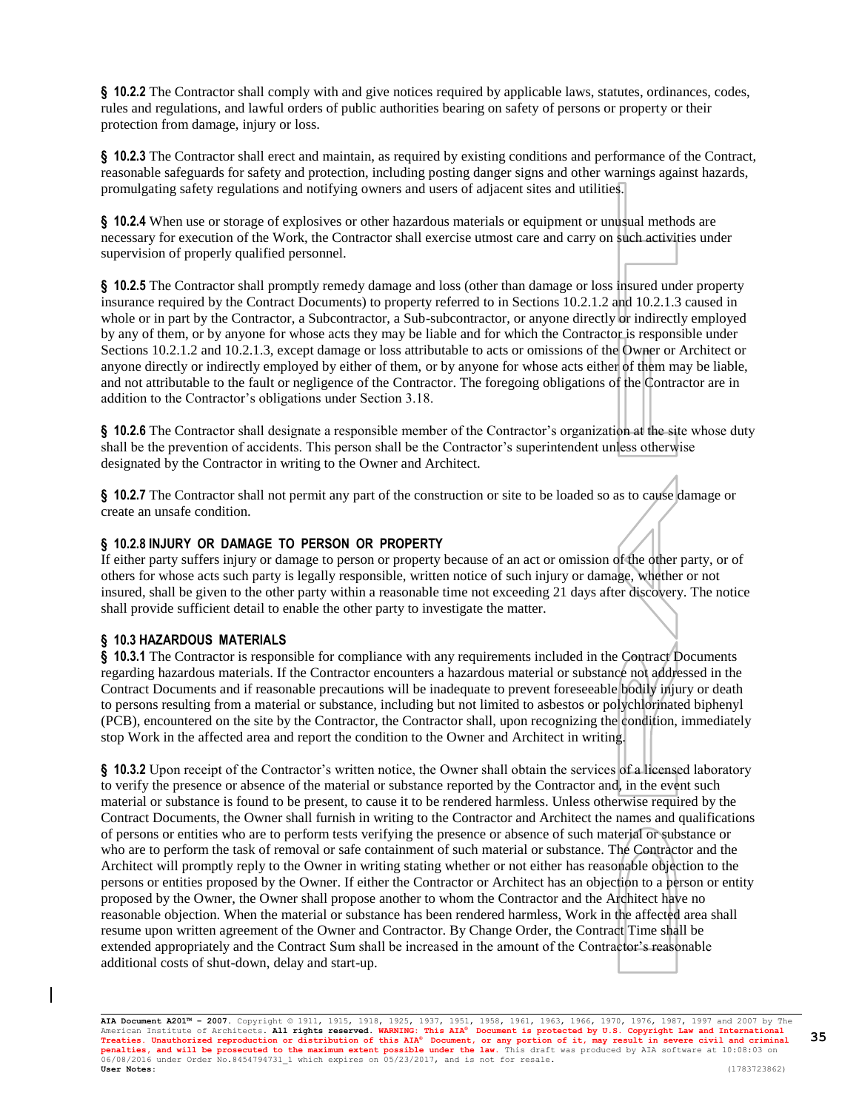**§ 10.2.2** The Contractor shall comply with and give notices required by applicable laws, statutes, ordinances, codes, rules and regulations, and lawful orders of public authorities bearing on safety of persons or property or their protection from damage, injury or loss.

**§ 10.2.3** The Contractor shall erect and maintain, as required by existing conditions and performance of the Contract, reasonable safeguards for safety and protection, including posting danger signs and other warnings against hazards, promulgating safety regulations and notifying owners and users of adjacent sites and utilities.

**§ 10.2.4** When use or storage of explosives or other hazardous materials or equipment or unusual methods are necessary for execution of the Work, the Contractor shall exercise utmost care and carry on such activities under supervision of properly qualified personnel.

**§ 10.2.5** The Contractor shall promptly remedy damage and loss (other than damage or loss insured under property insurance required by the Contract Documents) to property referred to in Sections 10.2.1.2 and 10.2.1.3 caused in whole or in part by the Contractor, a Subcontractor, a Sub-subcontractor, or anyone directly or indirectly employed by any of them, or by anyone for whose acts they may be liable and for which the Contractor is responsible under Sections 10.2.1.2 and 10.2.1.3, except damage or loss attributable to acts or omissions of the Owner or Architect or anyone directly or indirectly employed by either of them, or by anyone for whose acts either of them may be liable, and not attributable to the fault or negligence of the Contractor. The foregoing obligations of the Contractor are in addition to the Contractor's obligations under Section 3.18.

**§ 10.2.6** The Contractor shall designate a responsible member of the Contractor's organization at the site whose duty shall be the prevention of accidents. This person shall be the Contractor's superintendent unless otherwise designated by the Contractor in writing to the Owner and Architect.

**§ 10.2.7** The Contractor shall not permit any part of the construction or site to be loaded so as to cause damage or create an unsafe condition.

### **§ 10.2.8 INJURY OR DAMAGE TO PERSON OR PROPERTY**

If either party suffers injury or damage to person or property because of an act or omission of the other party, or of others for whose acts such party is legally responsible, written notice of such injury or damage, whether or not insured, shall be given to the other party within a reasonable time not exceeding 21 days after discovery. The notice shall provide sufficient detail to enable the other party to investigate the matter.

### **§ 10.3 HAZARDOUS MATERIALS**

**§ 10.3.1** The Contractor is responsible for compliance with any requirements included in the Contract Documents regarding hazardous materials. If the Contractor encounters a hazardous material or substance not addressed in the Contract Documents and if reasonable precautions will be inadequate to prevent foreseeable bodily injury or death to persons resulting from a material or substance, including but not limited to asbestos or polychlorinated biphenyl (PCB), encountered on the site by the Contractor, the Contractor shall, upon recognizing the condition, immediately stop Work in the affected area and report the condition to the Owner and Architect in writing.

**§ 10.3.2** Upon receipt of the Contractor's written notice, the Owner shall obtain the services of a licensed laboratory to verify the presence or absence of the material or substance reported by the Contractor and, in the event such material or substance is found to be present, to cause it to be rendered harmless. Unless otherwise required by the Contract Documents, the Owner shall furnish in writing to the Contractor and Architect the names and qualifications of persons or entities who are to perform tests verifying the presence or absence of such material or substance or who are to perform the task of removal or safe containment of such material or substance. The Contractor and the Architect will promptly reply to the Owner in writing stating whether or not either has reasonable objection to the persons or entities proposed by the Owner. If either the Contractor or Architect has an objection to a person or entity proposed by the Owner, the Owner shall propose another to whom the Contractor and the Architect have no reasonable objection. When the material or substance has been rendered harmless, Work in the affected area shall resume upon written agreement of the Owner and Contractor. By Change Order, the Contract Time shall be extended appropriately and the Contract Sum shall be increased in the amount of the Contractor's reasonable additional costs of shut-down, delay and start-up.

**AIA Document A201™ – 2007.** Copyright © 1911, 1915, 1918, 1925, 1937, 1951, 1958, 1961, 1963, 1966, 1970, 1976, 1987, 1997 and 2007 by The American Institute of Architects. <mark>All rights reserved. WARNING: This AIA® Document is protected by U.S. Copyright Law and International<br>Treaties. Unauthorized reproduction or distribution of this AIA® Document, or any por</mark>  $06/08/2016$  under Order No.8454794731\_1 which expires on  $05/23/2017$ , and is not for resale.<br>User Notes: **User Notes:** (1783723862)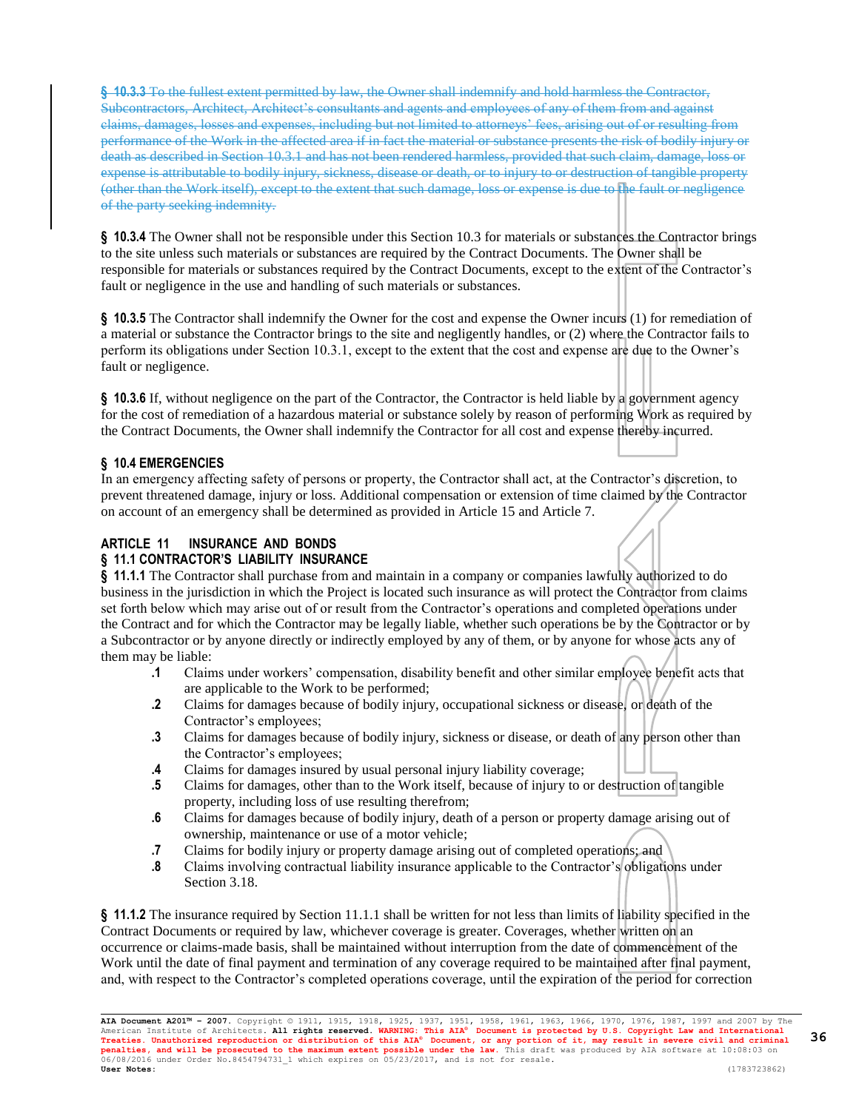**§ 10.3.3** To the fullest extent permitted by law, the Owner shall indemnify and hold harmless the Contractor, Subcontractors, Architect, Architect's consultants and agents and employees of any of them from and against claims, damages, losses and expenses, including but not limited to attorneys' fees, arising out of or resulting from performance of the Work in the affected area if in fact the material or substance presents the risk of bodily injury or death as described in Section 10.3.1 and has not been rendered harmless, provided that such claim, damage, loss or expense is attributable to bodily injury, sickness, disease or death, or to injury to or destruction of tangible property (other than the Work itself), except to the extent that such damage, loss or expense is due to the fault or negligence of the party seeking indemnity.

**§ 10.3.4** The Owner shall not be responsible under this Section 10.3 for materials or substances the Contractor brings to the site unless such materials or substances are required by the Contract Documents. The Owner shall be responsible for materials or substances required by the Contract Documents, except to the extent of the Contractor's fault or negligence in the use and handling of such materials or substances.

**§ 10.3.5** The Contractor shall indemnify the Owner for the cost and expense the Owner incurs (1) for remediation of a material or substance the Contractor brings to the site and negligently handles, or (2) where the Contractor fails to perform its obligations under Section 10.3.1, except to the extent that the cost and expense are due to the Owner's fault or negligence.

**§ 10.3.6** If, without negligence on the part of the Contractor, the Contractor is held liable by a government agency for the cost of remediation of a hazardous material or substance solely by reason of performing Work as required by the Contract Documents, the Owner shall indemnify the Contractor for all cost and expense thereby incurred.

### **§ 10.4 EMERGENCIES**

In an emergency affecting safety of persons or property, the Contractor shall act, at the Contractor's discretion, to prevent threatened damage, injury or loss. Additional compensation or extension of time claimed by the Contractor on account of an emergency shall be determined as provided in Article 15 and Article 7.

# **ARTICLE 11 INSURANCE AND BONDS**

# **§ 11.1 CONTRACTOR'S LIABILITY INSURANCE**

**§ 11.1.1** The Contractor shall purchase from and maintain in a company or companies lawfully authorized to do business in the jurisdiction in which the Project is located such insurance as will protect the Contractor from claims set forth below which may arise out of or result from the Contractor's operations and completed operations under the Contract and for which the Contractor may be legally liable, whether such operations be by the Contractor or by a Subcontractor or by anyone directly or indirectly employed by any of them, or by anyone for whose acts any of them may be liable:

- **.1** Claims under workers' compensation, disability benefit and other similar employee benefit acts that are applicable to the Work to be performed;
- **.2** Claims for damages because of bodily injury, occupational sickness or disease, or death of the Contractor's employees;
- **.3** Claims for damages because of bodily injury, sickness or disease, or death of any person other than the Contractor's employees;
- **.4** Claims for damages insured by usual personal injury liability coverage;
- **.5** Claims for damages, other than to the Work itself, because of injury to or destruction of tangible property, including loss of use resulting therefrom;
- **.6** Claims for damages because of bodily injury, death of a person or property damage arising out of ownership, maintenance or use of a motor vehicle;
- **.7** Claims for bodily injury or property damage arising out of completed operations; and
- **.8** Claims involving contractual liability insurance applicable to the Contractor's obligations under Section 3.18.

**§ 11.1.2** The insurance required by Section 11.1.1 shall be written for not less than limits of liability specified in the Contract Documents or required by law, whichever coverage is greater. Coverages, whether written on an occurrence or claims-made basis, shall be maintained without interruption from the date of commencement of the Work until the date of final payment and termination of any coverage required to be maintained after final payment, and, with respect to the Contractor's completed operations coverage, until the expiration of the period for correction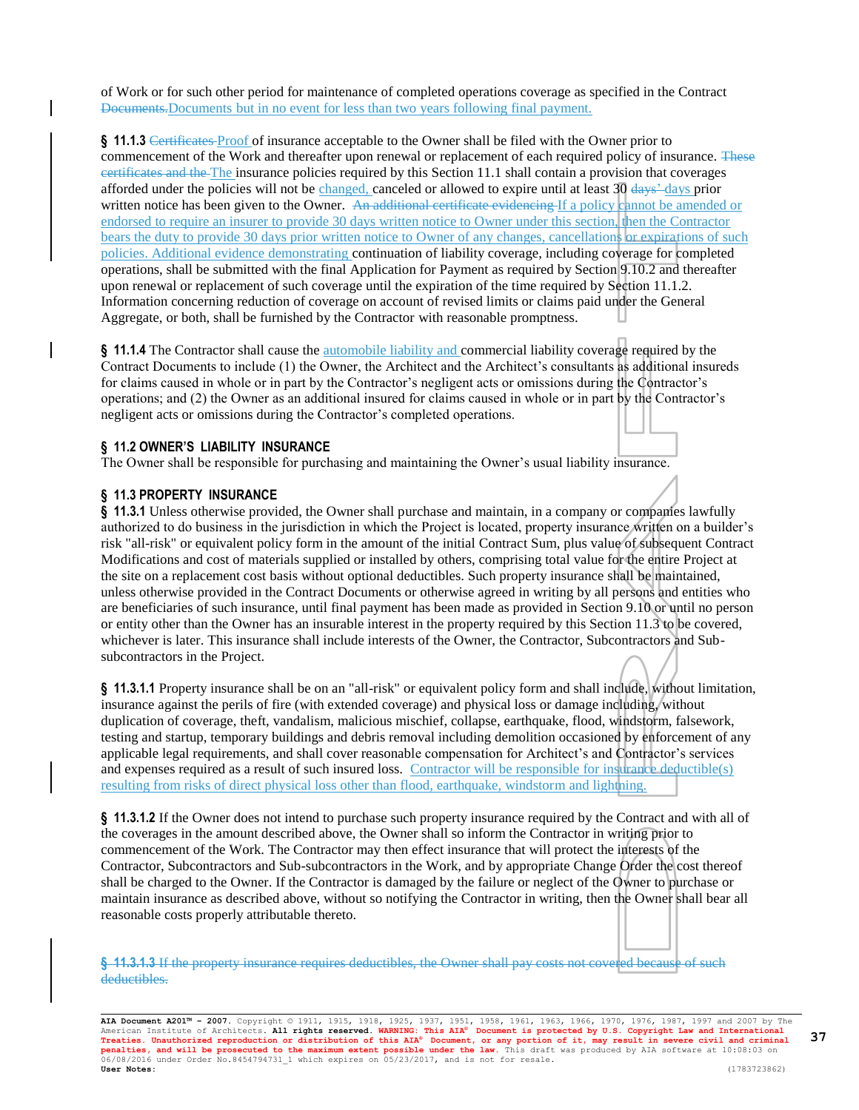of Work or for such other period for maintenance of completed operations coverage as specified in the Contract Documents.Documents but in no event for less than two years following final payment.

**§ 11.1.3** Certificates Proof of insurance acceptable to the Owner shall be filed with the Owner prior to commencement of the Work and thereafter upon renewal or replacement of each required policy of insurance. These certificates and the The insurance policies required by this Section 11.1 shall contain a provision that coverages afforded under the policies will not be changed, canceled or allowed to expire until at least  $30 \frac{\text{days}}{\text{days}}$  days prior written notice has been given to the Owner. An additional certificate evidencing If a policy cannot be amended or endorsed to require an insurer to provide 30 days written notice to Owner under this section, then the Contractor bears the duty to provide 30 days prior written notice to Owner of any changes, cancellations or expirations of such policies. Additional evidence demonstrating continuation of liability coverage, including coverage for completed operations, shall be submitted with the final Application for Payment as required by Section 9.10.2 and thereafter upon renewal or replacement of such coverage until the expiration of the time required by Section 11.1.2. Information concerning reduction of coverage on account of revised limits or claims paid under the General Aggregate, or both, shall be furnished by the Contractor with reasonable promptness.

**§ 11.1.4** The Contractor shall cause the automobile liability and commercial liability coverage required by the Contract Documents to include (1) the Owner, the Architect and the Architect's consultants as additional insureds for claims caused in whole or in part by the Contractor's negligent acts or omissions during the Contractor's operations; and (2) the Owner as an additional insured for claims caused in whole or in part by the Contractor's negligent acts or omissions during the Contractor's completed operations.

### **§ 11.2 OWNER'S LIABILITY INSURANCE**

The Owner shall be responsible for purchasing and maintaining the Owner's usual liability insurance.

### **§ 11.3 PROPERTY INSURANCE**

**§ 11.3.1** Unless otherwise provided, the Owner shall purchase and maintain, in a company or companies lawfully authorized to do business in the jurisdiction in which the Project is located, property insurance written on a builder's risk "all-risk" or equivalent policy form in the amount of the initial Contract Sum, plus value of subsequent Contract Modifications and cost of materials supplied or installed by others, comprising total value for the entire Project at the site on a replacement cost basis without optional deductibles. Such property insurance shall be maintained, unless otherwise provided in the Contract Documents or otherwise agreed in writing by all persons and entities who are beneficiaries of such insurance, until final payment has been made as provided in Section 9.10 or until no person or entity other than the Owner has an insurable interest in the property required by this Section 11.3 to be covered, whichever is later. This insurance shall include interests of the Owner, the Contractor, Subcontractors and Subsubcontractors in the Project.

**§ 11.3.1.1** Property insurance shall be on an "all-risk" or equivalent policy form and shall include, without limitation, insurance against the perils of fire (with extended coverage) and physical loss or damage including, without duplication of coverage, theft, vandalism, malicious mischief, collapse, earthquake, flood, windstorm, falsework, testing and startup, temporary buildings and debris removal including demolition occasioned by enforcement of any applicable legal requirements, and shall cover reasonable compensation for Architect's and Contractor's services and expenses required as a result of such insured loss. Contractor will be responsible for insurance deductible(s) resulting from risks of direct physical loss other than flood, earthquake, windstorm and lightning.

**§ 11.3.1.2** If the Owner does not intend to purchase such property insurance required by the Contract and with all of the coverages in the amount described above, the Owner shall so inform the Contractor in writing prior to commencement of the Work. The Contractor may then effect insurance that will protect the interests of the Contractor, Subcontractors and Sub-subcontractors in the Work, and by appropriate Change Order the cost thereof shall be charged to the Owner. If the Contractor is damaged by the failure or neglect of the Owner to purchase or maintain insurance as described above, without so notifying the Contractor in writing, then the Owner shall bear all reasonable costs properly attributable thereto.

**§ 11.3.1.3** If the property insurance requires deductibles, the Owner shall pay costs not covered because of such deductibles.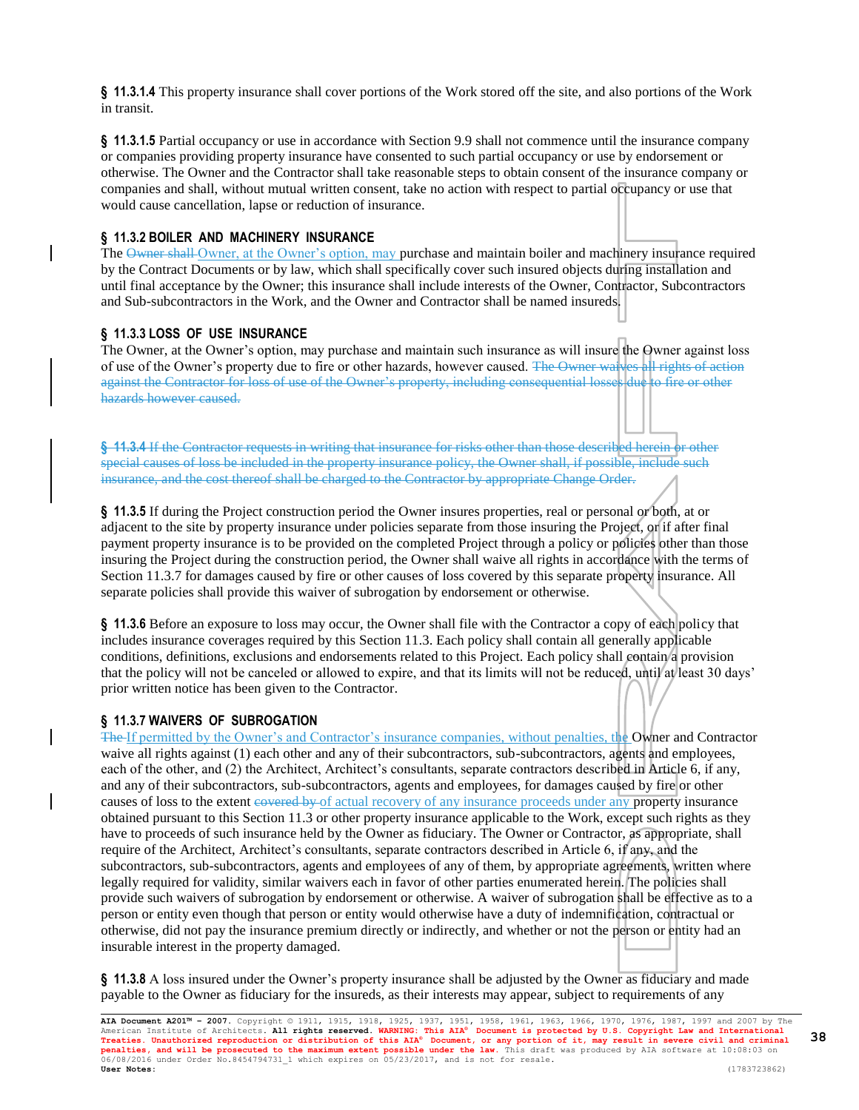**§ 11.3.1.4** This property insurance shall cover portions of the Work stored off the site, and also portions of the Work in transit.

**§ 11.3.1.5** Partial occupancy or use in accordance with Section 9.9 shall not commence until the insurance company or companies providing property insurance have consented to such partial occupancy or use by endorsement or otherwise. The Owner and the Contractor shall take reasonable steps to obtain consent of the insurance company or companies and shall, without mutual written consent, take no action with respect to partial occupancy or use that would cause cancellation, lapse or reduction of insurance.

### **§ 11.3.2 BOILER AND MACHINERY INSURANCE**

The Owner shall Owner, at the Owner's option, may purchase and maintain boiler and machinery insurance required by the Contract Documents or by law, which shall specifically cover such insured objects during installation and until final acceptance by the Owner; this insurance shall include interests of the Owner, Contractor, Subcontractors and Sub-subcontractors in the Work, and the Owner and Contractor shall be named insureds.

### **§ 11.3.3 LOSS OF USE INSURANCE**

The Owner, at the Owner's option, may purchase and maintain such insurance as will insure the Owner against loss of use of the Owner's property due to fire or other hazards, however caused. The Owner waives all rights of action against the Contractor for loss of use of the Owner's property, including consequential losses due to fire or other hazards however caused.

§ 11.3.4 If the Contractor requests in writing that insurance for risks other than those described herein or other special causes of loss be included in the property insurance policy, the Owner shall, if possible, include such insurance, and the cost thereof shall be charged to the Contractor by appropriate Change Order.

**§ 11.3.5** If during the Project construction period the Owner insures properties, real or personal or both, at or adjacent to the site by property insurance under policies separate from those insuring the Project, or if after final payment property insurance is to be provided on the completed Project through a policy or policies other than those insuring the Project during the construction period, the Owner shall waive all rights in accordance with the terms of Section 11.3.7 for damages caused by fire or other causes of loss covered by this separate property insurance. All separate policies shall provide this waiver of subrogation by endorsement or otherwise.

**§ 11.3.6** Before an exposure to loss may occur, the Owner shall file with the Contractor a copy of each policy that includes insurance coverages required by this Section 11.3. Each policy shall contain all generally applicable conditions, definitions, exclusions and endorsements related to this Project. Each policy shall contain a provision that the policy will not be canceled or allowed to expire, and that its limits will not be reduced, until at least 30 days' prior written notice has been given to the Contractor.

# **§ 11.3.7 WAIVERS OF SUBROGATION**

The If permitted by the Owner's and Contractor's insurance companies, without penalties, the Owner and Contractor waive all rights against (1) each other and any of their subcontractors, sub-subcontractors, agents and employees, each of the other, and (2) the Architect, Architect's consultants, separate contractors described in Article 6, if any, and any of their subcontractors, sub-subcontractors, agents and employees, for damages caused by fire or other causes of loss to the extent e<del>overed by of</del> actual recovery of any insurance proceeds under any property insurance obtained pursuant to this Section 11.3 or other property insurance applicable to the Work, except such rights as they have to proceeds of such insurance held by the Owner as fiduciary. The Owner or Contractor, as appropriate, shall require of the Architect, Architect's consultants, separate contractors described in Article 6, if any, and the subcontractors, sub-subcontractors, agents and employees of any of them, by appropriate agreements, written where legally required for validity, similar waivers each in favor of other parties enumerated herein. The policies shall provide such waivers of subrogation by endorsement or otherwise. A waiver of subrogation shall be effective as to a person or entity even though that person or entity would otherwise have a duty of indemnification, contractual or otherwise, did not pay the insurance premium directly or indirectly, and whether or not the person or entity had an insurable interest in the property damaged.

**§ 11.3.8** A loss insured under the Owner's property insurance shall be adjusted by the Owner as fiduciary and made payable to the Owner as fiduciary for the insureds, as their interests may appear, subject to requirements of any

**AIA Document A201™ – 2007.** Copyright © 1911, 1915, 1918, 1925, 1937, 1951, 1958, 1961, 1963, 1966, 1970, 1976, 1987, 1997 and 2007 by The American Institute of Architects. <mark>All rights reserved. WARNING: This AIA® Document is protected by U.S. Copyright Law and International<br>Treaties. Unauthorized reproduction or distribution of this AIA® Document, or any por</mark>  $06/08/2016$  under Order No.8454794731\_1 which expires on  $05/23/2017$ , and is not for resale.<br>User Notes: **User Notes:** (1783723862)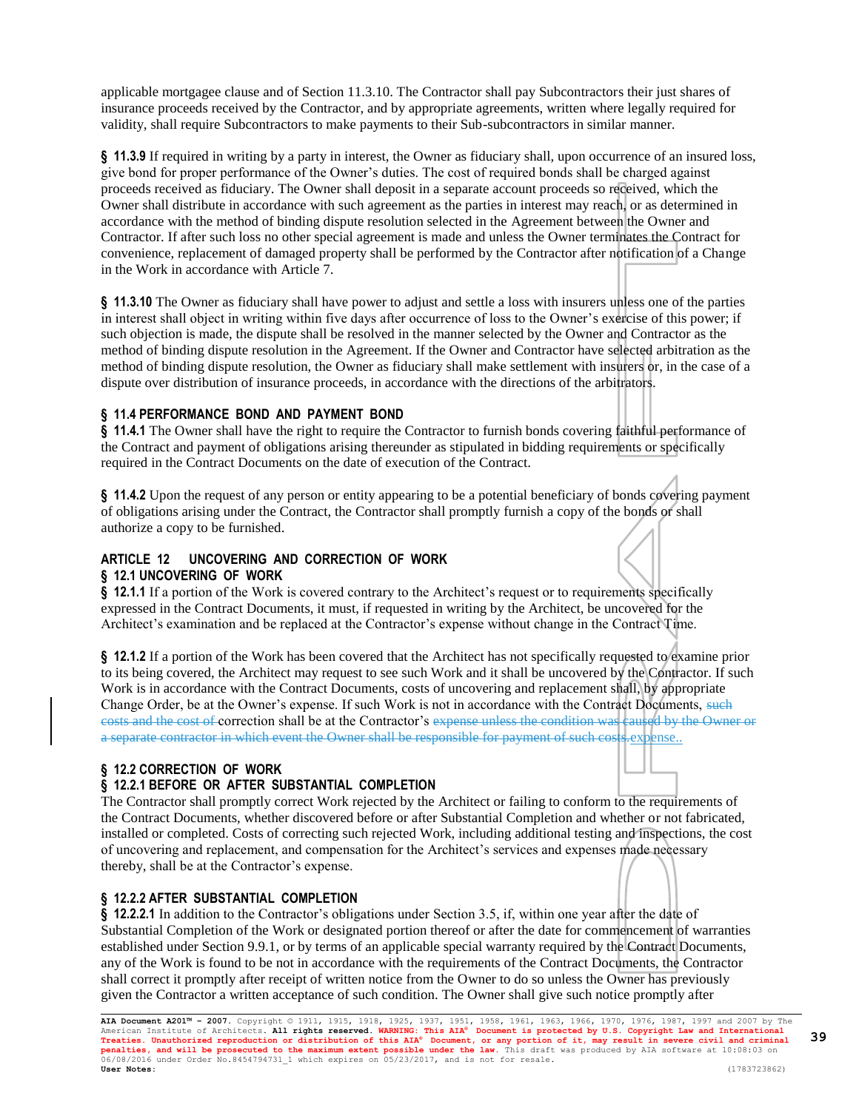applicable mortgagee clause and of Section 11.3.10. The Contractor shall pay Subcontractors their just shares of insurance proceeds received by the Contractor, and by appropriate agreements, written where legally required for validity, shall require Subcontractors to make payments to their Sub-subcontractors in similar manner.

**§ 11.3.9** If required in writing by a party in interest, the Owner as fiduciary shall, upon occurrence of an insured loss, give bond for proper performance of the Owner's duties. The cost of required bonds shall be charged against proceeds received as fiduciary. The Owner shall deposit in a separate account proceeds so received, which the Owner shall distribute in accordance with such agreement as the parties in interest may reach, or as determined in accordance with the method of binding dispute resolution selected in the Agreement between the Owner and Contractor. If after such loss no other special agreement is made and unless the Owner terminates the Contract for convenience, replacement of damaged property shall be performed by the Contractor after notification of a Change in the Work in accordance with Article 7.

**§ 11.3.10** The Owner as fiduciary shall have power to adjust and settle a loss with insurers unless one of the parties in interest shall object in writing within five days after occurrence of loss to the Owner's exercise of this power; if such objection is made, the dispute shall be resolved in the manner selected by the Owner and Contractor as the method of binding dispute resolution in the Agreement. If the Owner and Contractor have selected arbitration as the method of binding dispute resolution, the Owner as fiduciary shall make settlement with insurers or, in the case of a dispute over distribution of insurance proceeds, in accordance with the directions of the arbitrators.

### **§ 11.4 PERFORMANCE BOND AND PAYMENT BOND**

**§ 11.4.1** The Owner shall have the right to require the Contractor to furnish bonds covering faithful performance of the Contract and payment of obligations arising thereunder as stipulated in bidding requirements or specifically required in the Contract Documents on the date of execution of the Contract.

**§ 11.4.2** Upon the request of any person or entity appearing to be a potential beneficiary of bonds covering payment of obligations arising under the Contract, the Contractor shall promptly furnish a copy of the bonds or shall authorize a copy to be furnished.

### **ARTICLE 12 UNCOVERING AND CORRECTION OF WORK § 12.1 UNCOVERING OF WORK**

**§ 12.1.1** If a portion of the Work is covered contrary to the Architect's request or to requirements specifically expressed in the Contract Documents, it must, if requested in writing by the Architect, be uncovered for the Architect's examination and be replaced at the Contractor's expense without change in the Contract Time.

**§ 12.1.2** If a portion of the Work has been covered that the Architect has not specifically requested to examine prior to its being covered, the Architect may request to see such Work and it shall be uncovered by the Contractor. If such Work is in accordance with the Contract Documents, costs of uncovering and replacement shall, by appropriate Change Order, be at the Owner's expense. If such Work is not in accordance with the Contract Documents, such costs and the cost of correction shall be at the Contractor's expense unless the condition was caused by the Owner or a separate contractor in which event the Owner shall be responsible for payment of such costs-expense..

# **§ 12.2 CORRECTION OF WORK**

### **§ 12.2.1 BEFORE OR AFTER SUBSTANTIAL COMPLETION**

The Contractor shall promptly correct Work rejected by the Architect or failing to conform to the requirements of the Contract Documents, whether discovered before or after Substantial Completion and whether or not fabricated, installed or completed. Costs of correcting such rejected Work, including additional testing and inspections, the cost of uncovering and replacement, and compensation for the Architect's services and expenses made necessary thereby, shall be at the Contractor's expense.

### **§ 12.2.2 AFTER SUBSTANTIAL COMPLETION**

**§ 12.2.2.1** In addition to the Contractor's obligations under Section 3.5, if, within one year after the date of Substantial Completion of the Work or designated portion thereof or after the date for commencement of warranties established under Section 9.9.1, or by terms of an applicable special warranty required by the Contract Documents, any of the Work is found to be not in accordance with the requirements of the Contract Documents, the Contractor shall correct it promptly after receipt of written notice from the Owner to do so unless the Owner has previously given the Contractor a written acceptance of such condition. The Owner shall give such notice promptly after

**AIA Document A201™ – 2007.** Copyright © 1911, 1915, 1918, 1925, 1937, 1951, 1958, 1961, 1963, 1966, 1970, 1976, 1987, 1997 and 2007 by The American Institute of Architects. <mark>All rights reserved. WARNING: This AIA® Document is protected by U.S. Copyright Law and International<br>Treaties. Unauthorized reproduction or distribution of this AIA® Document, or any por</mark> 06/08/2016 under Order No.8454794731\_1 which expires on 05/23/2017, and is not for resale.<br>User Notes: **User Notes:** (1783723862)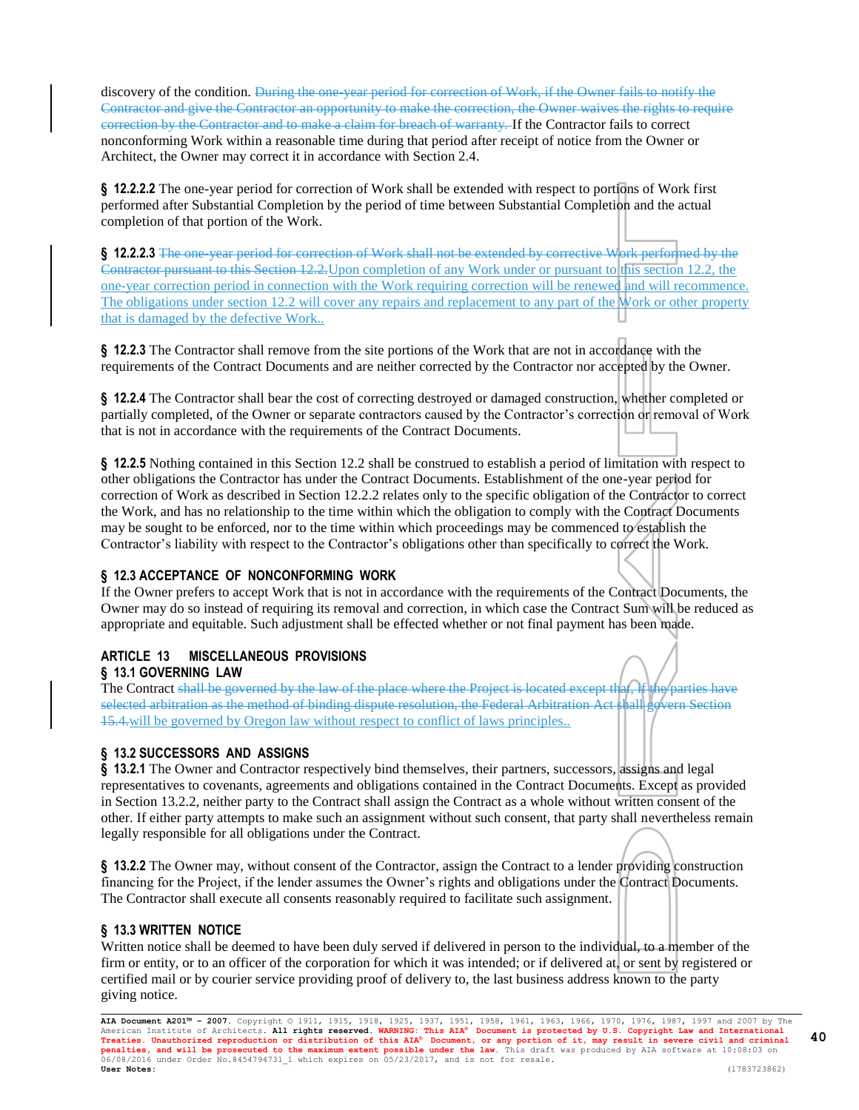discovery of the condition. During the one-year period for correction of Work, if the Owner fails to notify the Contractor and give the Contractor an opportunity to make the correction, the Owner waives the rights to require correction by the Contractor and to make a claim for breach of warranty. If the Contractor fails to correct nonconforming Work within a reasonable time during that period after receipt of notice from the Owner or Architect, the Owner may correct it in accordance with Section 2.4.

**§ 12.2.2.2** The one-year period for correction of Work shall be extended with respect to portions of Work first performed after Substantial Completion by the period of time between Substantial Completion and the actual completion of that portion of the Work.

**§ 12.2.2.3** The one-year period for correction of Work shall not be extended by corrective Work performed by the Contractor pursuant to this Section 12.2.Upon completion of any Work under or pursuant to this section 12.2, the one-year correction period in connection with the Work requiring correction will be renewed and will recommence. The obligations under section 12.2 will cover any repairs and replacement to any part of the Work or other property that is damaged by the defective Work..

**§ 12.2.3** The Contractor shall remove from the site portions of the Work that are not in accordance with the requirements of the Contract Documents and are neither corrected by the Contractor nor accepted by the Owner.

**§ 12.2.4** The Contractor shall bear the cost of correcting destroyed or damaged construction, whether completed or partially completed, of the Owner or separate contractors caused by the Contractor's correction or removal of Work that is not in accordance with the requirements of the Contract Documents.

**§ 12.2.5** Nothing contained in this Section 12.2 shall be construed to establish a period of limitation with respect to other obligations the Contractor has under the Contract Documents. Establishment of the one-year period for correction of Work as described in Section 12.2.2 relates only to the specific obligation of the Contractor to correct the Work, and has no relationship to the time within which the obligation to comply with the Contract Documents may be sought to be enforced, nor to the time within which proceedings may be commenced to establish the Contractor's liability with respect to the Contractor's obligations other than specifically to correct the Work.

### **§ 12.3 ACCEPTANCE OF NONCONFORMING WORK**

If the Owner prefers to accept Work that is not in accordance with the requirements of the Contract Documents, the Owner may do so instead of requiring its removal and correction, in which case the Contract Sum will be reduced as appropriate and equitable. Such adjustment shall be effected whether or not final payment has been made.

### **ARTICLE 13 MISCELLANEOUS PROVISIONS § 13.1 GOVERNING LAW**

The Contract shall be governed by the law of the place where the Project is located except that, if the parties have selected arbitration as the method of binding dispute resolution, the Federal Arbitration Act shall govern Section 15.4.will be governed by Oregon law without respect to conflict of laws principles..

### **§ 13.2 SUCCESSORS AND ASSIGNS**

**§ 13.2.1** The Owner and Contractor respectively bind themselves, their partners, successors, assigns and legal representatives to covenants, agreements and obligations contained in the Contract Documents. Except as provided in Section 13.2.2, neither party to the Contract shall assign the Contract as a whole without written consent of the other. If either party attempts to make such an assignment without such consent, that party shall nevertheless remain legally responsible for all obligations under the Contract.

**§ 13.2.2** The Owner may, without consent of the Contractor, assign the Contract to a lender providing construction financing for the Project, if the lender assumes the Owner's rights and obligations under the Contract Documents. The Contractor shall execute all consents reasonably required to facilitate such assignment.

### **§ 13.3 WRITTEN NOTICE**

Written notice shall be deemed to have been duly served if delivered in person to the individual, to a member of the firm or entity, or to an officer of the corporation for which it was intended; or if delivered at, or sent by registered or certified mail or by courier service providing proof of delivery to, the last business address known to the party giving notice.

**AIA Document A201™ – 2007.** Copyright © 1911, 1915, 1918, 1925, 1937, 1951, 1958, 1961, 1963, 1966, 1970, 1976, 1987, 1997 and 2007 by The American Institute of Architects. <mark>All rights reserved. WARNING: This AIA® Document is protected by U.S. Copyright Law and International<br>Treaties. Unauthorized reproduction or distribution of this AIA® Document, or any por</mark>  $06/08/2016$  under Order No.8454794731\_1 which expires on  $05/23/2017$ , and is not for resale.<br>User Notes: **User Notes:** (1783723862)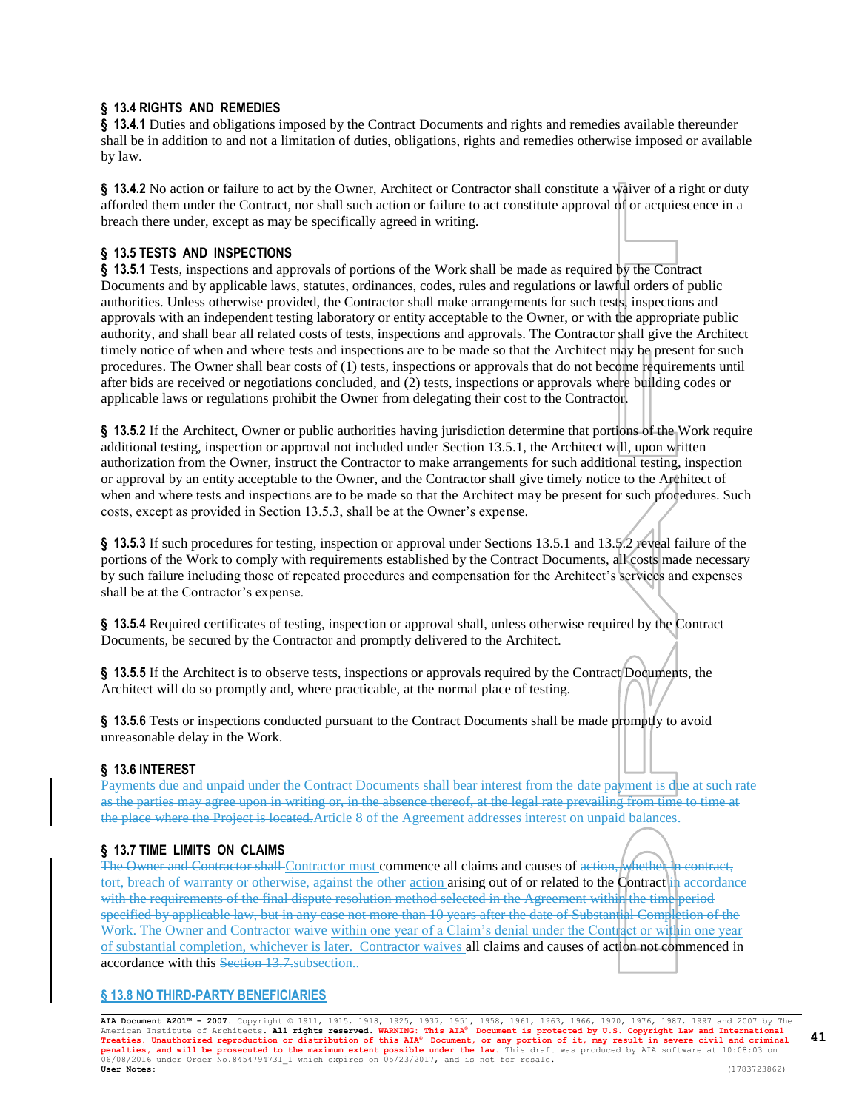### **§ 13.4 RIGHTS AND REMEDIES**

**§ 13.4.1** Duties and obligations imposed by the Contract Documents and rights and remedies available thereunder shall be in addition to and not a limitation of duties, obligations, rights and remedies otherwise imposed or available by law.

**§ 13.4.2** No action or failure to act by the Owner, Architect or Contractor shall constitute a waiver of a right or duty afforded them under the Contract, nor shall such action or failure to act constitute approval of or acquiescence in a breach there under, except as may be specifically agreed in writing.

### **§ 13.5 TESTS AND INSPECTIONS**

**§ 13.5.1** Tests, inspections and approvals of portions of the Work shall be made as required by the Contract Documents and by applicable laws, statutes, ordinances, codes, rules and regulations or lawful orders of public authorities. Unless otherwise provided, the Contractor shall make arrangements for such tests, inspections and approvals with an independent testing laboratory or entity acceptable to the Owner, or with the appropriate public authority, and shall bear all related costs of tests, inspections and approvals. The Contractor shall give the Architect timely notice of when and where tests and inspections are to be made so that the Architect may be present for such procedures. The Owner shall bear costs of (1) tests, inspections or approvals that do not become requirements until after bids are received or negotiations concluded, and (2) tests, inspections or approvals where building codes or applicable laws or regulations prohibit the Owner from delegating their cost to the Contractor.

**§ 13.5.2** If the Architect, Owner or public authorities having jurisdiction determine that portions of the Work require additional testing, inspection or approval not included under Section 13.5.1, the Architect will, upon written authorization from the Owner, instruct the Contractor to make arrangements for such additional testing, inspection or approval by an entity acceptable to the Owner, and the Contractor shall give timely notice to the Architect of when and where tests and inspections are to be made so that the Architect may be present for such procedures. Such costs, except as provided in Section 13.5.3, shall be at the Owner's expense.

**§ 13.5.3** If such procedures for testing, inspection or approval under Sections 13.5.1 and 13.5.2 reveal failure of the portions of the Work to comply with requirements established by the Contract Documents, all costs made necessary by such failure including those of repeated procedures and compensation for the Architect's services and expenses shall be at the Contractor's expense.

**§ 13.5.4** Required certificates of testing, inspection or approval shall, unless otherwise required by the Contract Documents, be secured by the Contractor and promptly delivered to the Architect.

**§ 13.5.5** If the Architect is to observe tests, inspections or approvals required by the Contract Documents, the Architect will do so promptly and, where practicable, at the normal place of testing.

**§ 13.5.6** Tests or inspections conducted pursuant to the Contract Documents shall be made promptly to avoid unreasonable delay in the Work.

### **§ 13.6 INTEREST**

Payments due and unpaid under the Contract Documents shall bear interest from the date payment is due at such rate as the parties may agree upon in writing or, in the absence thereof, at the legal rate prevailing from time to time at the place where the Project is located.Article 8 of the Agreement addresses interest on unpaid balances.

### **§ 13.7 TIME LIMITS ON CLAIMS**

The Owner and Contractor shall Contractor must commence all claims and causes of action, whether in contract, tort, breach of warranty or otherwise, against the other action arising out of or related to the Contract  $\frac{1}{n}$  accordance with the requirements of the final dispute resolution method selected in the Agreement within the time period specified by applicable law, but in any case not more than 10 years after the date of Substantial Completion of the Work. The Owner and Contractor waive within one year of a Claim's denial under the Contract or within one year of substantial completion, whichever is later. Contractor waives all claims and causes of action not commenced in accordance with this Section 13.7.subsection..

### **§ 13.8 NO THIRD-PARTY BENEFICIARIES**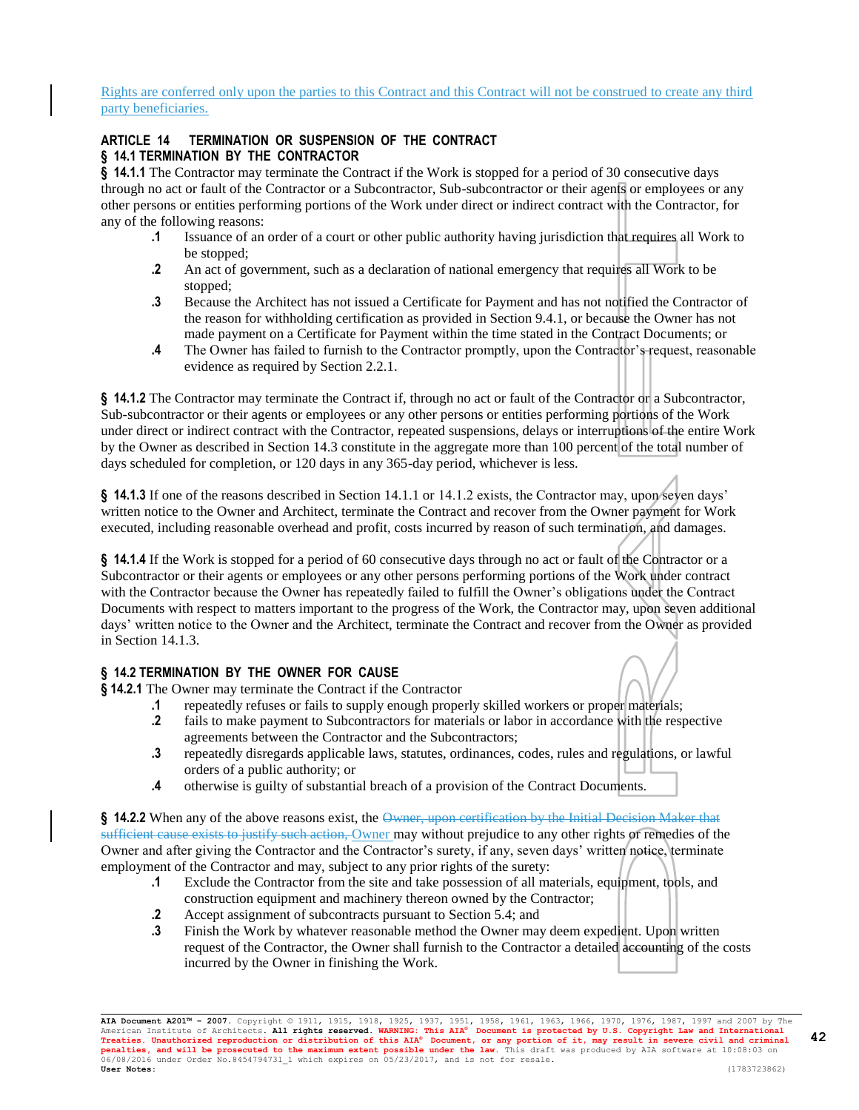Rights are conferred only upon the parties to this Contract and this Contract will not be construed to create any third party beneficiaries.

### **ARTICLE 14 TERMINATION OR SUSPENSION OF THE CONTRACT § 14.1 TERMINATION BY THE CONTRACTOR**

**§ 14.1.1** The Contractor may terminate the Contract if the Work is stopped for a period of 30 consecutive days through no act or fault of the Contractor or a Subcontractor, Sub-subcontractor or their agents or employees or any other persons or entities performing portions of the Work under direct or indirect contract with the Contractor, for any of the following reasons:

- **.1** Issuance of an order of a court or other public authority having jurisdiction that requires all Work to be stopped;
- **.2** An act of government, such as a declaration of national emergency that requires all Work to be stopped;
- **.3** Because the Architect has not issued a Certificate for Payment and has not notified the Contractor of the reason for withholding certification as provided in Section 9.4.1, or because the Owner has not made payment on a Certificate for Payment within the time stated in the Contract Documents; or
- **.4** The Owner has failed to furnish to the Contractor promptly, upon the Contractor's request, reasonable evidence as required by Section 2.2.1.

**§ 14.1.2** The Contractor may terminate the Contract if, through no act or fault of the Contractor or a Subcontractor, Sub-subcontractor or their agents or employees or any other persons or entities performing portions of the Work under direct or indirect contract with the Contractor, repeated suspensions, delays or interruptions of the entire Work by the Owner as described in Section 14.3 constitute in the aggregate more than 100 percent of the total number of days scheduled for completion, or 120 days in any 365-day period, whichever is less.

**§ 14.1.3** If one of the reasons described in Section 14.1.1 or 14.1.2 exists, the Contractor may, upon seven days' written notice to the Owner and Architect, terminate the Contract and recover from the Owner payment for Work executed, including reasonable overhead and profit, costs incurred by reason of such termination, and damages.

**§ 14.1.4** If the Work is stopped for a period of 60 consecutive days through no act or fault of the Contractor or a Subcontractor or their agents or employees or any other persons performing portions of the Work under contract with the Contractor because the Owner has repeatedly failed to fulfill the Owner's obligations under the Contract Documents with respect to matters important to the progress of the Work, the Contractor may, upon seven additional days' written notice to the Owner and the Architect, terminate the Contract and recover from the Owner as provided in Section 14.1.3.

# **§ 14.2 TERMINATION BY THE OWNER FOR CAUSE**

§ 14.2.1 The Owner may terminate the Contract if the Contractor

- **.1** repeatedly refuses or fails to supply enough properly skilled workers or proper materials;
- **.2** fails to make payment to Subcontractors for materials or labor in accordance with the respective agreements between the Contractor and the Subcontractors;
- **.3** repeatedly disregards applicable laws, statutes, ordinances, codes, rules and regulations, or lawful orders of a public authority; or
- **.4** otherwise is guilty of substantial breach of a provision of the Contract Documents.

**§ 14.2.2** When any of the above reasons exist, the Owner, upon certification by the Initial Decision Maker that sufficient cause exists to justify such action, Owner may without prejudice to any other rights or remedies of the Owner and after giving the Contractor and the Contractor's surety, if any, seven days' written notice, terminate employment of the Contractor and may, subject to any prior rights of the surety:

- **.1** Exclude the Contractor from the site and take possession of all materials, equipment, tools, and construction equipment and machinery thereon owned by the Contractor;
- **.2** Accept assignment of subcontracts pursuant to Section 5.4; and
- **.3** Finish the Work by whatever reasonable method the Owner may deem expedient. Upon written request of the Contractor, the Owner shall furnish to the Contractor a detailed accounting of the costs incurred by the Owner in finishing the Work.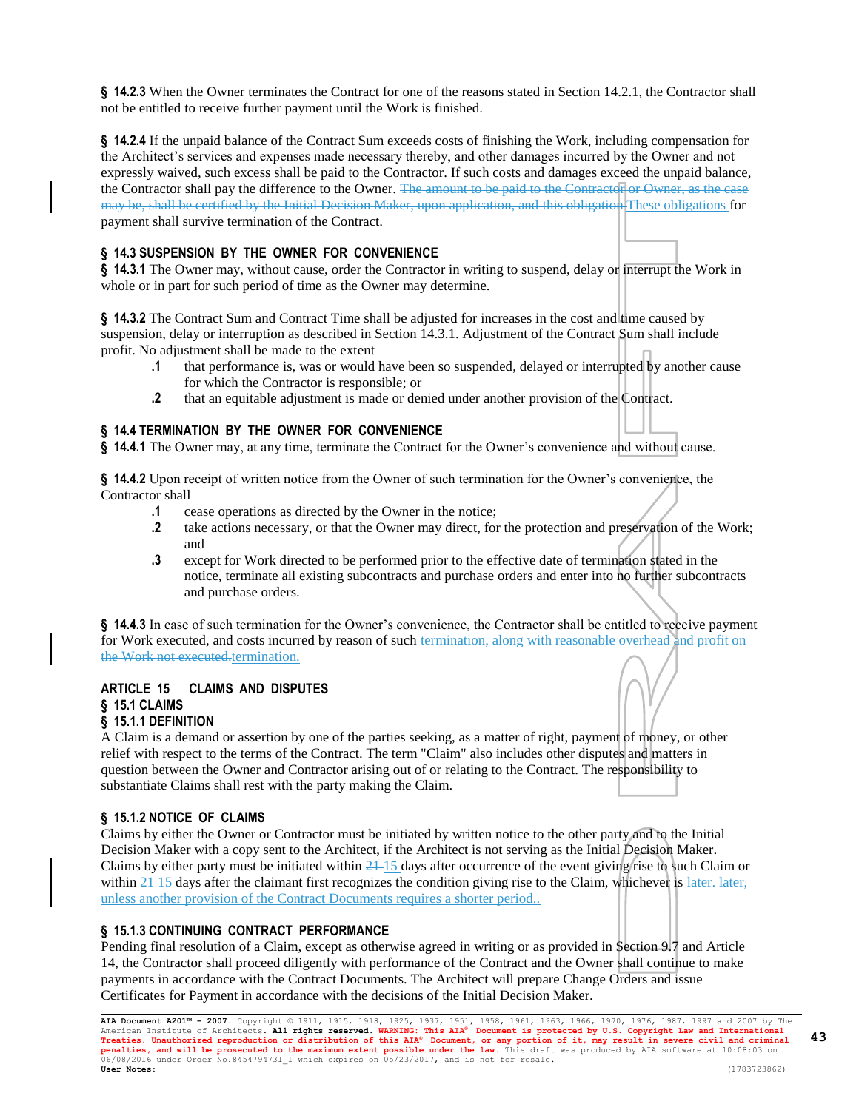**§ 14.2.3** When the Owner terminates the Contract for one of the reasons stated in Section 14.2.1, the Contractor shall not be entitled to receive further payment until the Work is finished.

**§ 14.2.4** If the unpaid balance of the Contract Sum exceeds costs of finishing the Work, including compensation for the Architect's services and expenses made necessary thereby, and other damages incurred by the Owner and not expressly waived, such excess shall be paid to the Contractor. If such costs and damages exceed the unpaid balance, the Contractor shall pay the difference to the Owner. The amount to be paid to the Contractor or Owner, as the case may be, shall be certified by the Initial Decision Maker, upon application, and this obligation These obligations for payment shall survive termination of the Contract.

# **§ 14.3 SUSPENSION BY THE OWNER FOR CONVENIENCE**

**§ 14.3.1** The Owner may, without cause, order the Contractor in writing to suspend, delay or interrupt the Work in whole or in part for such period of time as the Owner may determine.

**§ 14.3.2** The Contract Sum and Contract Time shall be adjusted for increases in the cost and time caused by suspension, delay or interruption as described in Section 14.3.1. Adjustment of the Contract Sum shall include profit. No adjustment shall be made to the extent

- **.1** that performance is, was or would have been so suspended, delayed or interrupted by another cause for which the Contractor is responsible; or
- **.2** that an equitable adjustment is made or denied under another provision of the Contract.

### **§ 14.4 TERMINATION BY THE OWNER FOR CONVENIENCE**

**§ 14.4.1** The Owner may, at any time, terminate the Contract for the Owner's convenience and without cause.

**§ 14.4.2** Upon receipt of written notice from the Owner of such termination for the Owner's convenience, the Contractor shall

- **.1** cease operations as directed by the Owner in the notice;
- **.2** take actions necessary, or that the Owner may direct, for the protection and preservation of the Work; and
- **.3** except for Work directed to be performed prior to the effective date of termination stated in the notice, terminate all existing subcontracts and purchase orders and enter into no further subcontracts and purchase orders.

**§ 14.4.3** In case of such termination for the Owner's convenience, the Contractor shall be entitled to receive payment for Work executed, and costs incurred by reason of such termination, along with reasonable overhead and profit on the Work not executed.termination.

### **ARTICLE 15 CLAIMS AND DISPUTES**

### **§ 15.1 CLAIMS**

# **§ 15.1.1 DEFINITION**

A Claim is a demand or assertion by one of the parties seeking, as a matter of right, payment of money, or other relief with respect to the terms of the Contract. The term "Claim" also includes other disputes and matters in question between the Owner and Contractor arising out of or relating to the Contract. The responsibility to substantiate Claims shall rest with the party making the Claim.

### **§ 15.1.2 NOTICE OF CLAIMS**

Claims by either the Owner or Contractor must be initiated by written notice to the other party and to the Initial Decision Maker with a copy sent to the Architect, if the Architect is not serving as the Initial Decision Maker. Claims by either party must be initiated within  $2\frac{1}{15}$  days after occurrence of the event giving rise to such Claim or within  $21-15$  days after the claimant first recognizes the condition giving rise to the Claim, whichever is later. Later, unless another provision of the Contract Documents requires a shorter period..

### **§ 15.1.3 CONTINUING CONTRACT PERFORMANCE**

Pending final resolution of a Claim, except as otherwise agreed in writing or as provided in Section 9.7 and Article 14, the Contractor shall proceed diligently with performance of the Contract and the Owner shall continue to make payments in accordance with the Contract Documents. The Architect will prepare Change Orders and issue Certificates for Payment in accordance with the decisions of the Initial Decision Maker.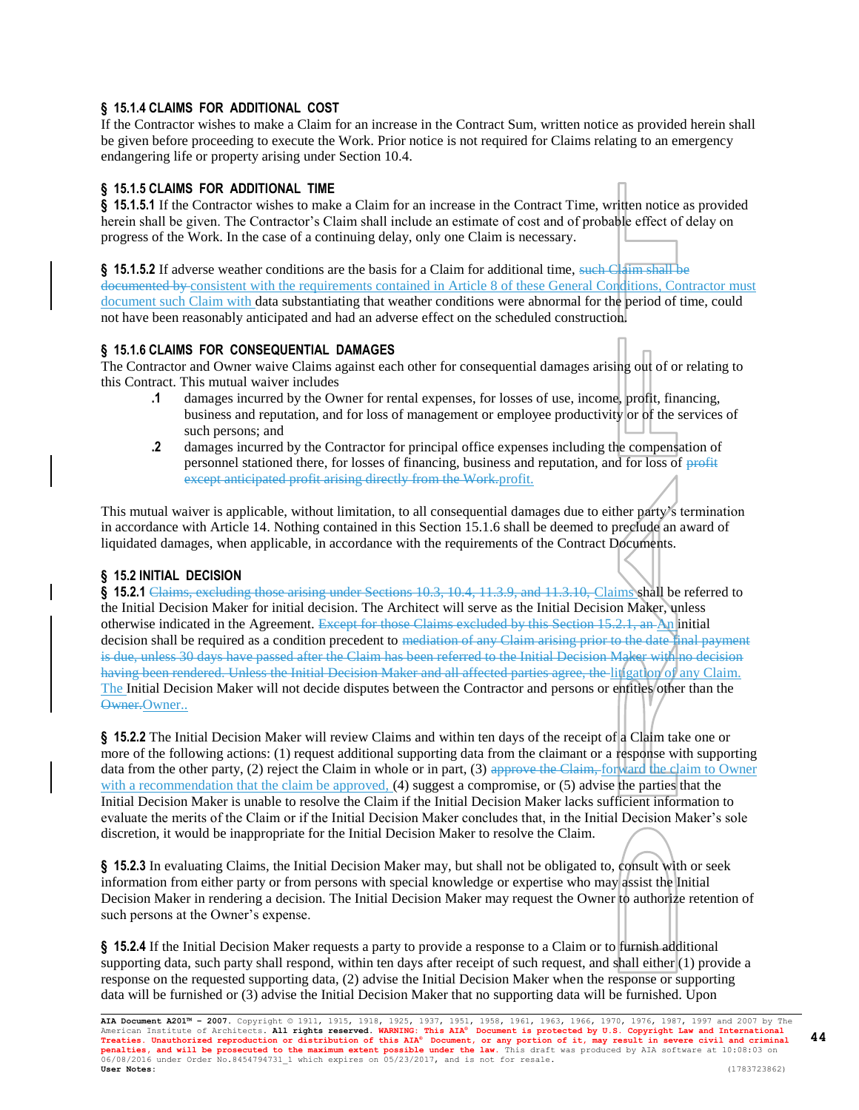# **§ 15.1.4 CLAIMS FOR ADDITIONAL COST**

If the Contractor wishes to make a Claim for an increase in the Contract Sum, written notice as provided herein shall be given before proceeding to execute the Work. Prior notice is not required for Claims relating to an emergency endangering life or property arising under Section 10.4.

### **§ 15.1.5 CLAIMS FOR ADDITIONAL TIME**

**§ 15.1.5.1** If the Contractor wishes to make a Claim for an increase in the Contract Time, written notice as provided herein shall be given. The Contractor's Claim shall include an estimate of cost and of probable effect of delay on progress of the Work. In the case of a continuing delay, only one Claim is necessary.

**§ 15.1.5.2** If adverse weather conditions are the basis for a Claim for additional time, such Claim shall be documented by consistent with the requirements contained in Article 8 of these General Conditions, Contractor must document such Claim with data substantiating that weather conditions were abnormal for the period of time, could not have been reasonably anticipated and had an adverse effect on the scheduled construction.

### **§ 15.1.6 CLAIMS FOR CONSEQUENTIAL DAMAGES**

The Contractor and Owner waive Claims against each other for consequential damages arising out of or relating to this Contract. This mutual waiver includes

- **.1** damages incurred by the Owner for rental expenses, for losses of use, income, profit, financing, business and reputation, and for loss of management or employee productivity or of the services of such persons; and
- **.2** damages incurred by the Contractor for principal office expenses including the compensation of personnel stationed there, for losses of financing, business and reputation, and for loss of profit except anticipated profit arising directly from the Work.profit.

This mutual waiver is applicable, without limitation, to all consequential damages due to either party's termination in accordance with Article 14. Nothing contained in this Section 15.1.6 shall be deemed to preclude an award of liquidated damages, when applicable, in accordance with the requirements of the Contract Documents.

# **§ 15.2 INITIAL DECISION**

**§ 15.2.1** Claims, excluding those arising under Sections 10.3, 10.4, 11.3.9, and 11.3.10, Claims shall be referred to the Initial Decision Maker for initial decision. The Architect will serve as the Initial Decision Maker, unless otherwise indicated in the Agreement. Except for those Claims excluded by this Section 15.2.1, an An initial decision shall be required as a condition precedent to mediation of any Claim arising prior to the date final payment is due, unless 30 days have passed after the Claim has been referred to the Initial Decision Maker with no decision having been rendered. Unless the Initial Decision Maker and all affected parties agree, the litigation of any Claim. The Initial Decision Maker will not decide disputes between the Contractor and persons or entities other than the Owner.Owner..

**§ 15.2.2** The Initial Decision Maker will review Claims and within ten days of the receipt of a Claim take one or more of the following actions: (1) request additional supporting data from the claimant or a response with supporting data from the other party, (2) reject the Claim in whole or in part, (3) approve the Claim, forward the claim to Owner with a recommendation that the claim be approved, (4) suggest a compromise, or (5) advise the parties that the Initial Decision Maker is unable to resolve the Claim if the Initial Decision Maker lacks sufficient information to evaluate the merits of the Claim or if the Initial Decision Maker concludes that, in the Initial Decision Maker's sole discretion, it would be inappropriate for the Initial Decision Maker to resolve the Claim.

**§ 15.2.3** In evaluating Claims, the Initial Decision Maker may, but shall not be obligated to, consult with or seek information from either party or from persons with special knowledge or expertise who may assist the Initial Decision Maker in rendering a decision. The Initial Decision Maker may request the Owner to authorize retention of such persons at the Owner's expense.

**§ 15.2.4** If the Initial Decision Maker requests a party to provide a response to a Claim or to furnish additional supporting data, such party shall respond, within ten days after receipt of such request, and shall either (1) provide a response on the requested supporting data, (2) advise the Initial Decision Maker when the response or supporting data will be furnished or (3) advise the Initial Decision Maker that no supporting data will be furnished. Upon

**AIA Document A201™ – 2007.** Copyright © 1911, 1915, 1918, 1925, 1937, 1951, 1958, 1961, 1963, 1966, 1970, 1976, 1987, 1997 and 2007 by The American Institute of Architects. <mark>All rights reserved. WARNING: This AIA® Document is protected by U.S. Copyright Law and International<br>Treaties. Unauthorized reproduction or distribution of this AIA® Document, or any por</mark>  $06/08/2016$  under Order No.8454794731\_1 which expires on  $05/23/2017$ , and is not for resale.<br>User Notes: **User Notes:** (1783723862)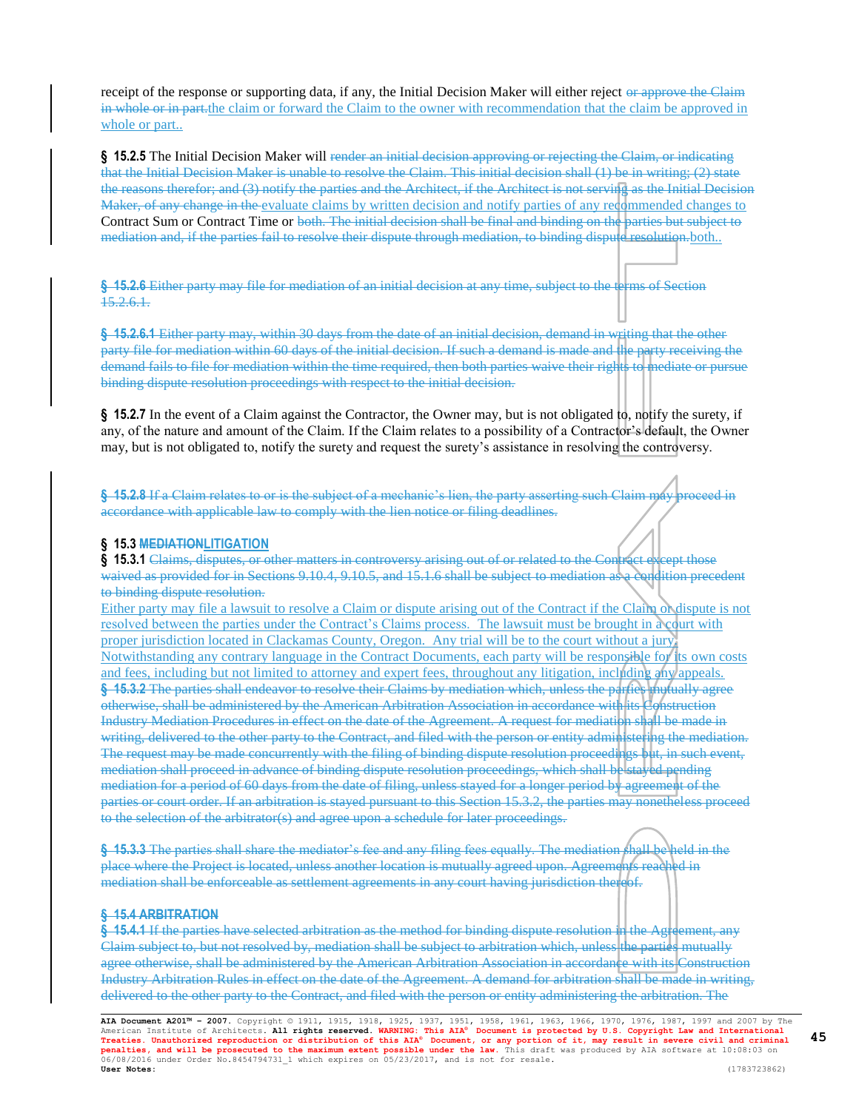receipt of the response or supporting data, if any, the Initial Decision Maker will either reject or approve the Claim in whole or in part, the claim or forward the Claim to the owner with recommendation that the claim be approved in whole or part..

**§ 15.2.5** The Initial Decision Maker will render an initial decision approving or rejecting the Claim, or indicating that the Initial Decision Maker is unable to resolve the Claim. This initial decision shall (1) be in writing; (2) state the reasons therefor; and (3) notify the parties and the Architect, if the Architect is not serving as the Initial Decision Maker, of any change in the evaluate claims by written decision and notify parties of any redommended changes to Contract Sum or Contract Time or both. The initial decision shall be final and binding on the parties but subject to mediation and, if the parties fail to resolve their dispute through mediation, to binding dispute resolution.both..

**§ 15.2.6** Either party may file for mediation of an initial decision at any time, subject to the terms of Section 15.2.6.1.

**§ 15.2.6.1** Either party may, within 30 days from the date of an initial decision, demand in writing that the other party file for mediation within 60 days of the initial decision. If such a demand is made and the party receiving the demand fails to file for mediation within the time required, then both parties waive their rights to mediate or pursue binding dispute resolution proceedings with respect to the initial decision.

**§ 15.2.7** In the event of a Claim against the Contractor, the Owner may, but is not obligated to, notify the surety, if any, of the nature and amount of the Claim. If the Claim relates to a possibility of a Contractor's default, the Owner may, but is not obligated to, notify the surety and request the surety's assistance in resolving the controversy.

**§ 15.2.8** If a Claim relates to or is the subject of a mechanic's lien, the party asserting such Claim may proceed in accordance with applicable law to comply with the lien notice or filing deadlines.

### **§ 15.3 MEDIATIONLITIGATION**

**§ 15.3.1** Claims, disputes, or other matters in controversy arising out of or related to the Contract except those waived as provided for in Sections 9.10.4, 9.10.5, and 15.1.6 shall be subject to mediation as a condition precedent to binding dispute resolution.

Either party may file a lawsuit to resolve a Claim or dispute arising out of the Contract if the Claim or dispute is not resolved between the parties under the Contract's Claims process. The lawsuit must be brought in a court with proper jurisdiction located in Clackamas County, Oregon. Any trial will be to the court without a jury. Notwithstanding any contrary language in the Contract Documents, each party will be responsible for its own costs and fees, including but not limited to attorney and expert fees, throughout any litigation, including any appeals. **§ 15.3.2** The parties shall endeavor to resolve their Claims by mediation which, unless the parties mutually agree otherwise, shall be administered by the American Arbitration Association in accordance with its Construction Industry Mediation Procedures in effect on the date of the Agreement. A request for mediation shall be made in writing, delivered to the other party to the Contract, and filed with the person or entity administering the mediation. The request may be made concurrently with the filing of binding dispute resolution proceedings but, in such event, mediation shall proceed in advance of binding dispute resolution proceedings, which shall be stayed pending mediation for a period of 60 days from the date of filing, unless stayed for a longer period by agreement of the parties or court order. If an arbitration is stayed pursuant to this Section 15.3.2, the parties may nonetheless proceed to the selection of the arbitrator(s) and agree upon a schedule for later proceedings.

§ 15.3.3 The parties shall share the mediator's fee and any filing fees equally. The mediation *finall* be held in the place where the Project is located, unless another location is mutually agreed upon. Agreements reached in mediation shall be enforceable as settlement agreements in any court having jurisdiction thereof.

### **§ 15.4 ARBITRATION**

§ **15.4.1** If the parties have selected arbitration as the method for binding dispute resolution in the Agreement, any Claim subject to, but not resolved by, mediation shall be subject to arbitration which, unless the parties mutually agree otherwise, shall be administered by the American Arbitration Association in accordance with its Construction Industry Arbitration Rules in effect on the date of the Agreement. A demand for arbitration shall be made in writing, delivered to the other party to the Contract, and filed with the person or entity administering the arbitration. The